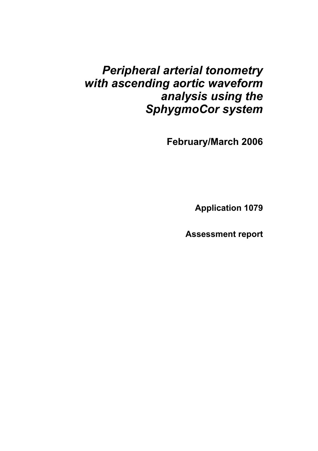# *Peripheral arterial tonometry with ascending aortic waveform analysis using the SphygmoCor system*

 **February/March 2006**

**Application 1079**

**Assessment report**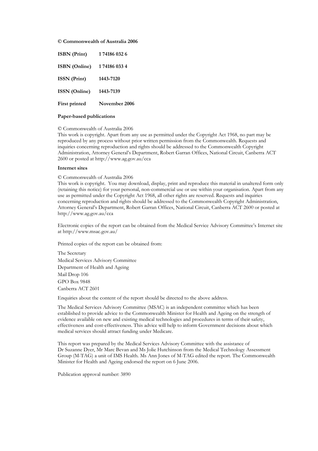#### **© Commonwealth of Australia 2006**

| <b>ISBN</b> (Print)  | 174186 032 6  |
|----------------------|---------------|
| <b>ISBN</b> (Online) | 174186 033 4  |
| <b>ISSN</b> (Print)  | 1443-7120     |
| <b>ISSN</b> (Online) | 1443-7139     |
| <b>First printed</b> | November 2006 |
|                      |               |

#### **Paper-based publications**

#### © Commonwealth of Australia 2006

This work is copyright. Apart from any use as permitted under the Copyright Act 1968, no part may be reproduced by any process without prior written permission from the Commonwealth. Requests and inquiries concerning reproduction and rights should be addressed to the Commonwealth Copyright Administration, Attorney General's Department, Robert Garran Offices, National Circuit, Canberra ACT 2600 or posted at http://www.ag.gov.au/cca

#### **Internet sites**

#### © Commonwealth of Australia 2006

This work is copyright. You may download, display, print and reproduce this material in unaltered form only (retaining this notice) for your personal, non-commercial use or use within your organisation. Apart from any use as permitted under the Copyright Act 1968, all other rights are reserved. Requests and inquiries concerning reproduction and rights should be addressed to the Commonwealth Copyright Administration, Attorney General's Department, Robert Garran Offices, National Circuit, Canberra ACT 2600 or posted at http://www.ag.gov.au/cca

Electronic copies of the report can be obtained from the Medical Service Advisory Committee's Internet site at http://www.msac.gov.au/

Printed copies of the report can be obtained from:

The Secretary Medical Services Advisory Committee Department of Health and Ageing Mail Drop 106 GPO Box 9848 Canberra ACT 2601

Enquiries about the content of the report should be directed to the above address.

The Medical Services Advisory Committee (MSAC) is an independent committee which has been established to provide advice to the Commonwealth Minister for Health and Ageing on the strength of evidence available on new and existing medical technologies and procedures in terms of their safety, effectiveness and cost-effectiveness. This advice will help to inform Government decisions about which medical services should attract funding under Medicare.

This report was prepared by the Medical Services Advisory Committee with the assistance of Dr Suzanne Dyer, Mr Marc Bevan and Ms Jolie Hutchinson from the Medical Technology Assessment Group (M-TAG) a unit of IMS Health. Ms Ann Jones of M-TAG edited the report. The Commonwealth Minister for Health and Ageing endorsed the report on 6 June 2006.

Publication approval number: 3890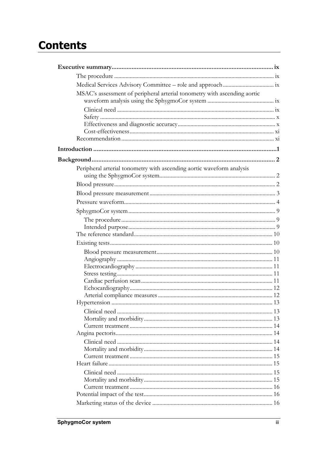# **Contents**

| MSAC's assessment of peripheral arterial tonometry with ascending aortic<br>Peripheral arterial tonometry with ascending aortic waveform analysis |  |
|---------------------------------------------------------------------------------------------------------------------------------------------------|--|
|                                                                                                                                                   |  |
|                                                                                                                                                   |  |
|                                                                                                                                                   |  |
|                                                                                                                                                   |  |
|                                                                                                                                                   |  |
|                                                                                                                                                   |  |
|                                                                                                                                                   |  |
|                                                                                                                                                   |  |
|                                                                                                                                                   |  |
|                                                                                                                                                   |  |
|                                                                                                                                                   |  |
|                                                                                                                                                   |  |
|                                                                                                                                                   |  |
|                                                                                                                                                   |  |
|                                                                                                                                                   |  |
|                                                                                                                                                   |  |
|                                                                                                                                                   |  |
|                                                                                                                                                   |  |
|                                                                                                                                                   |  |
|                                                                                                                                                   |  |
|                                                                                                                                                   |  |
|                                                                                                                                                   |  |
|                                                                                                                                                   |  |
|                                                                                                                                                   |  |
|                                                                                                                                                   |  |
|                                                                                                                                                   |  |
|                                                                                                                                                   |  |
|                                                                                                                                                   |  |
|                                                                                                                                                   |  |
|                                                                                                                                                   |  |
|                                                                                                                                                   |  |
|                                                                                                                                                   |  |
|                                                                                                                                                   |  |
|                                                                                                                                                   |  |
|                                                                                                                                                   |  |
|                                                                                                                                                   |  |
|                                                                                                                                                   |  |
|                                                                                                                                                   |  |
|                                                                                                                                                   |  |
|                                                                                                                                                   |  |
|                                                                                                                                                   |  |
|                                                                                                                                                   |  |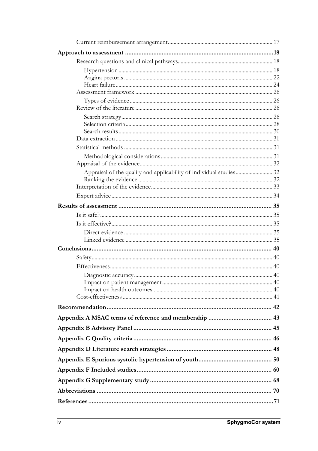| Appraisal of the quality and applicability of individual studies 32 |  |
|---------------------------------------------------------------------|--|
|                                                                     |  |
|                                                                     |  |
|                                                                     |  |
|                                                                     |  |
|                                                                     |  |
|                                                                     |  |
|                                                                     |  |
|                                                                     |  |
|                                                                     |  |
|                                                                     |  |
|                                                                     |  |
|                                                                     |  |
|                                                                     |  |
|                                                                     |  |
|                                                                     |  |
|                                                                     |  |
|                                                                     |  |
|                                                                     |  |
|                                                                     |  |
|                                                                     |  |
|                                                                     |  |
|                                                                     |  |
|                                                                     |  |
|                                                                     |  |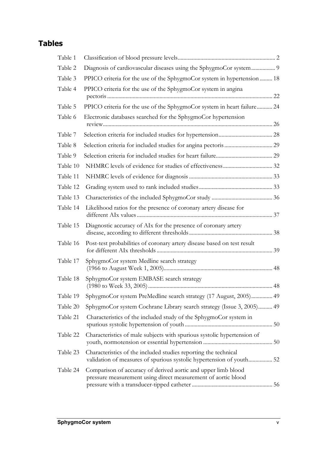# **Tables**

| Table 1  |                                                                                                                                |  |
|----------|--------------------------------------------------------------------------------------------------------------------------------|--|
| Table 2  | Diagnosis of cardiovascular diseases using the SphygmoCor system 9                                                             |  |
| Table 3  | PPICO criteria for the use of the SphygmoCor system in hypertension 18                                                         |  |
| Table 4  | PPICO criteria for the use of the SphygmoCor system in angina                                                                  |  |
| Table 5  | PPICO criteria for the use of the SphygmoCor system in heart failure 24                                                        |  |
| Table 6  | Electronic databases searched for the SphygmoCor hypertension                                                                  |  |
| Table 7  |                                                                                                                                |  |
| Table 8  |                                                                                                                                |  |
| Table 9  |                                                                                                                                |  |
| Table 10 |                                                                                                                                |  |
| Table 11 |                                                                                                                                |  |
| Table 12 |                                                                                                                                |  |
| Table 13 |                                                                                                                                |  |
| Table 14 | Likelihood ratios for the presence of coronary artery disease for                                                              |  |
| Table 15 | Diagnostic accuracy of AIx for the presence of coronary artery                                                                 |  |
| Table 16 | Post-test probabilities of coronary artery disease based on test result                                                        |  |
| Table 17 | SphygmoCor system Medline search strategy                                                                                      |  |
| Table 18 | SphygmoCor system EMBASE search strategy                                                                                       |  |
|          | Table 19 SphygmoCor system PreMedline search strategy (17 August, 2005) 49                                                     |  |
| Table 20 | SphygmoCor system Cochrane Library search strategy (Issue 3, 2005) 49                                                          |  |
| Table 21 | Characteristics of the included study of the SphygmoCor system in                                                              |  |
| Table 22 | Characteristics of male subjects with spurious systolic hypertension of                                                        |  |
| Table 23 | Characteristics of the included studies reporting the technical                                                                |  |
| Table 24 | Comparison of accuracy of derived aortic and upper limb blood<br>pressure measurement using direct measurement of aortic blood |  |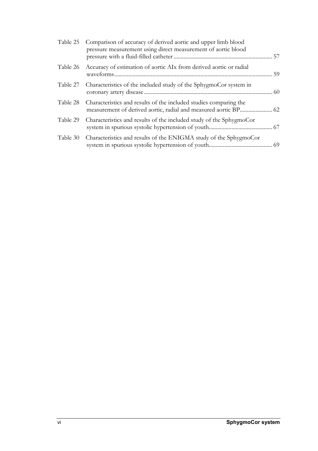| Table 25 | Comparison of accuracy of derived aortic and upper limb blood<br>pressure measurement using direct measurement of aortic blood       |  |
|----------|--------------------------------------------------------------------------------------------------------------------------------------|--|
| Table 26 | Accuracy of estimation of aortic AIx from derived aortic or radial                                                                   |  |
| Table 27 | Characteristics of the included study of the SphygmoCor system in                                                                    |  |
| Table 28 | Characteristics and results of the included studies comparing the<br>measurement of derived aortic, radial and measured aortic BP 62 |  |
| Table 29 | Characteristics and results of the included study of the SphygmoCor                                                                  |  |
| Table 30 | Characteristics and results of the ENIGMA study of the SphygmoCor                                                                    |  |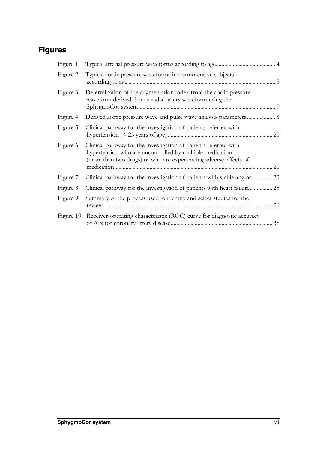# **Figures**

| Figure 1  |                                                                                                                                                                                                  |    |
|-----------|--------------------------------------------------------------------------------------------------------------------------------------------------------------------------------------------------|----|
| Figure 2  | Typical aortic pressure waveforms in normotensive subjects                                                                                                                                       |    |
| Figure 3  | Determination of the augmentation index from the aortic pressure<br>waveform derived from a radial artery waveform using the                                                                     |    |
| Figure 4  |                                                                                                                                                                                                  |    |
| Figure 5  | Clinical pathway for the investigation of patients referred with                                                                                                                                 |    |
| Figure 6  | Clinical pathway for the investigation of patients referred with<br>hypertension who are uncontrolled by multiple medication<br>(more than two drugs) or who are experiencing adverse effects of | 21 |
| Figure 7  | Clinical pathway for the investigation of patients with stable angina 23                                                                                                                         |    |
| Figure 8  | Clinical pathway for the investigation of patients with heart failure 25                                                                                                                         |    |
| Figure 9  | Summary of the process used to identify and select studies for the                                                                                                                               | 30 |
| Figure 10 | Receiver-operating characteristic (ROC) curve for diagnostic accuracy                                                                                                                            | 38 |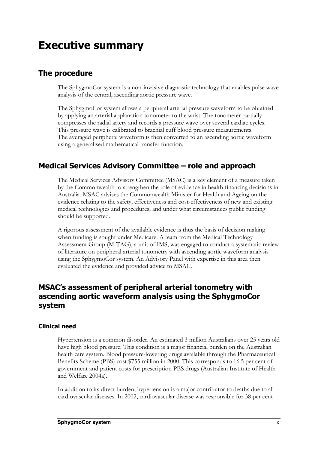## **The procedure**

The SphygmoCor system is a non-invasive diagnostic technology that enables pulse wave analysis of the central, ascending aortic pressure wave.

The SphygmoCor system allows a peripheral arterial pressure waveform to be obtained by applying an arterial applanation tonometer to the wrist. The tonometer partially compresses the radial artery and records a pressure wave over several cardiac cycles. This pressure wave is calibrated to brachial cuff blood pressure measurements. The averaged peripheral waveform is then converted to an ascending aortic waveform using a generalised mathematical transfer function.

# **Medical Services Advisory Committee – role and approach**

The Medical Services Advisory Committee (MSAC) is a key element of a measure taken by the Commonwealth to strengthen the role of evidence in health financing decisions in Australia. MSAC advises the Commonwealth Minister for Health and Ageing on the evidence relating to the safety, effectiveness and cost-effectiveness of new and existing medical technologies and procedures; and under what circumstances public funding should be supported.

A rigorous assessment of the available evidence is thus the basis of decision making when funding is sought under Medicare. A team from the Medical Technology Assessment Group (M-TAG), a unit of IMS, was engaged to conduct a systematic review of literature on peripheral arterial tonometry with ascending aortic waveform analysis using the SphygmoCor system. An Advisory Panel with expertise in this area then evaluated the evidence and provided advice to MSAC.

## **MSAC's assessment of peripheral arterial tonometry with ascending aortic waveform analysis using the SphygmoCor system**

## **Clinical need**

Hypertension is a common disorder. An estimated 3 million Australians over 25 years old have high blood pressure. This condition is a major financial burden on the Australian health care system. Blood pressure-lowering drugs available through the Pharmaceutical Benefits Scheme (PBS) cost \$755 million in 2000. This corresponds to 16.5 per cent of government and patient costs for prescription PBS drugs (Australian Institute of Health and Welfare 2004a).

In addition to its direct burden, hypertension is a major contributor to deaths due to all cardiovascular diseases. In 2002, cardiovascular disease was responsible for 38 per cent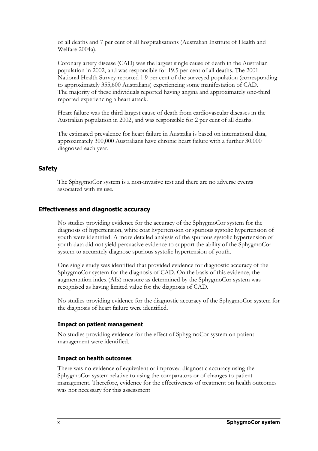of all deaths and 7 per cent of all hospitalisations (Australian Institute of Health and Welfare 2004a).

Coronary artery disease (CAD) was the largest single cause of death in the Australian population in 2002, and was responsible for 19.5 per cent of all deaths. The 2001 National Health Survey reported 1.9 per cent of the surveyed population (corresponding to approximately 355,600 Australians) experiencing some manifestation of CAD. The majority of these individuals reported having angina and approximately one-third reported experiencing a heart attack.

Heart failure was the third largest cause of death from cardiovascular diseases in the Australian population in 2002, and was responsible for 2 per cent of all deaths.

The estimated prevalence for heart failure in Australia is based on international data, approximately 300,000 Australians have chronic heart failure with a further 30,000 diagnosed each year.

#### **Safety**

The SphygmoCor system is a non-invasive test and there are no adverse events associated with its use.

#### **Effectiveness and diagnostic accuracy**

No studies providing evidence for the accuracy of the SphygmoCor system for the diagnosis of hypertension, white coat hypertension or spurious systolic hypertension of youth were identified. A more detailed analysis of the spurious systolic hypertension of youth data did not yield persuasive evidence to support the ability of the SphygmoCor system to accurately diagnose spurious systolic hypertension of youth.

One single study was identified that provided evidence for diagnostic accuracy of the SphygmoCor system for the diagnosis of CAD. On the basis of this evidence, the augmentation index (AIx) measure as determined by the SphygmoCor system was recognised as having limited value for the diagnosis of CAD.

No studies providing evidence for the diagnostic accuracy of the SphygmoCor system for the diagnosis of heart failure were identified.

#### **Impact on patient management**

No studies providing evidence for the effect of SphygmoCor system on patient management were identified.

#### **Impact on health outcomes**

There was no evidence of equivalent or improved diagnostic accuracy using the SphygmoCor system relative to using the comparators or of changes to patient management. Therefore, evidence for the effectiveness of treatment on health outcomes was not necessary for this assessment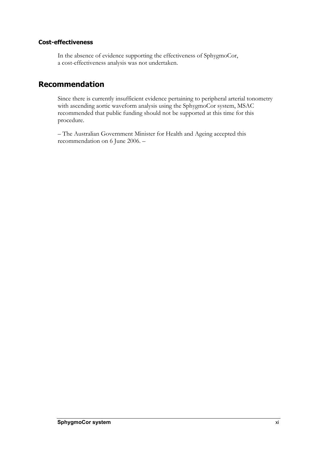### **Cost-effectiveness**

In the absence of evidence supporting the effectiveness of SphygmoCor, a cost-effectiveness analysis was not undertaken.

## **Recommendation**

Since there is currently insufficient evidence pertaining to peripheral arterial tonometry with ascending aortic waveform analysis using the SphygmoCor system, MSAC recommended that public funding should not be supported at this time for this procedure.

– The Australian Government Minister for Health and Ageing accepted this recommendation on 6 June 2006. –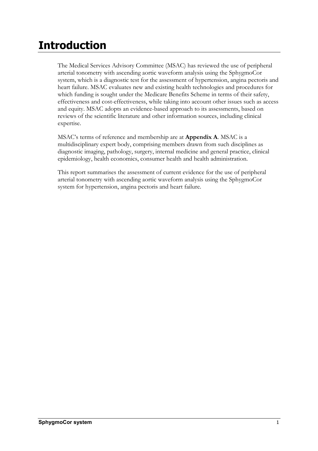# **Introduction**

The Medical Services Advisory Committee (MSAC) has reviewed the use of peripheral arterial tonometry with ascending aortic waveform analysis using the SphygmoCor system, which is a diagnostic test for the assessment of hypertension, angina pectoris and heart failure. MSAC evaluates new and existing health technologies and procedures for which funding is sought under the Medicare Benefits Scheme in terms of their safety, effectiveness and cost-effectiveness, while taking into account other issues such as access and equity. MSAC adopts an evidence-based approach to its assessments, based on reviews of the scientific literature and other information sources, including clinical expertise.

MSAC's terms of reference and membership are at **Appendix A**. MSAC is a multidisciplinary expert body, comprising members drawn from such disciplines as diagnostic imaging, pathology, surgery, internal medicine and general practice, clinical epidemiology, health economics, consumer health and health administration.

This report summarises the assessment of current evidence for the use of peripheral arterial tonometry with ascending aortic waveform analysis using the SphygmoCor system for hypertension, angina pectoris and heart failure.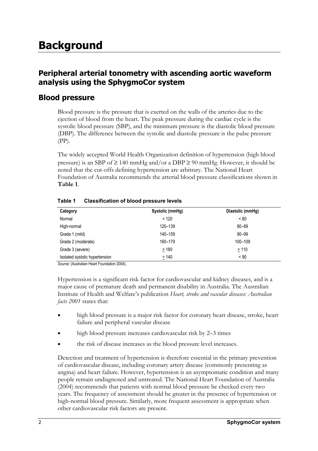# **Background**

## **Peripheral arterial tonometry with ascending aortic waveform analysis using the SphygmoCor system**

## **Blood pressure**

Blood pressure is the pressure that is exerted on the walls of the arteries due to the ejection of blood from the heart. The peak pressure during the cardiac cycle is the systolic blood pressure (SBP), and the minimum pressure is the diastolic blood pressure (DBP). The difference between the systolic and diastolic pressure is the pulse pressure (PP).

The widely accepted World Health Organization definition of hypertension (high blood pressure) is an SBP of  $\geq$  140 mmHg and/or a DBP  $\geq$  90 mmHg. However, it should be noted that the cut-offs defining hypertension are arbitrary. The National Heart Foundation of Australia recommends the arterial blood pressure classifications shown in **Table 1**.

| Category                       | Systolic (mmHg) | Diastolic (mmHg) |
|--------------------------------|-----------------|------------------|
| Normal                         | < 120           | ~< 80            |
| High-normal                    | 120-139         | 80-89            |
| Grade 1 (mild)                 | 140-159         | $90 - 99$        |
| Grade 2 (moderate)             | 160-179         | 100-109          |
| Grade 3 (severe)               | $\geq 180$      | $\geq 110$       |
| Isolated systolic hypertension | $\geq 140$      | $~<$ 90          |

#### **Table 1 Classification of blood pressure levels**

*Source:* (Australian Heart Foundation 2004).

Hypertension is a significant risk factor for cardiovascular and kidney diseases, and is a major cause of premature death and permanent disability in Australia. The Australian Institute of Health and Welfare's publication *Heart, stroke and vascular diseases: Australian facts 2001* states that:

- high blood pressure is a major risk factor for coronary heart disease, stroke, heart failure and peripheral vascular disease
- high blood pressure increases cardiovascular risk by 2–3 times
- the risk of disease increases as the blood pressure level increases.

Detection and treatment of hypertension is therefore essential in the primary prevention of cardiovascular disease, including coronary artery disease (commonly presenting as angina) and heart failure. However, hypertension is an asymptomatic condition and many people remain undiagnosed and untreated. The National Heart Foundation of Australia (2004) recommends that patients with normal blood pressure be checked every two years. The frequency of assessment should be greater in the presence of hypertension or high-normal blood pressure. Similarly, more frequent assessment is appropriate when other cardiovascular risk factors are present.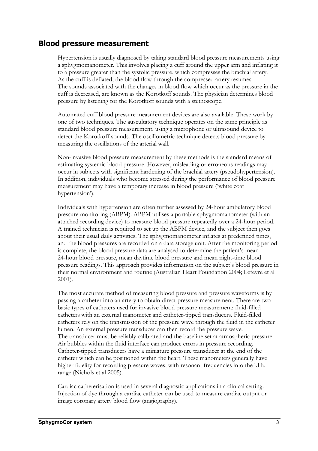## **Blood pressure measurement**

Hypertension is usually diagnosed by taking standard blood pressure measurements using a sphygmomanometer. This involves placing a cuff around the upper arm and inflating it to a pressure greater than the systolic pressure, which compresses the brachial artery. As the cuff is deflated, the blood flow through the compressed artery resumes. The sounds associated with the changes in blood flow which occur as the pressure in the cuff is decreased, are known as the Korotkoff sounds. The physician determines blood pressure by listening for the Korotkoff sounds with a stethoscope.

Automated cuff blood pressure measurement devices are also available. These work by one of two techniques. The auscultatory technique operates on the same principle as standard blood pressure measurement, using a microphone or ultrasound device to detect the Korotkoff sounds. The oscillometric technique detects blood pressure by measuring the oscillations of the arterial wall.

Non-invasive blood pressure measurement by these methods is the standard means of estimating systemic blood pressure. However, misleading or erroneous readings may occur in subjects with significant hardening of the brachial artery (pseudohypertension). In addition, individuals who become stressed during the performance of blood pressure measurement may have a temporary increase in blood pressure ('white coat hypertension').

Individuals with hypertension are often further assessed by 24-hour ambulatory blood pressure monitoring (ABPM). ABPM utilises a portable sphygmomanometer (with an attached recording device) to measure blood pressure repeatedly over a 24-hour period. A trained technician is required to set up the ABPM device, and the subject then goes about their usual daily activities. The sphygmomanometer inflates at predefined times, and the blood pressures are recorded on a data storage unit. After the monitoring period is complete, the blood pressure data are analysed to determine the patient's mean 24-hour blood pressure, mean daytime blood pressure and mean night-time blood pressure readings. This approach provides information on the subject's blood pressure in their normal environment and routine (Australian Heart Foundation 2004; Lefevre et al 2001).

The most accurate method of measuring blood pressure and pressure waveforms is by passing a catheter into an artery to obtain direct pressure measurement. There are two basic types of catheters used for invasive blood pressure measurement: fluid-filled catheters with an external manometer and catheter-tipped transducers. Fluid-filled catheters rely on the transmission of the pressure wave through the fluid in the catheter lumen. An external pressure transducer can then record the pressure wave. The transducer must be reliably calibrated and the baseline set at atmospheric pressure. Air bubbles within the fluid interface can produce errors in pressure recording. Catheter-tipped transducers have a miniature pressure transducer at the end of the catheter which can be positioned within the heart. These manometers generally have higher fidelity for recording pressure waves, with resonant frequencies into the kHz range (Nichols et al 2005).

Cardiac catheterisation is used in several diagnostic applications in a clinical setting. Injection of dye through a cardiac catheter can be used to measure cardiac output or image coronary artery blood flow (angiography).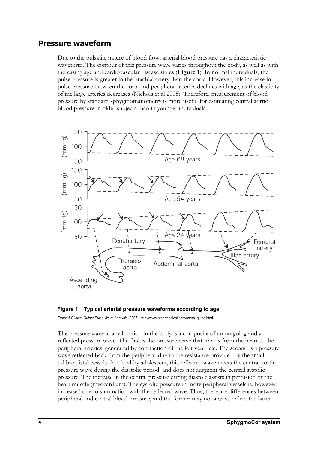## **Pressure waveform**

Due to the pulsatile nature of blood flow, arterial blood pressure has a characteristic waveform. The contour of this pressure wave varies throughout the body, as well as with increasing age and cardiovascular disease states (**Figure 1**). In normal individuals, the pulse pressure is greater in the brachial artery than the aorta. However, this increase in pulse pressure between the aorta and peripheral arteries declines with age, as the elasticity of the large arteries decreases (Nichols et al 2005). Therefore, measurement of blood pressure by standard sphygmomanometry is more useful for estimating central aortic blood pressure in older subjects than in younger individuals.





From: *A Clinical Guide: Pulse Wave Analysis* (2005). http://www.atcormedical.com/users\_guide.html

The pressure wave at any location in the body is a composite of an outgoing and a reflected pressure wave. The first is the pressure wave that travels from the heart to the peripheral arteries, generated by contraction of the left ventricle. The second is a pressure wave reflected back from the periphery, due to the resistance provided by the small calibre distal vessels. In a healthy adolescent, this reflected wave meets the central aortic pressure wave during the diastolic period, and does not augment the central systolic pressure. The increase in the central pressure during diastole assists in perfusion of the heart muscle (myocardium). The systolic pressure in more peripheral vessels is, however, increased due to summation with the reflected wave. Thus, there are differences between peripheral and central blood pressure, and the former may not always reflect the latter.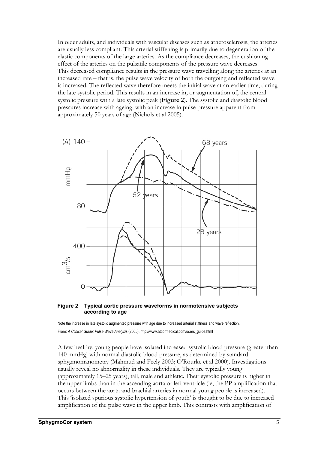In older adults, and individuals with vascular diseases such as atherosclerosis, the arteries are usually less compliant. This arterial stiffening is primarily due to degeneration of the elastic components of the large arteries. As the compliance decreases, the cushioning effect of the arteries on the pulsatile components of the pressure wave decreases. This decreased compliance results in the pressure wave travelling along the arteries at an increased rate – that is, the pulse wave velocity of both the outgoing and reflected wave is increased. The reflected wave therefore meets the initial wave at an earlier time, during the late systolic period. This results in an increase in, or augmentation of, the central systolic pressure with a late systolic peak (**Figure 2**). The systolic and diastolic blood pressures increase with ageing, with an increase in pulse pressure apparent from approximately 50 years of age (Nichols et al 2005).



#### **Figure 2 Typical aortic pressure waveforms in normotensive subjects according to age**

Note the increase in late systolic augmented pressure with age due to increased arterial stiffness and wave reflection. From: *A Clinical Guide: Pulse Wave Analysis* (2005). http://www.atcormedical.com/users\_guide.html

A few healthy, young people have isolated increased systolic blood pressure (greater than 140 mmHg) with normal diastolic blood pressure, as determined by standard sphygmomanometry (Mahmud and Feely 2003; O'Rourke et al 2000). Investigations usually reveal no abnormality in these individuals. They are typically young (approximately 15–25 years), tall, male and athletic. Their systolic pressure is higher in the upper limbs than in the ascending aorta or left ventricle (ie, the PP amplification that occurs between the aorta and brachial arteries in normal young people is increased). This 'isolated spurious systolic hypertension of youth' is thought to be due to increased amplification of the pulse wave in the upper limb. This contrasts with amplification of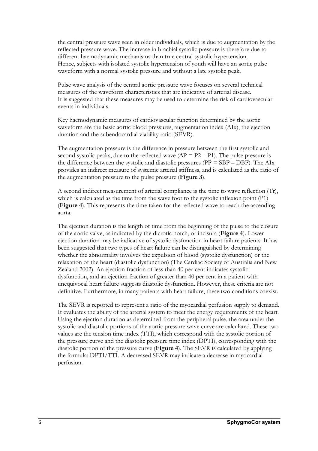the central pressure wave seen in older individuals, which is due to augmentation by the reflected pressure wave. The increase in brachial systolic pressure is therefore due to different haemodynamic mechanisms than true central systolic hypertension. Hence, subjects with isolated systolic hypertension of youth will have an aortic pulse waveform with a normal systolic pressure and without a late systolic peak.

Pulse wave analysis of the central aortic pressure wave focuses on several technical measures of the waveform characteristics that are indicative of arterial disease. It is suggested that these measures may be used to determine the risk of cardiovascular events in individuals.

Key haemodynamic measures of cardiovascular function determined by the aortic waveform are the basic aortic blood pressures, augmentation index (AIx), the ejection duration and the subendocardial viability ratio (SEVR).

The augmentation pressure is the difference in pressure between the first systolic and second systolic peaks, due to the reflected wave  $(\Delta P = P2 - P1)$ . The pulse pressure is the difference between the systolic and diastolic pressures ( $PP = SBP - DBP$ ). The AIx provides an indirect measure of systemic arterial stiffness, and is calculated as the ratio of the augmentation pressure to the pulse pressure (**Figure 3**).

A second indirect measurement of arterial compliance is the time to wave reflection (Tr), which is calculated as the time from the wave foot to the systolic inflexion point (P1) (**Figure 4**). This represents the time taken for the reflected wave to reach the ascending aorta.

The ejection duration is the length of time from the beginning of the pulse to the closure of the aortic valve, as indicated by the dicrotic notch, or incisura (**Figure 4**). Lower ejection duration may be indicative of systolic dysfunction in heart failure patients. It has been suggested that two types of heart failure can be distinguished by determining whether the abnormality involves the expulsion of blood (systolic dysfunction) or the relaxation of the heart (diastolic dysfunction) (The Cardiac Society of Australia and New Zealand 2002). An ejection fraction of less than 40 per cent indicates systolic dysfunction, and an ejection fraction of greater than 40 per cent in a patient with unequivocal heart failure suggests diastolic dysfunction. However, these criteria are not definitive. Furthermore, in many patients with heart failure, these two conditions coexist.

The SEVR is reported to represent a ratio of the myocardial perfusion supply to demand. It evaluates the ability of the arterial system to meet the energy requirements of the heart. Using the ejection duration as determined from the peripheral pulse, the area under the systolic and diastolic portions of the aortic pressure wave curve are calculated. These two values are the tension time index (TTI), which correspond with the systolic portion of the pressure curve and the diastolic pressure time index (DPTI), corresponding with the diastolic portion of the pressure curve (**Figure 4**). The SEVR is calculated by applying the formula: DPTI/TTI. A decreased SEVR may indicate a decrease in myocardial perfusion.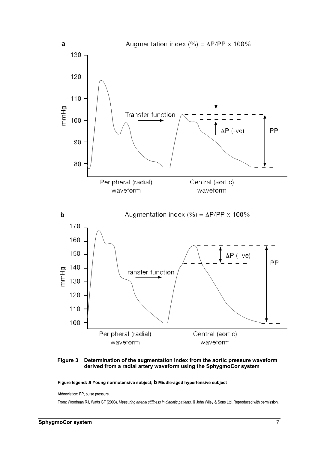

**Figure 3 Determination of the augmentation index from the aortic pressure waveform derived from a radial artery waveform using the SphygmoCor system** 

**Figure legend: a Young normotensive subject; b Middle-aged hypertensive subject**

Abbreviation: PP, pulse pressure.

From: Woodman RJ, Watts GF (2003). *Measuring arterial stiffness in diabetic patients*. © John Wiley & Sons Ltd. Reproduced with permission.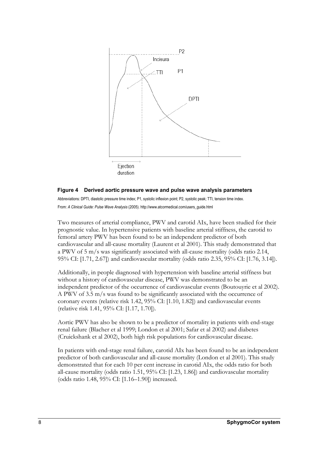

#### **Figure 4 Derived aortic pressure wave and pulse wave analysis parameters**

Abbreviations: DPTI, diastolic pressure time index; P1, systolic inflexion point; P2, systolic peak; TTI, tension time index. From: *A Clinical Guide: Pulse Wave Analysis* (2005). http://www.atcormedical.com/users\_guide.html

Two measures of arterial compliance, PWV and carotid AIx, have been studied for their prognostic value. In hypertensive patients with baseline arterial stiffness, the carotid to femoral artery PWV has been found to be an independent predictor of both cardiovascular and all-cause mortality (Laurent et al 2001). This study demonstrated that a PWV of 5 m/s was significantly associated with all-cause mortality (odds ratio 2.14, 95% CI: [1.71, 2.67]) and cardiovascular mortality (odds ratio 2.35, 95% CI: [1.76, 3.14]).

Additionally, in people diagnosed with hypertension with baseline arterial stiffness but without a history of cardiovascular disease, PWV was demonstrated to be an independent predictor of the occurrence of cardiovascular events (Boutouyrie et al 2002). A PWV of 3.5 m/s was found to be significantly associated with the occurrence of coronary events (relative risk 1.42, 95% CI: [1.10, 1.82]) and cardiovascular events (relative risk 1.41, 95% CI: [1.17, 1.70]).

Aortic PWV has also be shown to be a predictor of mortality in patients with end-stage renal failure (Blacher et al 1999; London et al 2001; Safar et al 2002) and diabetes (Cruickshank et al 2002), both high risk populations for cardiovascular disease.

In patients with end-stage renal failure, carotid AIx has been found to be an independent predictor of both cardiovascular and all-cause mortality (London et al 2001). This study demonstrated that for each 10 per cent increase in carotid AIx, the odds ratio for both all-cause mortality (odds ratio 1.51, 95% CI: [1.23, 1.86]) and cardiovascular mortality (odds ratio 1.48, 95% CI: [1.16–1.90]) increased.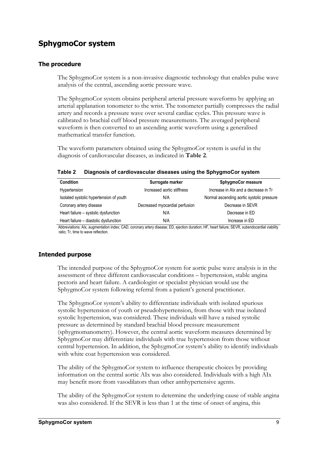# **SphygmoCor system**

### **The procedure**

The SphygmoCor system is a non-invasive diagnostic technology that enables pulse wave analysis of the central, ascending aortic pressure wave.

The SphygmoCor system obtains peripheral arterial pressure waveforms by applying an arterial applanation tonometer to the wrist. The tonometer partially compresses the radial artery and records a pressure wave over several cardiac cycles. This pressure wave is calibrated to brachial cuff blood pressure measurements. The averaged peripheral waveform is then converted to an ascending aortic waveform using a generalised mathematical transfer function.

The waveform parameters obtained using the SphygmoCor system is useful in the diagnosis of cardiovascular diseases, as indicated in **Table 2**.

| <b>Condition</b>                        | Surrogate marker               | SphygmoCor measure                        |
|-----------------------------------------|--------------------------------|-------------------------------------------|
| Hypertension                            | Increased aortic stiffness     | Increase in Alx and a decrease in Tr      |
| Isolated systolic hypertension of youth | N/A                            | Normal ascending aortic systolic pressure |
| Coronary artery disease                 | Decreased myocardial perfusion | Decrease in SEVR                          |
| Heart failure - systolic dysfunction    | N/A                            | Decrease in ED                            |
| Heart failure - diastolic dysfunction   | N/A                            | Increase in ED                            |

#### **Table 2 Diagnosis of cardiovascular diseases using the SphygmoCor system**

Abbreviations: AIx, augmentation index; CAD, coronary artery disease; ED, ejection duration; HF, heart failure; SEVR, subendocardial viability ratio; Tr, time to wave reflection.

## **Intended purpose**

The intended purpose of the SphygmoCor system for aortic pulse wave analysis is in the assessment of three different cardiovascular conditions – hypertension, stable angina pectoris and heart failure. A cardiologist or specialist physician would use the SphygmoCor system following referral from a patient's general practitioner.

The SphygmoCor system's ability to differentiate individuals with isolated spurious systolic hypertension of youth or pseudohypertension, from those with true isolated systolic hypertension, was considered. These individuals will have a raised systolic pressure as determined by standard brachial blood pressure measurement (sphygmomanometry). However, the central aortic waveform measures determined by SphygmoCor may differentiate individuals with true hypertension from those without central hypertension. In addition, the SphygmoCor system's ability to identify individuals with white coat hypertension was considered.

The ability of the SphygmoCor system to influence therapeutic choices by providing information on the central aortic AIx was also considered. Individuals with a high AIx may benefit more from vasodilators than other antihypertensive agents.

The ability of the SphygmoCor system to determine the underlying cause of stable angina was also considered. If the SEVR is less than 1 at the time of onset of angina, this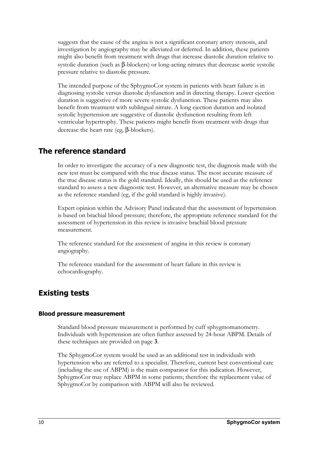suggests that the cause of the angina is not a significant coronary artery stenosis, and investigation by angiography may be alleviated or deferred. In addition, these patients might also benefit from treatment with drugs that increase diastolic duration relative to systolic duration (such as β-blockers) or long-acting nitrates that decrease aortic systolic pressure relative to diastolic pressure.

The intended purpose of the SphygmoCor system in patients with heart failure is in diagnosing systolic versus diastolic dysfunction and in directing therapy. Lower ejection duration is suggestive of more severe systolic dysfunction. These patients may also benefit from treatment with sublingual nitrate. A long ejection duration and isolated systolic hypertension are suggestive of diastolic dysfunction resulting from left ventricular hypertrophy. These patients might benefit from treatment with drugs that decrease the heart rate (eg, β-blockers).

# **The reference standard**

In order to investigate the accuracy of a new diagnostic test, the diagnosis made with the new test must be compared with the true disease status. The most accurate measure of the true disease status is the gold standard. Ideally, this should be used as the reference standard to assess a new diagnostic test. However, an alternative measure may be chosen as the reference standard (eg, if the gold standard is highly invasive).

Expert opinion within the Advisory Panel indicated that the assessment of hypertension is based on brachial blood pressure; therefore, the appropriate reference standard for the assessment of hypertension in this review is invasive brachial blood pressure measurement.

The reference standard for the assessment of angina in this review is coronary angiography.

The reference standard for the assessment of heart failure in this review is echocardiography.

# **Existing tests**

## **Blood pressure measurement**

Standard blood pressure measurement is performed by cuff sphygmomanometry. Individuals with hypertension are often further assessed by 24-hour ABPM. Details of these techniques are provided on page **3**.

The SphygmoCor system would be used as an additional test in individuals with hypertension who are referred to a specialist. Therefore, current best conventional care (including the use of ABPM) is the main comparator for this indication. However, SphygmoCor may replace ABPM in some patients; therefore the replacement value of SphygmoCor by comparison with ABPM will also be reviewed.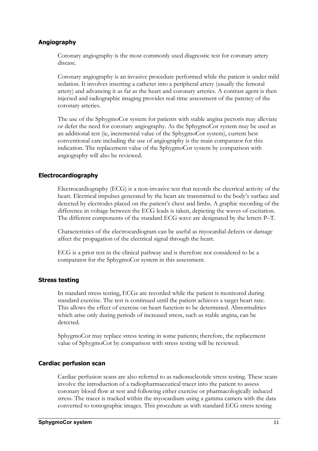### **Angiography**

Coronary angiography is the most commonly used diagnostic test for coronary artery disease.

Coronary angiography is an invasive procedure performed while the patient is under mild sedation. It involves inserting a catheter into a peripheral artery (usually the femoral artery) and advancing it as far as the heart and coronary arteries. A contrast agent is then injected and radiographic imaging provides real-time assessment of the patency of the coronary arteries.

The use of the SphygmoCor system for patients with stable angina pectoris may alleviate or defer the need for coronary angiography. As the SphygmoCor system may be used as an additional test (ie, incremental value of the SphygmoCor system), current best conventional care including the use of angiography is the main comparator for this indication. The replacement value of the SphygmoCor system by comparison with angiography will also be reviewed.

#### **Electrocardiography**

Electrocardiography (ECG) is a non-invasive test that records the electrical activity of the heart. Electrical impulses generated by the heart are transmitted to the body's surface and detected by electrodes placed on the patient's chest and limbs. A graphic recording of the difference in voltage between the ECG leads is taken, depicting the waves of excitation. The different components of the standard ECG wave are designated by the letters P–T.

Characteristics of the electrocardiogram can be useful as myocardial defects or damage affect the propagation of the electrical signal through the heart.

ECG is a prior test in the clinical pathway and is therefore not considered to be a comparator for the SphygmoCor system in this assessment.

#### **Stress testing**

In standard stress testing, ECGs are recorded while the patient is monitored during standard exercise. The test is continued until the patient achieves a target heart rate. This allows the effect of exercise on heart function to be determined. Abnormalities which arise only during periods of increased stress, such as stable angina, can be detected.

SphygmoCor may replace stress testing in some patients; therefore, the replacement value of SphygmoCor by comparison with stress testing will be reviewed.

#### **Cardiac perfusion scan**

Cardiac perfusion scans are also referred to as radionucleotide stress testing. These scans involve the introduction of a radiopharmaceutical tracer into the patient to assess coronary blood flow at rest and following either exercise or pharmacologically induced stress. The tracer is tracked within the myocardium using a gamma camera with the data converted to tomographic images. This procedure as with standard ECG stress testing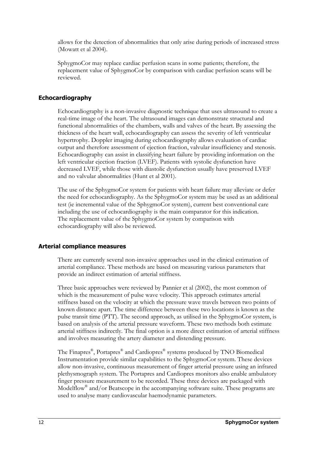allows for the detection of abnormalities that only arise during periods of increased stress (Mowatt et al 2004).

SphygmoCor may replace cardiac perfusion scans in some patients; therefore, the replacement value of SphygmoCor by comparison with cardiac perfusion scans will be reviewed.

### **Echocardiography**

Echocardiography is a non-invasive diagnostic technique that uses ultrasound to create a real-time image of the heart. The ultrasound images can demonstrate structural and functional abnormalities of the chambers, walls and valves of the heart. By assessing the thickness of the heart wall, echocardiography can assess the severity of left ventricular hypertrophy. Doppler imaging during echocardiography allows evaluation of cardiac output and therefore assessment of ejection fraction, valvular insufficiency and stenosis. Echocardiography can assist in classifying heart failure by providing information on the left ventricular ejection fraction (LVEF). Patients with systolic dysfunction have decreased LVEF, while those with diastolic dysfunction usually have preserved LVEF and no valvular abnormalities (Hunt et al 2001).

The use of the SphygmoCor system for patients with heart failure may alleviate or defer the need for echocardiography. As the SphygmoCor system may be used as an additional test (ie incremental value of the SphygmoCor system), current best conventional care including the use of echocardiography is the main comparator for this indication. The replacement value of the SphygmoCor system by comparison with echocardiography will also be reviewed.

#### **Arterial compliance measures**

There are currently several non-invasive approaches used in the clinical estimation of arterial compliance. These methods are based on measuring various parameters that provide an indirect estimation of arterial stiffness.

Three basic approaches were reviewed by Pannier et al (2002), the most common of which is the measurement of pulse wave velocity. This approach estimates arterial stiffness based on the velocity at which the pressure wave travels between two points of known distance apart. The time difference between these two locations is known as the pulse transit time (PTT). The second approach, as utilised in the SphygmoCor system, is based on analysis of the arterial pressure waveform. These two methods both estimate arterial stiffness indirectly. The final option is a more direct estimation of arterial stiffness and involves measuring the artery diameter and distending pressure.

The Finapres®, Portapres® and Cardiopres® systems produced by TNO Biomedical Instrumentation provide similar capabilities to the SphygmoCor system. These devices allow non-invasive, continuous measurement of finger arterial pressure using an infrared plethysmograph system. The Portapres and Cardiopres monitors also enable ambulatory finger pressure measurement to be recorded. These three devices are packaged with Modelflow® and/or Beatscope in the accompanying software suite. These programs are used to analyse many cardiovascular haemodynamic parameters.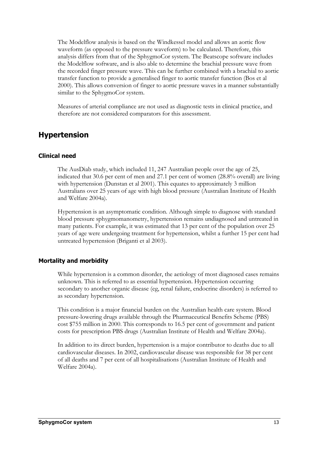The Modelflow analysis is based on the Windkessel model and allows an aortic flow waveform (as opposed to the pressure waveform) to be calculated. Therefore, this analysis differs from that of the SphygmoCor system. The Beatscope software includes the Modelflow software, and is also able to determine the brachial pressure wave from the recorded finger pressure wave. This can be further combined with a brachial to aortic transfer function to provide a generalised finger to aortic transfer function (Bos et al 2000). This allows conversion of finger to aortic pressure waves in a manner substantially similar to the SphygmoCor system.

Measures of arterial compliance are not used as diagnostic tests in clinical practice, and therefore are not considered comparators for this assessment.

## **Hypertension**

#### **Clinical need**

The AusDiab study, which included 11, 247 Australian people over the age of 25, indicated that 30.6 per cent of men and 27.1 per cent of women (28.8% overall) are living with hypertension (Dunstan et al 2001). This equates to approximately 3 million Australians over 25 years of age with high blood pressure (Australian Institute of Health and Welfare 2004a).

Hypertension is an asymptomatic condition. Although simple to diagnose with standard blood pressure sphygmomanometry, hypertension remains undiagnosed and untreated in many patients. For example, it was estimated that 13 per cent of the population over 25 years of age were undergoing treatment for hypertension, whilst a further 15 per cent had untreated hypertension (Briganti et al 2003).

#### **Mortality and morbidity**

While hypertension is a common disorder, the aetiology of most diagnosed cases remains unknown. This is referred to as essential hypertension. Hypertension occurring secondary to another organic disease (eg, renal failure, endocrine disorders) is referred to as secondary hypertension.

This condition is a major financial burden on the Australian health care system. Blood pressure-lowering drugs available through the Pharmaceutical Benefits Scheme (PBS) cost \$755 million in 2000. This corresponds to 16.5 per cent of government and patient costs for prescription PBS drugs (Australian Institute of Health and Welfare 2004a).

In addition to its direct burden, hypertension is a major contributor to deaths due to all cardiovascular diseases. In 2002, cardiovascular disease was responsible for 38 per cent of all deaths and 7 per cent of all hospitalisations (Australian Institute of Health and Welfare 2004a).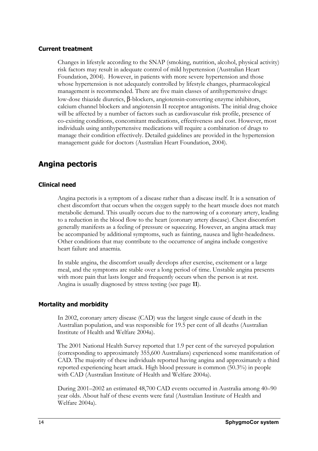### **Current treatment**

Changes in lifestyle according to the SNAP (smoking, nutrition, alcohol, physical activity) risk factors may result in adequate control of mild hypertension (Australian Heart Foundation, 2004). However, in patients with more severe hypertension and those whose hypertension is not adequately controlled by lifestyle changes, pharmacological management is recommended. There are five main classes of antihypertensive drugs: low-dose thiazide diuretics, β-blockers, angiotensin-converting enzyme inhibitors, calcium channel blockers and angiotensin II receptor antagonists. The initial drug choice will be affected by a number of factors such as cardiovascular risk profile, presence of co-existing conditions, concomitant medications, effectiveness and cost. However, most individuals using antihypertensive medications will require a combination of drugs to manage their condition effectively. Detailed guidelines are provided in the hypertension management guide for doctors (Australian Heart Foundation, 2004).

# **Angina pectoris**

#### **Clinical need**

Angina pectoris is a symptom of a disease rather than a disease itself. It is a sensation of chest discomfort that occurs when the oxygen supply to the heart muscle does not match metabolic demand. This usually occurs due to the narrowing of a coronary artery, leading to a reduction in the blood flow to the heart (coronary artery disease). Chest discomfort generally manifests as a feeling of pressure or squeezing. However, an angina attack may be accompanied by additional symptoms, such as fainting, nausea and light-headedness. Other conditions that may contribute to the occurrence of angina include congestive heart failure and anaemia.

In stable angina, the discomfort usually develops after exercise, excitement or a large meal, and the symptoms are stable over a long period of time. Unstable angina presents with more pain that lasts longer and frequently occurs when the person is at rest. Angina is usually diagnosed by stress testing (see page **11**).

#### **Mortality and morbidity**

In 2002, coronary artery disease (CAD) was the largest single cause of death in the Australian population, and was responsible for 19.5 per cent of all deaths (Australian Institute of Health and Welfare 2004a).

The 2001 National Health Survey reported that 1.9 per cent of the surveyed population (corresponding to approximately 355,600 Australians) experienced some manifestation of CAD. The majority of these individuals reported having angina and approximately a third reported experiencing heart attack. High blood pressure is common (50.3%) in people with CAD (Australian Institute of Health and Welfare 2004a).

During 2001–2002 an estimated 48,700 CAD events occurred in Australia among 40–90 year olds. About half of these events were fatal (Australian Institute of Health and Welfare 2004a).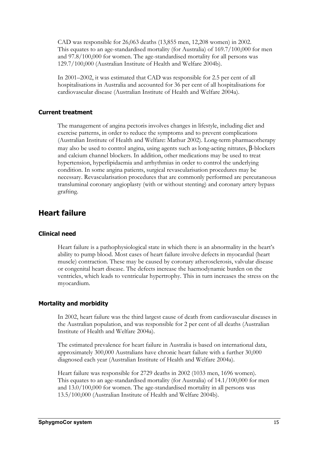CAD was responsible for 26,063 deaths (13,855 men, 12,208 women) in 2002. This equates to an age-standardised mortality (for Australia) of 169.7/100,000 for men and 97.8/100,000 for women. The age-standardised mortality for all persons was 129.7/100,000 (Australian Institute of Health and Welfare 2004b).

In 2001–2002, it was estimated that CAD was responsible for 2.5 per cent of all hospitalisations in Australia and accounted for 36 per cent of all hospitalisations for cardiovascular disease (Australian Institute of Health and Welfare 2004a).

#### **Current treatment**

The management of angina pectoris involves changes in lifestyle, including diet and exercise patterns, in order to reduce the symptoms and to prevent complications (Australian Institute of Health and Welfare: Mathur 2002). Long-term pharmacotherapy may also be used to control angina, using agents such as long-acting nitrates, β-blockers and calcium channel blockers. In addition, other medications may be used to treat hypertension, hyperlipidaemia and arrhythmias in order to control the underlying condition. In some angina patients, surgical revascularisation procedures may be necessary. Revascularisation procedures that are commonly performed are percutaneous transluminal coronary angioplasty (with or without stenting) and coronary artery bypass grafting.

## **Heart failure**

#### **Clinical need**

Heart failure is a pathophysiological state in which there is an abnormality in the heart's ability to pump blood. Most cases of heart failure involve defects in myocardial (heart muscle) contraction. These may be caused by coronary atherosclerosis, valvular disease or congenital heart disease. The defects increase the haemodynamic burden on the ventricles, which leads to ventricular hypertrophy. This in turn increases the stress on the myocardium.

## **Mortality and morbidity**

In 2002, heart failure was the third largest cause of death from cardiovascular diseases in the Australian population, and was responsible for 2 per cent of all deaths (Australian Institute of Health and Welfare 2004a).

The estimated prevalence for heart failure in Australia is based on international data, approximately 300,000 Australians have chronic heart failure with a further 30,000 diagnosed each year (Australian Institute of Health and Welfare 2004a).

Heart failure was responsible for 2729 deaths in 2002 (1033 men, 1696 women). This equates to an age-standardised mortality (for Australia) of 14.1/100,000 for men and 13.0/100,000 for women. The age-standardised mortality in all persons was 13.5/100,000 (Australian Institute of Health and Welfare 2004b).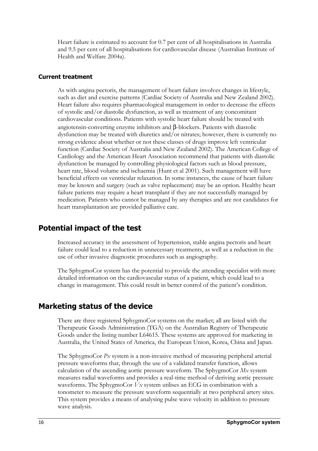Heart failure is estimated to account for 0.7 per cent of all hospitalisations in Australia and 9.5 per cent of all hospitalisations for cardiovascular disease (Australian Institute of Health and Welfare 2004a).

## **Current treatment**

As with angina pectoris, the management of heart failure involves changes in lifestyle, such as diet and exercise patterns (Cardiac Society of Australia and New Zealand 2002). Heart failure also requires pharmacological management in order to decrease the effects of systolic and/or diastolic dysfunction, as well as treatment of any concomitant cardiovascular conditions. Patients with systolic heart failure should be treated with angiotensin-converting enzyme inhibitors and β-blockers. Patients with diastolic dysfunction may be treated with diuretics and/or nitrates; however, there is currently no strong evidence about whether or not these classes of drugs improve left ventricular function (Cardiac Society of Australia and New Zealand 2002). The American College of Cardiology and the American Heart Association recommend that patients with diastolic dysfunction be managed by controlling physiological factors such as blood pressure, heart rate, blood volume and ischaemia (Hunt et al 2001). Such management will have beneficial effects on ventricular relaxation. In some instances, the cause of heart failure may be known and surgery (such as valve replacement) may be an option. Healthy heart failure patients may require a heart transplant if they are not successfully managed by medication. Patients who cannot be managed by any therapies and are not candidates for heart transplantation are provided palliative care.

## **Potential impact of the test**

Increased accuracy in the assessment of hypertension, stable angina pectoris and heart failure could lead to a reduction in unnecessary treatments, as well as a reduction in the use of other invasive diagnostic procedures such as angiography.

The SphygmoCor system has the potential to provide the attending specialist with more detailed information on the cardiovascular status of a patient, which could lead to a change in management. This could result in better control of the patient's condition.

## **Marketing status of the device**

There are three registered SphygmoCor systems on the market; all are listed with the Therapeutic Goods Administration (TGA) on the Australian Registry of Therapeutic Goods under the listing number L64615. These systems are approved for marketing in Australia, the United States of America, the European Union, Korea, China and Japan.

The SphygmoCor *Px* system is a non-invasive method of measuring peripheral arterial pressure waveforms that, through the use of a validated transfer function, allows calculation of the ascending aortic pressure waveform. The SphygmoCor *Mx* system measures radial waveforms and provides a real-time method of deriving aortic pressure waveforms. The SphygmoCor *Vx* system utilises an ECG in combination with a tonometer to measure the pressure waveform sequentially at two peripheral artery sites. This system provides a means of analysing pulse wave velocity in addition to pressure wave analysis.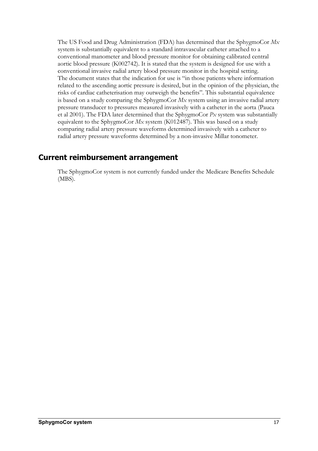The US Food and Drug Administration (FDA) has determined that the SphygmoCor *Mx* system is substantially equivalent to a standard intravascular catheter attached to a conventional manometer and blood pressure monitor for obtaining calibrated central aortic blood pressure (K002742). It is stated that the system is designed for use with a conventional invasive radial artery blood pressure monitor in the hospital setting. The document states that the indication for use is "in those patients where information related to the ascending aortic pressure is desired, but in the opinion of the physician, the risks of cardiac catheterisation may outweigh the benefits". This substantial equivalence is based on a study comparing the SphygmoCor *Mx* system using an invasive radial artery pressure transducer to pressures measured invasively with a catheter in the aorta (Pauca et al 2001). The FDA later determined that the SphygmoCor *Px* system was substantially equivalent to the SphygmoCor *Mx* system (K012487). This was based on a study comparing radial artery pressure waveforms determined invasively with a catheter to radial artery pressure waveforms determined by a non-invasive Millar tonometer.

## **Current reimbursement arrangement**

The SphygmoCor system is not currently funded under the Medicare Benefits Schedule (MBS).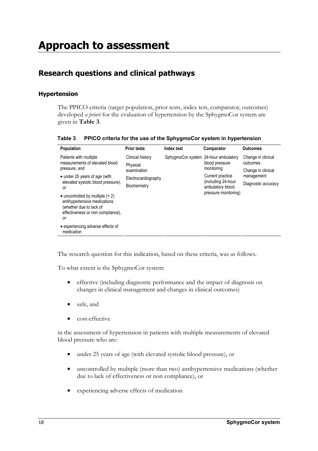# **Research questions and clinical pathways**

## **Hypertension**

The PPICO criteria (target population, prior tests, index test, comparator, outcomes) developed *a priori* for the evaluation of hypertension by the SphygmoCor system are given in **Table 3**.

| Table 3 PPICO criteria for the use of the SphygmoCor system in hypertension |
|-----------------------------------------------------------------------------|
|                                                                             |

| <b>Population</b>                                                                                                                                 | <b>Prior tests</b>  | Index test                           | Comparator                                                     | <b>Outcomes</b>                |
|---------------------------------------------------------------------------------------------------------------------------------------------------|---------------------|--------------------------------------|----------------------------------------------------------------|--------------------------------|
| Patients with multiple                                                                                                                            | Clinical history    | SphygmoCor system 24-hour ambulatory | blood pressure<br>monitoring                                   | Change in clinical<br>outcomes |
| measurements of elevated blood<br>pressure, and                                                                                                   | Physical            |                                      |                                                                |                                |
|                                                                                                                                                   | examination         |                                      |                                                                | Change in clinical             |
| • under 25 years of age (with                                                                                                                     | Electrocardiography |                                      | Current practice                                               | management                     |
| elevated systolic blood pressure).<br><sub>or</sub>                                                                                               | Biochemistry        |                                      | including 24-hour)<br>ambulatory blood<br>pressure monitoring) | Diagnostic accuracy            |
| $\bullet$ uncontrolled by multiple ( $>$ 2)<br>antihypertensive medications<br>(whether due to lack of<br>effectiveness or non compliance).<br>0r |                     |                                      |                                                                |                                |
| • experiencing adverse effects of<br>medication                                                                                                   |                     |                                      |                                                                |                                |

The research question for this indication, based on these criteria, was as follows.

To what extent is the SphygmoCor system:

- effective (including diagnostic performance and the impact of diagnosis on changes in clinical management and changes in clinical outcomes)
- safe, and
- cost-effective

in the assessment of hypertension in patients with multiple measurements of elevated blood pressure who are:

- under 25 years of age (with elevated systolic blood pressure), or
- uncontrolled by multiple (more than two) antihypertensive medications (whether due to lack of effectiveness or non compliance), or
- experiencing adverse effects of medication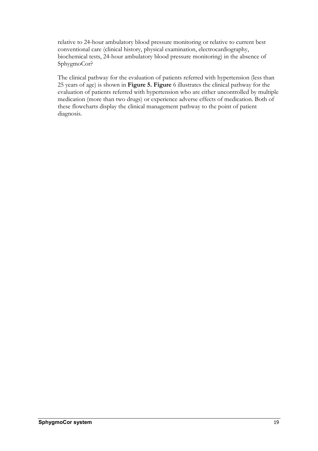relative to 24-hour ambulatory blood pressure monitoring or relative to current best conventional care (clinical history, physical examination, electrocardiography, biochemical tests, 24-hour ambulatory blood pressure monitoring) in the absence of SphygmoCor?

The clinical pathway for the evaluation of patients referred with hypertension (less than 25 years of age) is shown in **Figure 5. Figure** 6 illustrates the clinical pathway for the evaluation of patients referred with hypertension who are either uncontrolled by multiple medication (more than two drugs) or experience adverse effects of medication. Both of these flowcharts display the clinical management pathway to the point of patient diagnosis.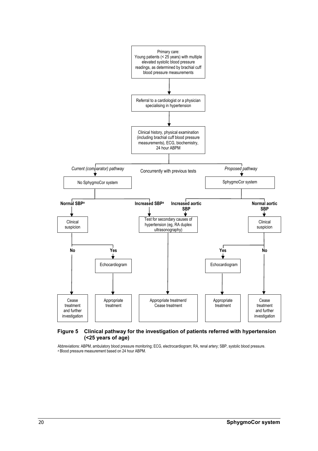

#### **Figure 5 Clinical pathway for the investigation of patients referred with hypertension (<25 years of age)**

Abbreviations: ABPM, ambulatory blood pressure monitoring; ECG, electrocardiogram; RA, renal artery; SBP, systolic blood pressure. *<sup>a</sup>* Blood pressure measurement based on 24 hour ABPM.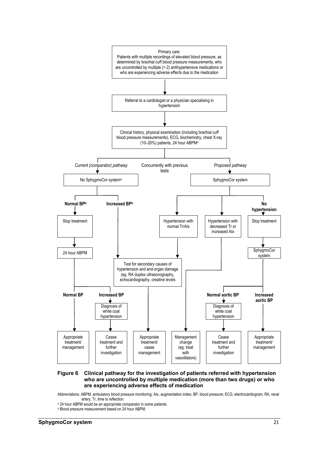

#### **Figure 6 Clinical pathway for the investigation of patients referred with hypertension who are uncontrolled by multiple medication (more than two drugs) or who are experiencing adverse effects of medication**

Abbreviations: ABPM, ambulatory blood pressure monitoring; AIx, augmentation index; BP, blood pressure; ECG, electrocardiogram; RA, renal

- <sup>a</sup> 24 hour ABPM would be an appropriate comparator in some patients.
- *<sup>b</sup>* Blood pressure measurement based on 24 hour ABPM.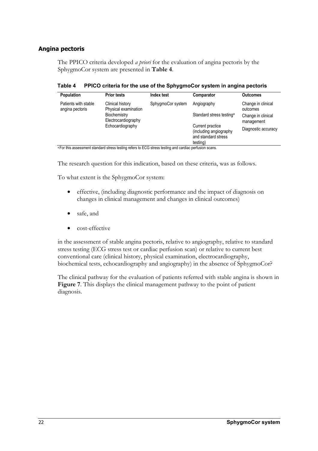## **Angina pectoris**

The PPICO criteria developed *a priori* for the evaluation of angina pectoris by the SphygmoCor system are presented in **Table 4**.

**Table 4 PPICO criteria for the use of the SphygmoCor system in angina pectoris** 

| Population                              | <b>Prior tests</b>                                                                                         | Index test        | Comparator                                                        | <b>Outcomes</b>                  |
|-----------------------------------------|------------------------------------------------------------------------------------------------------------|-------------------|-------------------------------------------------------------------|----------------------------------|
| Patients with stable<br>angina pectoris | Clinical history<br>Physical examination                                                                   | SphygmoCor system | Angiography                                                       | Change in clinical<br>outcomes   |
|                                         | Biochemistry<br>Electrocardiography                                                                        |                   | Standard stress testing <sup>a</sup>                              | Change in clinical<br>management |
|                                         | Echocardiography                                                                                           |                   | Current practice<br>(including angiography<br>and standard stress | Diagnostic accuracy              |
|                                         | a Footbile aga caasaasta tagalaad ataaga tagiiga asfaacta FOO ataaga tagiiga gaad gaadiga qaafaalaa gagaag |                   | testing)                                                          |                                  |

a For this assessment standard stress testing refers to ECG stress testing and cardiac perfusion scans.

The research question for this indication, based on these criteria, was as follows.

To what extent is the SphygmoCor system:

- effective, (including diagnostic performance and the impact of diagnosis on changes in clinical management and changes in clinical outcomes)
- safe, and
- cost-effective

in the assessment of stable angina pectoris, relative to angiography, relative to standard stress testing (ECG stress test or cardiac perfusion scan) or relative to current best conventional care (clinical history, physical examination, electrocardiography, biochemical tests, echocardiography and angiography) in the absence of SphygmoCor?

The clinical pathway for the evaluation of patients referred with stable angina is shown in **Figure 7**. This displays the clinical management pathway to the point of patient diagnosis.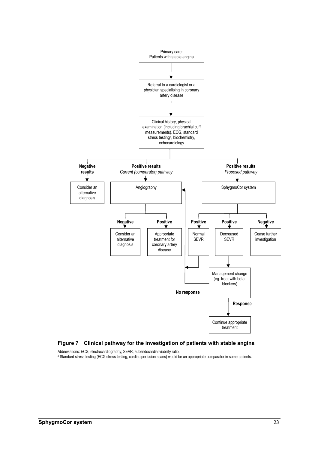

#### **Figure 7 Clinical pathway for the investigation of patients with stable angina**

Abbreviations: ECG, electrocardiography; SEVR, subendocardial viability ratio.<br><sup>a</sup> Standard stress testing (ECG stress testing, cardiac perfusion scans) would be an appropriate comparator in some patients.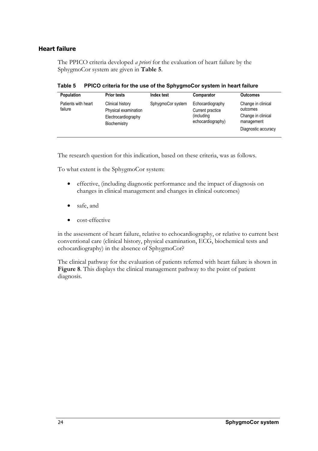## **Heart failure**

The PPICO criteria developed *a priori* for the evaluation of heart failure by the SphygmoCor system are given in **Table 5**.

**Table 5 PPICO criteria for the use of the SphygmoCor system in heart failure** 

| <b>Population</b>              | <b>Prior tests</b>                                                              | Index test        | Comparator                                                              | <b>Outcomes</b>                                                                           |
|--------------------------------|---------------------------------------------------------------------------------|-------------------|-------------------------------------------------------------------------|-------------------------------------------------------------------------------------------|
| Patients with heart<br>failure | Clinical history<br>Physical examination<br>Electrocardiography<br>Biochemistry | SphygmoCor system | Echocardiography<br>Current practice<br>(including<br>echocardiography) | Change in clinical<br>outcomes<br>Change in clinical<br>management<br>Diagnostic accuracy |

The research question for this indication, based on these criteria, was as follows.

To what extent is the SphygmoCor system:

- effective, (including diagnostic performance and the impact of diagnosis on changes in clinical management and changes in clinical outcomes)
- safe, and
- cost-effective

in the assessment of heart failure, relative to echocardiography, or relative to current best conventional care (clinical history, physical examination, ECG, biochemical tests and echocardiography) in the absence of SphygmoCor?

The clinical pathway for the evaluation of patients referred with heart failure is shown in **Figure 8**. This displays the clinical management pathway to the point of patient diagnosis.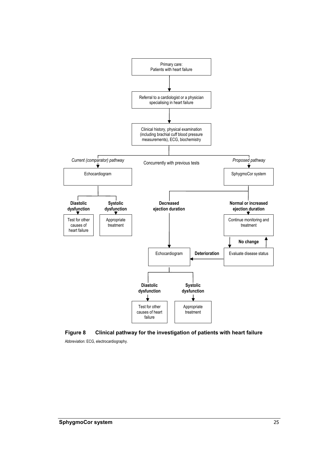

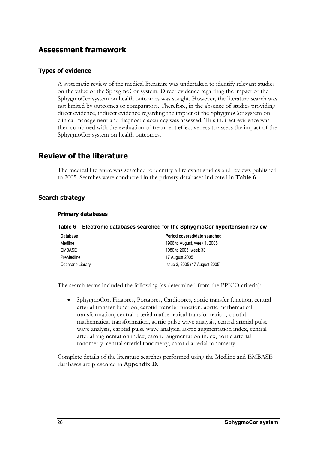### **Assessment framework**

#### **Types of evidence**

A systematic review of the medical literature was undertaken to identify relevant studies on the value of the SphygmoCor system. Direct evidence regarding the impact of the SphygmoCor system on health outcomes was sought. However, the literature search was not limited by outcomes or comparators. Therefore, in the absence of studies providing direct evidence, indirect evidence regarding the impact of the SphygmoCor system on clinical management and diagnostic accuracy was assessed. This indirect evidence was then combined with the evaluation of treatment effectiveness to assess the impact of the SphygmoCor system on health outcomes.

### **Review of the literature**

The medical literature was searched to identify all relevant studies and reviews published to 2005. Searches were conducted in the primary databases indicated in **Table 6**.

#### **Search strategy**

| Table 6          | Electronic databases searched for the SphygmoCor hypertension review |  |  |  |
|------------------|----------------------------------------------------------------------|--|--|--|
| <b>Database</b>  | Period covered/date searched                                         |  |  |  |
| Medline          | 1966 to August, week 1, 2005                                         |  |  |  |
| <b>EMBASE</b>    | 1980 to 2005, week 33                                                |  |  |  |
| PreMedline       | 17 August 2005                                                       |  |  |  |
| Cochrane Library | Issue 3, 2005 (17 August 2005)                                       |  |  |  |

#### **Primary databases**

The search terms included the following (as determined from the PPICO criteria):

• SphygmoCor, Finapres, Portapres, Cardiopres, aortic transfer function, central arterial transfer function, carotid transfer function, aortic mathematical transformation, central arterial mathematical transformation, carotid mathematical transformation, aortic pulse wave analysis, central arterial pulse wave analysis, carotid pulse wave analysis, aortic augmentation index, central arterial augmentation index, carotid augmentation index, aortic arterial tonometry, central arterial tonometry, carotid arterial tonometry.

Complete details of the literature searches performed using the Medline and EMBASE databases are presented in **Appendix D**.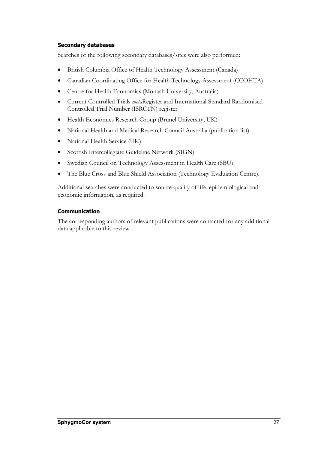#### **Secondary databases**

Searches of the following secondary databases/sites were also performed:

- British Columbia Office of Health Technology Assessment (Canada)
- Canadian Coordinating Office for Health Technology Assessment (CCOHTA)
- Centre for Health Economics (Monash University, Australia)
- Current Controlled Trials *meta*Register and International Standard Randomised Controlled Trial Number (ISRCTN) register
- Health Economics Research Group (Brunel University, UK)
- National Health and Medical Research Council Australia (publication list)
- National Health Service (UK)
- Scottish Intercollegiate Guideline Network (SIGN)
- Swedish Council on Technology Assessment in Health Care (SBU)
- The Blue Cross and Blue Shield Association (Technology Evaluation Centre).

Additional searches were conducted to source quality of life, epidemiological and economic information, as required.

#### **Communication**

The corresponding authors of relevant publications were contacted for any additional data applicable to this review.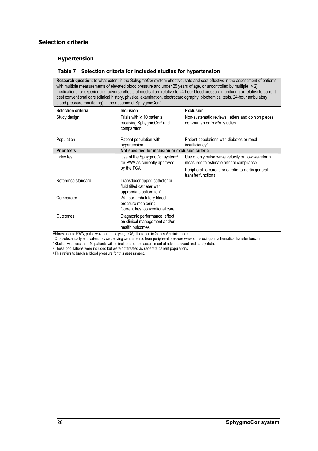#### **Selection criteria**

#### **Hypertension**

#### **Table 7 Selection criteria for included studies for hypertension**

**Research question**: to what extent is the SphygmoCor system effective, safe and cost-effective in the assessment of patients with multiple measurements of elevated blood pressure and under 25 years of age, or uncontrolled by multiple (> 2) medications, or experiencing adverse effects of medication, relative to 24-hour blood pressure monitoring or relative to current best conventional care (clinical history, physical examination, electrocardiography, biochemical tests, 24-hour ambulatory blood pressure monitoring) in the absence of SphygmoCor?

| <b>Selection criteria</b>                             | <b>Inclusion</b>                                                                                                                                                                                                                                                                                                                                   | <b>Exclusion</b>                                                                             |  |
|-------------------------------------------------------|----------------------------------------------------------------------------------------------------------------------------------------------------------------------------------------------------------------------------------------------------------------------------------------------------------------------------------------------------|----------------------------------------------------------------------------------------------|--|
| Study design                                          | Trials with $\geq 10$ patients<br>receiving SphygmoCor <sup>a</sup> and<br>comparatorb                                                                                                                                                                                                                                                             | Non-systematic reviews, letters and opinion pieces,<br>non-human or in vitro studies         |  |
| Population                                            | Patient population with<br>hypertension                                                                                                                                                                                                                                                                                                            | Patient populations with diabetes or renal<br>insufficiency <sup>c</sup>                     |  |
| <b>Prior tests</b>                                    | Not specified for inclusion or exclusion criteria                                                                                                                                                                                                                                                                                                  |                                                                                              |  |
| Index test                                            | Use of the SphygmoCor system <sup>a</sup><br>for PWA as currently approved                                                                                                                                                                                                                                                                         | Use of only pulse wave velocity or flow waveform<br>measures to estimate arterial compliance |  |
|                                                       | by the TGA                                                                                                                                                                                                                                                                                                                                         | Peripheral-to-carotid or carotid-to-aortic general<br>transfer functions                     |  |
| Reference standard                                    | Transducer tipped catheter or<br>fluid filled catheter with<br>appropriate calibration <sup>d</sup>                                                                                                                                                                                                                                                |                                                                                              |  |
| Comparator                                            | 24-hour ambulatory blood<br>pressure monitoring<br>Current best conventional care                                                                                                                                                                                                                                                                  |                                                                                              |  |
| Outcomes<br>2012/07/07<br>$MMA$ $\sim$ $\sim$<br>ALL. | Diagnostic performance; effect<br>on clinical management and/or<br>health outcomes<br>$\mathcal{L}$ and $\mathcal{L}$ are substituted in the contract of the contract of the contract of the contract of the contract of the contract of the contract of the contract of the contract of the contract of the contract of the<br>$-$ TO $-$ TL $ -$ |                                                                                              |  |

Abbreviations: PWA, pulse waveform analysis; TGA, Therapeutic Goods Administration.<br>
<sup>a</sup> Or a substantially equivalent device deriving central aortic from peripheral pressure waveforms using a mathematical transfer functio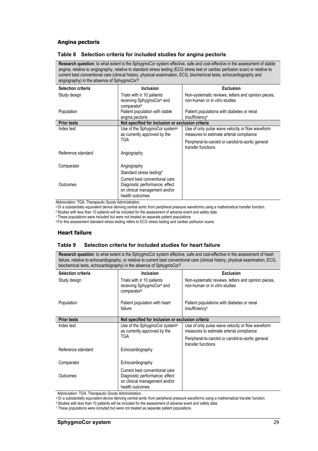#### **Angina pectoris**

#### **Table 8 Selection criteria for included studies for angina pectoris**

**Research question:** to what extent is the SphygmoCor system effective, safe and cost-effective in the assessment of stable angina, relative to angiography, relative to standard stress testing (ECG stress test or cardiac perfusion scan) or relative to current best conventional care (clinical history, physical examination, ECG, biochemical tests, echocardiography and angiography) in the absence of SphygmoCor?

| Selection criteria | Inclusion                                                                              | <b>Exclusion</b>                                                                                                                                                         |
|--------------------|----------------------------------------------------------------------------------------|--------------------------------------------------------------------------------------------------------------------------------------------------------------------------|
| Study design       | Trials with $\geq 10$ patients<br>receiving SphygmoCor <sup>a</sup> and<br>comparatorb | Non-systematic reviews, letters and opinion pieces,<br>non-human or in vitro studies                                                                                     |
| Population         | Patient population with stable<br>angina pectoris                                      | Patient populations with diabetes or renal<br>insufficiency <sup>c</sup>                                                                                                 |
| <b>Prior tests</b> | Not specified for inclusion or exclusion criteria                                      |                                                                                                                                                                          |
| Index test         | Use of the SphygmoCor system <sup>a</sup><br>as currently approved by the<br>TGA       | Use of only pulse wave velocity or flow waveform<br>measures to estimate arterial compliance<br>Peripheral-to-carotid or carotid-to-aortic general<br>transfer functions |
| Reference standard | Angiography                                                                            |                                                                                                                                                                          |
| Comparator         | Angiography<br>Standard stress testing <sup>d</sup><br>Current best conventional care  |                                                                                                                                                                          |
| Outcomes           | Diagnostic performance; effect<br>on clinical management and/or<br>health outcomes     |                                                                                                                                                                          |

Abbreviation: TGA, Therapeutic Goods Administration.

<sup>a</sup> Or a substantially equivalent device deriving central aortic from peripheral pressure waveforms using a mathematical transfer function.<br><sup>b</sup> Studies with less than 10 patients will be included for the assessment of adve

#### **Heart failure**

#### **Table 9 Selection criteria for included studies for heart failure**

**Research question**: to what extent is the SphygmoCor system effective, safe and cost-effective in the assessment of heart failure, relative to echocardiography, or relative to current best conventional care (clinical history, physical examination, ECG, biochemical tests, echocardiography) in the absence of SphygmoCor?

| <b>Selection criteria</b> | <b>Inclusion</b>                                                                                                     | <b>Exclusion</b>                                                                     |
|---------------------------|----------------------------------------------------------------------------------------------------------------------|--------------------------------------------------------------------------------------|
| Study design              | Trials with $\geq 10$ patients<br>receiving SphygmoCor <sup>a</sup> and<br>comparatorb                               | Non-systematic reviews, letters and opinion pieces,<br>non-human or in vitro studies |
| Population                | Patient population with heart<br>failure                                                                             | Patient populations with diabetes or renal<br>insufficiency <sup>c</sup>             |
| <b>Prior tests</b>        | Not specified for inclusion or exclusion criteria                                                                    |                                                                                      |
| Index test                | Use of the SphygmoCor system <sup>a</sup>                                                                            | Use of only pulse wave velocity or flow waveform                                     |
|                           | as currently approved by the                                                                                         | measures to estimate arterial compliance                                             |
|                           | <b>TGA</b>                                                                                                           | Peripheral-to-carotid or carotid-to-aortic general<br>transfer functions             |
| Reference standard        | Echocardiography                                                                                                     |                                                                                      |
| Comparator                | Echocardiography                                                                                                     |                                                                                      |
| Outcomes                  | Current best conventional care<br>Diagnostic performance; effect<br>on clinical management and/or<br>health outcomes |                                                                                      |

Abbreviation: TGA, Therapeutic Goods Administration.

<sup>a</sup> Or a substantially equivalent device deriving central aortic from peripheral pressure waveforms using a mathematical transfer function.<br><sup>b</sup> Studies with less than 10 patients will be included for the assessment of adve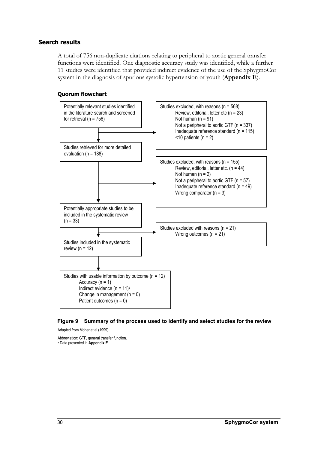#### **Search results**

A total of 756 non-duplicate citations relating to peripheral to aortic general transfer functions were identified. One diagnostic accuracy study was identified, while a further 11 studies were identified that provided indirect evidence of the use of the SphygmoCor system in the diagnosis of spurious systolic hypertension of youth (**Appendix E**).

#### **Quorum flowchart**



#### **Figure 9 Summary of the process used to identify and select studies for the review**

Adapted from Moher et al (1999).

Abbreviation: GTF, general transfer function.

a Data presented in **Appendix E.**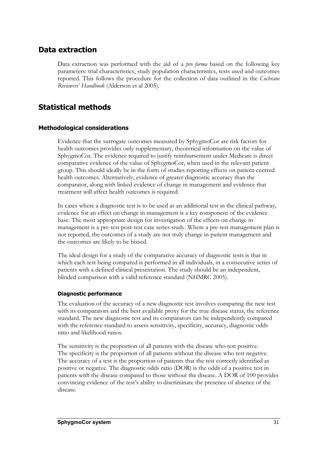### **Data extraction**

Data extraction was performed with the aid of a *pro forma* based on the following key parameters: trial characteristics, study population characteristics, tests used and outcomes reported. This follows the procedure for the collection of data outlined in the *Cochrane Reviewers' Handbook* (Alderson et al 2005).

## **Statistical methods**

#### **Methodological considerations**

Evidence that the surrogate outcomes measured by SphygmoCor are risk factors for health outcomes provides only supplementary, theoretical information on the value of SphygmoCor. The evidence required to justify reimbursement under Medicare is direct comparative evidence of the value of SphygmoCor, when used in the relevant patient group. This should ideally be in the form of studies reporting effects on patient-centred health outcomes. Alternatively, evidence of greater diagnostic accuracy than the comparator, along with linked evidence of change in management and evidence that treatment will affect health outcomes is required.

In cases where a diagnostic test is to be used as an additional test in the clinical pathway, evidence for an effect on change in management is a key component of the evidence base. The most appropriate design for investigation of the effects on change in management is a pre-test post-test case series study. Where a pre-test management plan is not reported, the outcomes of a study are not truly change in patient management and the outcomes are likely to be biased.

The ideal design for a study of the comparative accuracy of diagnostic tests is that in which each test being compared is performed in all individuals, in a consecutive series of patients with a defined clinical presentation. The study should be an independent, blinded comparison with a valid reference standard (NHMRC 2005).

#### **Diagnostic performance**

The evaluation of the accuracy of a new diagnostic test involves comparing the new test with its comparators and the best available proxy for the true disease status, the reference standard. The new diagnostic test and its comparators can be independently compared with the reference standard to assess sensitivity, specificity, accuracy, diagnostic odds ratio and likelihood ratios.

The sensitivity is the proportion of all patients with the disease who test positive. The specificity is the proportion of all patients without the disease who test negative. The accuracy of a test is the proportion of patients that the test correctly identified as positive or negative. The diagnostic odds ratio (DOR) is the odds of a positive test in patients with the disease compared to those without the disease. A DOR of 100 provides convincing evidence of the test's ability to discriminate the presence of absence of the disease.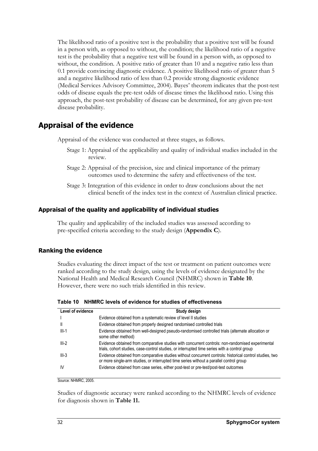The likelihood ratio of a positive test is the probability that a positive test will be found in a person with, as opposed to without, the condition; the likelihood ratio of a negative test is the probability that a negative test will be found in a person with, as opposed to without, the condition. A positive ratio of greater than 10 and a negative ratio less than 0.1 provide convincing diagnostic evidence. A positive likelihood ratio of greater than 5 and a negative likelihood ratio of less than 0.2 provide strong diagnostic evidence (Medical Services Advisory Committee, 2004). Bayes' theorem indicates that the post-test odds of disease equals the pre-test odds of disease times the likelihood ratio. Using this approach, the post-test probability of disease can be determined, for any given pre-test disease probability.

### **Appraisal of the evidence**

Appraisal of the evidence was conducted at three stages, as follows.

- Stage 1: Appraisal of the applicability and quality of individual studies included in the review.
- Stage 2: Appraisal of the precision, size and clinical importance of the primary outcomes used to determine the safety and effectiveness of the test.
- Stage 3: Integration of this evidence in order to draw conclusions about the net clinical benefit of the index test in the context of Australian clinical practice.

#### **Appraisal of the quality and applicability of individual studies**

The quality and applicability of the included studies was assessed according to pre-specified criteria according to the study design (**Appendix C**).

#### **Ranking the evidence**

Studies evaluating the direct impact of the test or treatment on patient outcomes were ranked according to the study design, using the levels of evidence designated by the National Health and Medical Research Council (NHMRC) shown in **Table 10**. However, there were no such trials identified in this review.

**Table 10 NHMRC levels of evidence for studies of effectiveness** 

| Level of evidence | Study design                                                                                                                                                                                       |
|-------------------|----------------------------------------------------------------------------------------------------------------------------------------------------------------------------------------------------|
|                   | Evidence obtained from a systematic review of level II studies                                                                                                                                     |
| Ш                 | Evidence obtained from properly designed randomised controlled trials                                                                                                                              |
| $III-1$           | Evidence obtained from well-designed pseudo-randomised controlled trials (alternate allocation or<br>some other method)                                                                            |
| $III-2$           | Evidence obtained from comparative studies with concurrent controls: non-randomised experimental<br>trials, cohort studies, case-control studies, or interrupted time series with a control group  |
| $III-3$           | Evidence obtained from comparative studies without concurrent controls: historical control studies, two<br>or more single-arm studies, or interrupted time series without a parallel control group |
| IV                | Evidence obtained from case series, either post-test or pre-test/post-test outcomes                                                                                                                |

Source: NHMRC, 2005.

Studies of diagnostic accuracy were ranked according to the NHMRC levels of evidence for diagnosis shown in **Table 11.**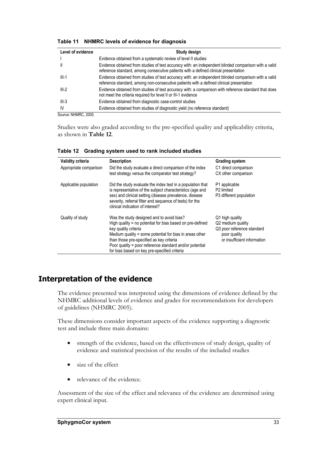| Level of evidence | Study design                                                                                                                                                                                    |
|-------------------|-------------------------------------------------------------------------------------------------------------------------------------------------------------------------------------------------|
|                   | Evidence obtained from a systematic review of level II studies                                                                                                                                  |
|                   | Evidence obtained from studies of test accuracy with: an independent blinded comparison with a valid<br>reference standard, among consecutive patients with a defined clinical presentation     |
| $III-1$           | Evidence obtained from studies of test accuracy with: an independent blinded comparison with a valid<br>reference standard, among non-consecutive patients with a defined clinical presentation |
| $III-2$           | Evidence obtained from studies of test accuracy with: a comparison with reference standard that does<br>not meet the criteria required for level II or III-1 evidence                           |
| $III-3$           | Evidence obtained from diagnostic case-control studies                                                                                                                                          |
| IV                | Evidence obtained from studies of diagnostic yield (no reference standard)                                                                                                                      |

**Table 11 NHMRC levels of evidence for diagnosis** 

Source: NHMRC, 2005.

Studies were also graded according to the pre-specified quality and applicability criteria, as shown in **Table 12**.

| <b>Validity criteria</b> | <b>Description</b>                                                                                                                                                                                                                                                                                                                               | <b>Grading system</b>                                                                                             |
|--------------------------|--------------------------------------------------------------------------------------------------------------------------------------------------------------------------------------------------------------------------------------------------------------------------------------------------------------------------------------------------|-------------------------------------------------------------------------------------------------------------------|
| Appropriate comparison   | Did the study evaluate a direct comparison of the index                                                                                                                                                                                                                                                                                          | C1 direct comparison                                                                                              |
|                          | test strategy versus the comparator test strategy?                                                                                                                                                                                                                                                                                               | CX other comparison                                                                                               |
| Applicable population    | Did the study evaluate the index test in a population that<br>is representative of the subject characteristics (age and<br>sex) and clinical setting (disease prevalence, disease<br>severity, referral filter and sequence of tests) for the                                                                                                    | P1 applicable<br>P <sub>2</sub> limited<br>P3 different population                                                |
|                          | clinical indication of interest?                                                                                                                                                                                                                                                                                                                 |                                                                                                                   |
| Quality of study         | Was the study designed and to avoid bias?<br>High quality = no potential for bias based on pre-defined<br>key quality criteria<br>Medium quality = some potential for bias in areas other<br>than those pre-specified as key criteria<br>Poor quality = poor reference standard and/or potential<br>for bias based on key pre-specified criteria | Q1 high quality<br>Q2 medium quality<br>Q3 poor reference standard<br>poor quality<br>or insufficient information |

**Table 12 Grading system used to rank included studies** 

## **Interpretation of the evidence**

The evidence presented was interpreted using the dimensions of evidence defined by the NHMRC additional levels of evidence and grades for recommendations for developers of guidelines (NHMRC 2005).

These dimensions consider important aspects of the evidence supporting a diagnostic test and include three main domains:

- strength of the evidence, based on the effectiveness of study design, quality of evidence and statistical precision of the results of the included studies
- size of the effect
- relevance of the evidence.

Assessment of the size of the effect and relevance of the evidence are determined using expert clinical input.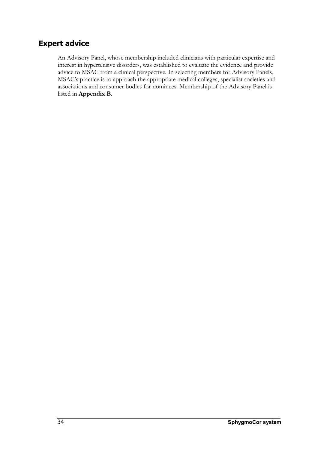### **Expert advice**

An Advisory Panel, whose membership included clinicians with particular expertise and interest in hypertensive disorders, was established to evaluate the evidence and provide advice to MSAC from a clinical perspective. In selecting members for Advisory Panels, MSAC's practice is to approach the appropriate medical colleges, specialist societies and associations and consumer bodies for nominees. Membership of the Advisory Panel is listed in **Appendix B**.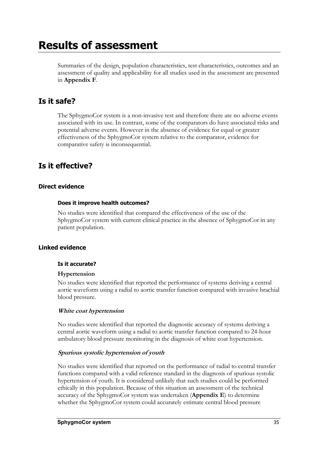## **Results of assessment**

Summaries of the design, population characteristics, test characteristics, outcomes and an assessment of quality and applicability for all studies used in the assessment are presented in **Appendix F**.

### **Is it safe?**

The SphygmoCor system is a non-invasive test and therefore there are no adverse events associated with its use. In contrast, some of the comparators do have associated risks and potential adverse events. However in the absence of evidence for equal or greater effectiveness of the SphygmoCor system relative to the comparator, evidence for comparative safety is inconsequential.

## **Is it effective?**

#### **Direct evidence**

#### **Does it improve health outcomes?**

No studies were identified that compared the effectiveness of the use of the SphygmoCor system with current clinical practice in the absence of SphygmoCor in any patient population.

#### **Linked evidence**

#### **Is it accurate?**

#### **Hypertension**

No studies were identified that reported the performance of systems deriving a central aortic waveform using a radial to aortic transfer function compared with invasive brachial blood pressure.

#### **White coat hypertension**

No studies were identified that reported the diagnostic accuracy of systems deriving a central aortic waveform using a radial to aortic transfer function compared to 24-hour ambulatory blood pressure monitoring in the diagnosis of white coat hypertension.

#### **Spurious systolic hypertension of youth**

No studies were identified that reported on the performance of radial to central transfer functions compared with a valid reference standard in the diagnosis of spurious systolic hypertension of youth. It is considered unlikely that such studies could be performed ethically in this population. Because of this situation an assessment of the technical accuracy of the SphygmoCor system was undertaken (**Appendix E**) to determine whether the SphygmoCor system could accurately estimate central blood pressure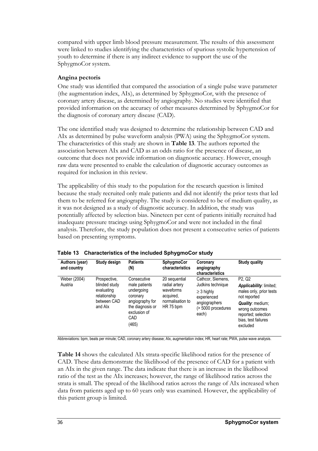compared with upper limb blood pressure measurement. The results of this assessment were linked to studies identifying the characteristics of spurious systolic hypertension of youth to determine if there is any indirect evidence to support the use of the SphygmoCor system.

#### **Angina pectoris**

One study was identified that compared the association of a single pulse wave parameter (the augmentation index, AIx), as determined by SphygmoCor, with the presence of coronary artery disease, as determined by angiography. No studies were identified that provided information on the accuracy of other measures determined by SphygmoCor for the diagnosis of coronary artery disease (CAD).

The one identified study was designed to determine the relationship between CAD and AIx as determined by pulse waveform analysis (PWA) using the SphygmoCor system. The characteristics of this study are shown in **Table 13**. The authors reported the association between AIx and CAD as an odds ratio for the presence of disease, an outcome that does not provide information on diagnostic accuracy. However, enough raw data were presented to enable the calculation of diagnostic accuracy outcomes as required for inclusion in this review.

The applicability of this study to the population for the research question is limited because the study recruited only male patients and did not identify the prior tests that led them to be referred for angiography. The study is considered to be of medium quality, as it was not designed as a study of diagnostic accuracy. In addition, the study was potentially affected by selection bias. Nineteen per cent of patients initially recruited had inadequate pressure tracings using SphygmoCor and were not included in the final analysis. Therefore, the study population does not present a consecutive series of patients based on presenting symptoms.

| Authors (year)<br>and country | Study design                                                                          | <b>Patients</b><br>(N)                                                                                                               | <b>SphygmoCor</b><br>characteristics                                                      | Coronary<br>angiography<br>characteristics                                                                               | <b>Study quality</b>                                                                                                                                                                                         |
|-------------------------------|---------------------------------------------------------------------------------------|--------------------------------------------------------------------------------------------------------------------------------------|-------------------------------------------------------------------------------------------|--------------------------------------------------------------------------------------------------------------------------|--------------------------------------------------------------------------------------------------------------------------------------------------------------------------------------------------------------|
| Weber (2004)<br>Austria       | Prospective,<br>blinded study<br>evaluating<br>relationship<br>between CAD<br>and Alx | Consecutive<br>male patients<br>undergoing<br>coronary<br>angiography for<br>the diagnosis or<br>exclusion of<br><b>CAD</b><br>(465) | 20 sequential<br>radial artery<br>waveforms<br>acquired,<br>normalisation to<br>HR 75 bpm | Cathcor, Siemens,<br>Judkins technique<br>$\geq$ 3 highly<br>experienced<br>angiographers<br>(> 5000 procedures<br>each) | P <sub>2</sub> . Q <sub>2</sub><br>Applicability: limited;<br>males only, prior tests<br>not reported<br><b>Quality: medium:</b><br>wrong outcomes<br>reported; selection<br>bias, test failures<br>excluded |

|  |  |  | Table 13 Characteristics of the included SphygmoCor study |
|--|--|--|-----------------------------------------------------------|
|--|--|--|-----------------------------------------------------------|

Abbreviations*:* bpm, beats per minute; CAD, coronary artery disease; AIx, augmentation index; HR, heart rate; PWA, pulse wave analysis.

**Table 14** shows the calculated AIx strata-specific likelihood ratios for the presence of CAD. These data demonstrate the likelihood of the presence of CAD for a patient with an AIx in the given range. The data indicate that there is an increase in the likelihood ratio of the test as the AIx increases; however, the range of likelihood ratios across the strata is small. The spread of the likelihood ratios across the range of AIx increased when data from patients aged up to 60 years only was examined. However, the applicability of this patient group is limited.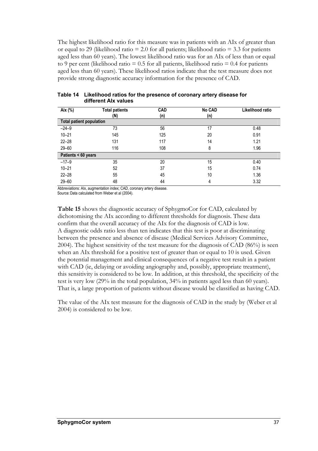The highest likelihood ratio for this measure was in patients with an AIx of greater than or equal to 29 (likelihood ratio  $= 2.0$  for all patients; likelihood ratio  $= 3.3$  for patients aged less than 60 years). The lowest likelihood ratio was for an AIx of less than or equal to 9 per cent (likelihood ratio  $= 0.5$  for all patients, likelihood ratio  $= 0.4$  for patients aged less than 60 years). These likelihood ratios indicate that the test measure does not provide strong diagnostic accuracy information for the presence of CAD.

| Aix (%)                         | <b>Total patients</b><br>(N) | <b>CAD</b><br>(n) | <b>No CAD</b><br>(n) | Likelihood ratio |
|---------------------------------|------------------------------|-------------------|----------------------|------------------|
| <b>Total patient population</b> |                              |                   |                      |                  |
| $-24-9$                         | 73                           | 56                | 17                   | 0.48             |
| $10 - 21$                       | 145                          | 125               | 20                   | 0.91             |
| $22 - 28$                       | 131                          | 117               | 14                   | 1.21             |
| $29 - 60$                       | 116                          | 108               | 8                    | 1.96             |
| Patients < 60 years             |                              |                   |                      |                  |
| $-17-9$                         | 35                           | 20                | 15                   | 0.40             |
| $10 - 21$                       | 52                           | 37                | 15                   | 0.74             |
| $22 - 28$                       | 55                           | 45                | 10                   | 1.36             |
| $29 - 60$                       | 48                           | 44                | 4                    | 3.32             |

**Table 14 Likelihood ratios for the presence of coronary artery disease for different AIx values** 

Abbreviations: AIx, augmentation index; CAD, coronary artery disease.

Source:Data calculated from Weber et al (2004).

**Table 15** shows the diagnostic accuracy of SphygmoCor for CAD, calculated by dichotomising the AIx according to different thresholds for diagnosis. These data confirm that the overall accuracy of the AIx for the diagnosis of CAD is low. A diagnostic odds ratio less than ten indicates that this test is poor at discriminating between the presence and absence of disease (Medical Services Advisory Committee, 2004). The highest sensitivity of the test measure for the diagnosis of CAD (86%) is seen when an AIx threshold for a positive test of greater than or equal to 10 is used. Given the potential management and clinical consequences of a negative test result in a patient with CAD (ie, delaying or avoiding angiography and, possibly, appropriate treatment), this sensitivity is considered to be low. In addition, at this threshold, the specificity of the test is very low (29% in the total population, 34% in patients aged less than 60 years). That is, a large proportion of patients without disease would be classified as having CAD.

The value of the AIx test measure for the diagnosis of CAD in the study by (Weber et al 2004) is considered to be low.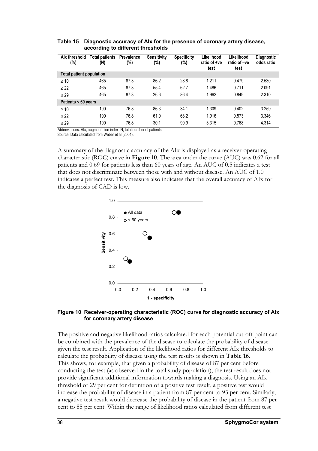| Alx threshold<br>(%)            | <b>Total patients</b><br>(N) | <b>Prevalence</b><br>(%) | <b>Sensitivity</b><br>(%) | <b>Specificity</b><br>(%) | Likelihood<br>ratio of +ve<br>test | Likelihood<br>ratio of -ve<br>test | <b>Diagnostic</b><br>odds ratio |
|---------------------------------|------------------------------|--------------------------|---------------------------|---------------------------|------------------------------------|------------------------------------|---------------------------------|
| <b>Total patient population</b> |                              |                          |                           |                           |                                    |                                    |                                 |
| $\geq 10$                       | 465                          | 87.3                     | 86.2                      | 28.8                      | 1.211                              | 0.479                              | 2.530                           |
| > 22                            | 465                          | 87.3                     | 55.4                      | 62.7                      | 1.486                              | 0.711                              | 2.091                           |
| $\geq$ 29                       | 465                          | 87.3                     | 26.6                      | 86.4                      | 1.962                              | 0.849                              | 2.310                           |
| Patients < 60 years             |                              |                          |                           |                           |                                    |                                    |                                 |
| $\geq 10$                       | 190                          | 76.8                     | 86.3                      | 34.1                      | 1.309                              | 0.402                              | 3.259                           |
| > 22                            | 190                          | 76.8                     | 61.0                      | 68.2                      | 1.916                              | 0.573                              | 3.346                           |
| $\geq$ 29                       | 190                          | 76.8                     | 30.1                      | 90.9                      | 3.315                              | 0.768                              | 4.314                           |

**Table 15 Diagnostic accuracy of AIx for the presence of coronary artery disease, according to different thresholds**

Abbreviations: AIx, augmentation index; N, total number of patients. Source: Data calculated from Weber et al (2004).

A summary of the diagnostic accuracy of the AIx is displayed as a receiver-operating characteristic (ROC) curve in **Figure 10**. The area under the curve (AUC) was 0.62 for all patients and 0.69 for patients less than 60 years of age. An AUC of 0.5 indicates a test that does not discriminate between those with and without disease. An AUC of 1.0 indicates a perfect test. This measure also indicates that the overall accuracy of AIx for the diagnosis of CAD is low.



#### **Figure 10 Receiver-operating characteristic (ROC) curve for diagnostic accuracy of AIx for coronary artery disease**

The positive and negative likelihood ratios calculated for each potential cut-off point can be combined with the prevalence of the disease to calculate the probability of disease given the test result. Application of the likelihood ratios for different AIx thresholds to calculate the probability of disease using the test results is shown in **Table 16**. This shows, for example, that given a probability of disease of 87 per cent before conducting the test (as observed in the total study population), the test result does not provide significant additional information towards making a diagnosis. Using an AIx threshold of 29 per cent for definition of a positive test result, a positive test would increase the probability of disease in a patient from 87 per cent to 93 per cent. Similarly, a negative test result would decrease the probability of disease in the patient from 87 per cent to 85 per cent. Within the range of likelihood ratios calculated from different test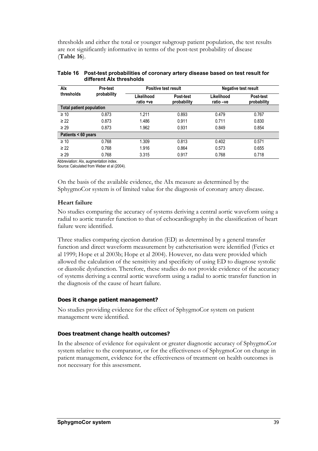thresholds and either the total or younger subgroup patient population, the test results are not significantly informative in terms of the post-test probability of disease (**Table 16**).

| Alx                             | <b>Pre-test</b> | <b>Positive test result</b> |                          | <b>Negative test result</b> |                          |
|---------------------------------|-----------------|-----------------------------|--------------------------|-----------------------------|--------------------------|
| thresholds                      | probability     | Likelihood<br>ratio +ve     | Post-test<br>probability | Likelihood<br>ratio -ve     | Post-test<br>probability |
| <b>Total patient population</b> |                 |                             |                          |                             |                          |
| $\geq 10$                       | 0.873           | 1.211                       | 0.893                    | 0.479                       | 0.767                    |
| $\geq$ 22                       | 0.873           | 1.486                       | 0.911                    | 0.711                       | 0.830                    |
| $\geq$ 29                       | 0.873           | 1.962                       | 0.931                    | 0.849                       | 0.854                    |
| Patients < 60 years             |                 |                             |                          |                             |                          |
| $\geq 10$                       | 0.768           | 1.309                       | 0.813                    | 0.402                       | 0.571                    |
| $\geq$ 22                       | 0.768           | 1.916                       | 0.864                    | 0.573                       | 0.655                    |
| $\geq$ 29                       | 0.768           | 3.315                       | 0.917                    | 0.768                       | 0.718                    |

| Table 16 Post-test probabilities of coronary artery disease based on test result for |
|--------------------------------------------------------------------------------------|
| different Alx thresholds                                                             |

Abbreviation: AIx, augmentation index.

Source:Calculated from Weber et al (2004).

On the basis of the available evidence, the AIx measure as determined by the SphygmoCor system is of limited value for the diagnosis of coronary artery disease.

#### **Heart failure**

No studies comparing the accuracy of systems deriving a central aortic waveform using a radial to aortic transfer function to that of echocardiography in the classification of heart failure were identified.

Three studies comparing ejection duration (ED) as determined by a general transfer function and direct waveform measurement by catheterisation were identified (Fetics et al 1999; Hope et al 2003b; Hope et al 2004). However, no data were provided which allowed the calculation of the sensitivity and specificity of using ED to diagnose systolic or diastolic dysfunction. Therefore, these studies do not provide evidence of the accuracy of systems deriving a central aortic waveform using a radial to aortic transfer function in the diagnosis of the cause of heart failure.

#### **Does it change patient management?**

No studies providing evidence for the effect of SphygmoCor system on patient management were identified.

#### **Does treatment change health outcomes?**

In the absence of evidence for equivalent or greater diagnostic accuracy of SphygmoCor system relative to the comparator, or for the effectiveness of SphygmoCor on change in patient management, evidence for the effectiveness of treatment on health outcomes is not necessary for this assessment.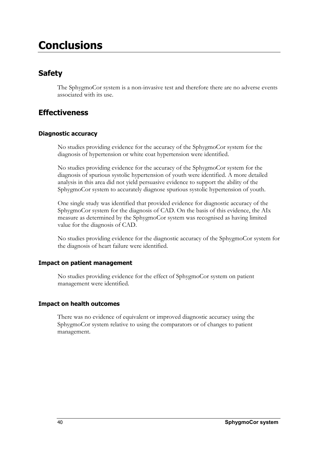## **Conclusions**

## **Safety**

The SphygmoCor system is a non-invasive test and therefore there are no adverse events associated with its use.

### **Effectiveness**

### **Diagnostic accuracy**

No studies providing evidence for the accuracy of the SphygmoCor system for the diagnosis of hypertension or white coat hypertension were identified.

No studies providing evidence for the accuracy of the SphygmoCor system for the diagnosis of spurious systolic hypertension of youth were identified. A more detailed analysis in this area did not yield persuasive evidence to support the ability of the SphygmoCor system to accurately diagnose spurious systolic hypertension of youth.

One single study was identified that provided evidence for diagnostic accuracy of the SphygmoCor system for the diagnosis of CAD. On the basis of this evidence, the AIx measure as determined by the SphygmoCor system was recognised as having limited value for the diagnosis of CAD.

No studies providing evidence for the diagnostic accuracy of the SphygmoCor system for the diagnosis of heart failure were identified.

### **Impact on patient management**

No studies providing evidence for the effect of SphygmoCor system on patient management were identified.

### **Impact on health outcomes**

There was no evidence of equivalent or improved diagnostic accuracy using the SphygmoCor system relative to using the comparators or of changes to patient management.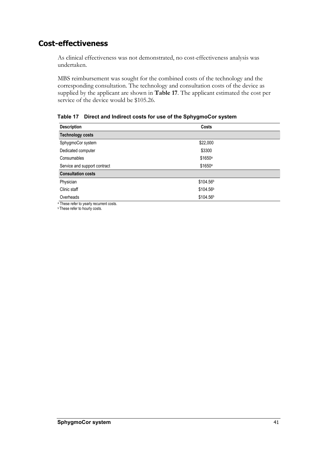### **Cost-effectiveness**

As clinical effectiveness was not demonstrated, no cost-effectiveness analysis was undertaken.

MBS reimbursement was sought for the combined costs of the technology and the corresponding consultation. The technology and consultation costs of the device as supplied by the applicant are shown in **Table 17**. The applicant estimated the cost per service of the device would be \$105.26.

**Description** Costs **Technology costs**  SphygmoCor system  $$22,000$ Dedicated computer \$3300 Consumables \$1650<sup>a</sup> Service and support contract \$1650a **Consultation costs**  Physician \$104.56b Clinic staff  $$104.56<sup>b</sup>$ Overheads \$104.56b

**Table 17 Direct and Indirect costs for use of the SphygmoCor system** 

a These refer to yearly recurrent costs.

**b** These refer to hourly costs.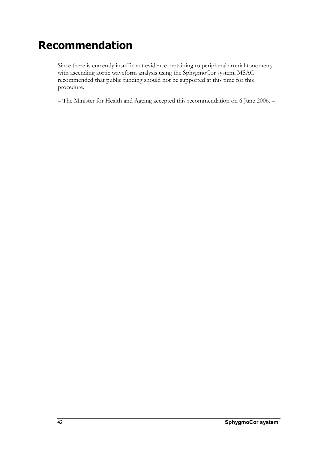## **Recommendation**

Since there is currently insufficient evidence pertaining to peripheral arterial tonometry with ascending aortic waveform analysis using the SphygmoCor system, MSAC recommended that public funding should not be supported at this time for this procedure.

– The Minister for Health and Ageing accepted this recommendation on 6 June 2006. –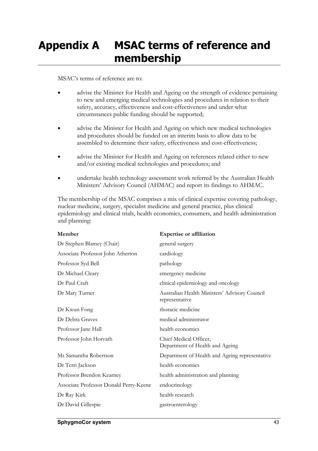## **Appendix A MSAC terms of reference and membership**

#### MSAC's terms of reference are to:

- advise the Minister for Health and Ageing on the strength of evidence pertaining to new and emerging medical technologies and procedures in relation to their safety, accuracy, effectiveness and cost-effectiveness and under what circumstances public funding should be supported;
- advise the Minister for Health and Ageing on which new medical technologies and procedures should be funded on an interim basis to allow data to be assembled to determine their safety, effectiveness and cost-effectiveness;
- advise the Minister for Health and Ageing on references related either to new and/or existing medical technologies and procedures; and
- undertake health technology assessment work referred by the Australian Health Ministers' Advisory Council (AHMAC) and report its findings to AHMAC.

The membership of the MSAC comprises a mix of clinical expertise covering pathology, nuclear medicine, surgery, specialist medicine and general practice, plus clinical epidemiology and clinical trials, health economics, consumers, and health administration and planning:

| Member                                 | <b>Expertise or affiliation</b>                                 |
|----------------------------------------|-----------------------------------------------------------------|
| Dr Stephen Blamey (Chair)              | general surgery                                                 |
| Associate Professor John Atherton      | cardiology                                                      |
| Professor Syd Bell                     | pathology                                                       |
| Dr Michael Cleary                      | emergency medicine                                              |
| Dr Paul Craft                          | clinical epidemiology and oncology                              |
| Dr Mary Turner                         | Australian Health Ministers' Advisory Council<br>representative |
| Dr Kwun Fong                           | thoracic medicine                                               |
| Dr Debra Graves                        | medical administrator                                           |
| Professor Jane Hall                    | health economics                                                |
| Professor John Horvath                 | Chief Medical Officer,<br>Department of Health and Ageing       |
| Ms Samantha Robertson                  | Department of Health and Ageing representative                  |
| Dr Terri Jackson                       | health economics                                                |
| Professor Brendon Kearney              | health administration and planning                              |
| Associate Professor Donald Perry-Keene | endocrinology                                                   |
| Dr Ray Kirk                            | health research                                                 |
| Dr David Gillespie                     | gastroenterology                                                |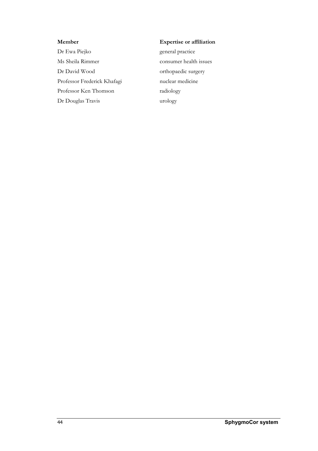Dr Ewa Piejko general practice Ms Sheila Rimmer consumer health issues Dr David Wood orthopaedic surgery Professor Frederick Khafagi nuclear medicine Professor Ken Thomson radiology Dr Douglas Travis urology

#### **Member Expertise or affiliation**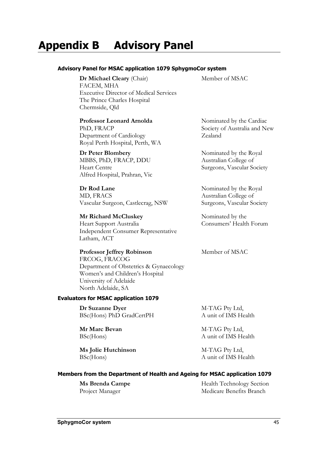## **Appendix B Advisory Panel**

#### **Advisory Panel for MSAC application 1079 SphygmoCor system**

**Dr Michael Cleary** (Chair) FACEM, MHA Executive Director of Medical Services The Prince Charles Hospital Chermside, Qld

#### **Professor Leonard Arnolda**

PhD, FRACP Department of Cardiology Royal Perth Hospital, Perth, WA

#### **Dr Peter Blombery**

MBBS, PhD, FRACP, DDU Heart Centre Alfred Hospital, Prahran, Vic

**Dr Rod Lane** MD, FRACS Vascular Surgeon, Castlecrag, NSW

#### **Mr Richard McCluskey**

Heart Support Australia Independent Consumer Representative Latham, ACT

### **Professor Jeffrey Robinson**

FRCOG, FRACOG Department of Obstetrics & Gynaecology Women's and Children's Hospital University of Adelaide North Adelaide, SA

#### **Evaluators for MSAC application 1079**

 **Dr Suzanne Dyer**  BSc(Hons) PhD GradCertPH

 **Mr Marc Bevan**  BSc(Hons)

 **Ms Jolie Hutchinson**  BSc(Hons)

Member of MSAC

Nominated by the Cardiac Society of Australia and New Zealand

Nominated by the Royal Australian College of Surgeons, Vascular Society

Nominated by the Royal Australian College of Surgeons, Vascular Society

Nominated by the Consumers' Health Forum

Member of MSAC

M-TAG Pty Ltd, A unit of IMS Health

M-TAG Pty Ltd, A unit of IMS Health

M-TAG Pty Ltd, A unit of IMS Health

#### **Members from the Department of Health and Ageing for MSAC application 1079**

 **Ms Brenda Campe**  Project Manager

Health Technology Section Medicare Benefits Branch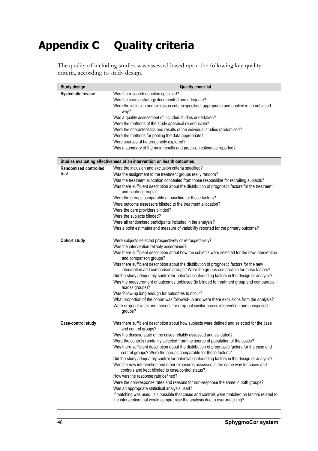## **Appendix C Quality criteria**

The quality of including studies was assessed based upon the following key quality criteria, according to study design.

| Study design              | <b>Quality checklist</b>                                                                                                                                        |
|---------------------------|-----------------------------------------------------------------------------------------------------------------------------------------------------------------|
| <b>Systematic review</b>  | Was the research question specified?                                                                                                                            |
|                           | Was the search strategy documented and adequate?                                                                                                                |
|                           | Were the inclusion and exclusion criteria specified, appropriate and applied in an unbiased<br>way?                                                             |
|                           | Was a quality assessment of included studies undertaken?                                                                                                        |
|                           | Were the methods of the study appraisal reproducible?                                                                                                           |
|                           | Were the characteristics and results of the individual studies randomised?                                                                                      |
|                           | Were the methods for pooling the data appropriate?                                                                                                              |
|                           | Were sources of heterogeneity explored?                                                                                                                         |
|                           | Was a summary of the main results and precision estimates reported?                                                                                             |
|                           | Studies evaluating effectiveness of an intervention on health outcomes                                                                                          |
| Randomised controlled     | Were the inclusion and exclusion criteria specified?                                                                                                            |
| trial                     | Was the assignment to the treatment groups really random?                                                                                                       |
|                           | Was the treatment allocation concealed from those responsible for recruiting subjects?                                                                          |
|                           | Was there sufficient description about the distribution of prognostic factors for the treatment<br>and control groups?                                          |
|                           | Were the groups comparable at baseline for these factors?                                                                                                       |
|                           | Were outcome assessors blinded to the treatment allocation?                                                                                                     |
|                           | Were the care providers blinded?                                                                                                                                |
|                           | Were the subjects blinded?                                                                                                                                      |
|                           | Were all randomised participants included in the analysis?                                                                                                      |
|                           | Was a point estimates and measure of variability reported for the primary outcome?                                                                              |
| <b>Cohort study</b>       | Were subjects selected prospectively or retrospectively?                                                                                                        |
|                           | Was the intervention reliably ascertained?                                                                                                                      |
|                           | Was there sufficient description about how the subjects were selected for the new intervention<br>and comparison groups?                                        |
|                           | Was there sufficient description about the distribution of prognostic factors for the new                                                                       |
|                           | intervention and comparison groups? Were the groups comparable for these factors?                                                                               |
|                           | Did the study adequately control for potential confounding factors in the design or analysis?                                                                   |
|                           | Was the measurement of outcomes unbiased (ie blinded to treatment group and comparable<br>across groups)?                                                       |
|                           | Was follow-up long enough for outcomes to occur?                                                                                                                |
|                           | What proportion of the cohort was followed-up and were there exclusions from the analysis?                                                                      |
|                           | Were drop-out rates and reasons for drop-out similar across intervention and unexposed<br>groups?                                                               |
| <b>Case-control study</b> | Was there sufficient description about how subjects were defined and selected for the case<br>and control groups?                                               |
|                           | Was the disease state of the cases reliably assessed and validated?                                                                                             |
|                           | Were the controls randomly selected from the source of population of the cases?                                                                                 |
|                           | Was there sufficient description about the distribution of prognostic factors for the case and<br>control groups? Were the groups comparable for these factors? |
|                           | Did the study adequately control for potential confounding factors in the design or analysis?                                                                   |
|                           | Was the new intervention and other exposures assessed in the same way for cases and<br>controls and kept blinded to case/control status?                        |
|                           | How was the response rate defined?                                                                                                                              |
|                           | Were the non-response rates and reasons for non-response the same in both groups?                                                                               |
|                           | Was an appropriate statistical analysis used?<br>If matching was used, is it possible that cases and controls were matched on factors related to                |
|                           | the intervention that would compromise the analysis due to over-matching?                                                                                       |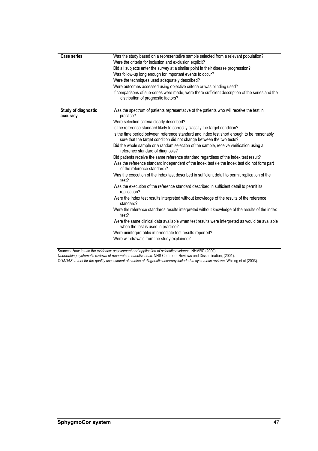| <b>Case series</b>              | Was the study based on a representative sample selected from a relevant population?                                                                                |
|---------------------------------|--------------------------------------------------------------------------------------------------------------------------------------------------------------------|
|                                 | Were the criteria for inclusion and exclusion explicit?                                                                                                            |
|                                 | Did all subjects enter the survey at a similar point in their disease progression?                                                                                 |
|                                 | Was follow-up long enough for important events to occur?                                                                                                           |
|                                 | Were the techniques used adequately described?                                                                                                                     |
|                                 | Were outcomes assessed using objective criteria or was blinding used?                                                                                              |
|                                 | If comparisons of sub-series were made, were there sufficient description of the series and the<br>distribution of prognostic factors?                             |
| Study of diagnostic<br>accuracy | Was the spectrum of patients representative of the patients who will receive the test in<br>practice?                                                              |
|                                 | Were selection criteria clearly described?                                                                                                                         |
|                                 | Is the reference standard likely to correctly classify the target condition?                                                                                       |
|                                 | Is the time period between reference standard and index test short enough to be reasonably<br>sure that the target condition did not change between the two tests? |
|                                 | Did the whole sample or a random selection of the sample, receive verification using a<br>reference standard of diagnosis?                                         |
|                                 | Did patients receive the same reference standard regardless of the index test result?                                                                              |
|                                 | Was the reference standard independent of the index test (ie the index test did not form part<br>of the reference standard)?                                       |
|                                 | Was the execution of the index test described in sufficient detail to permit replication of the<br>test?                                                           |
|                                 | Was the execution of the reference standard described in sufficient detail to permit its<br>replication?                                                           |
|                                 | Were the index test results interpreted without knowledge of the results of the reference<br>standard?                                                             |
|                                 | Were the reference standards results interpreted without knowledge of the results of the index<br>test?                                                            |
|                                 | Were the same clinical data available when test results were interpreted as would be available<br>when the test is used in practice?                               |
|                                 | Were uninterpretable/ intermediate test results reported?                                                                                                          |
|                                 | Were withdrawals from the study explained?                                                                                                                         |
|                                 |                                                                                                                                                                    |

Sources: *How to use the evidence: assessment and application of scientific evidence*. NHMRC (2000). *Undertaking systematic reviews of research on effectiveness*. NHS Centre for Reviews and Dissemination, (2001).

*QUADAS: a tool for the quality assessment of studies of diagnostic accuracy included in systematic reviews*. Whiting et al (2003).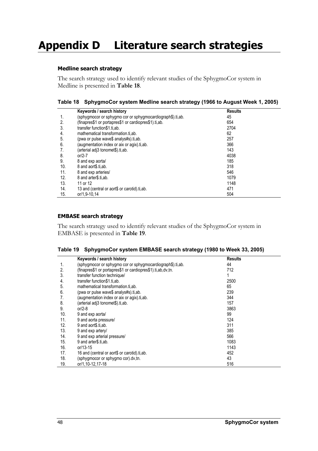## **Appendix D Literature search strategies**

#### **Medline search strategy**

The search strategy used to identify relevant studies of the SphygmoCor system in Medline is presented in **Table 18**.

|  |  | Table 18 SphygmoCor system Medline search strategy (1966 to August Week 1, 2005) |  |  |
|--|--|----------------------------------------------------------------------------------|--|--|
|--|--|----------------------------------------------------------------------------------|--|--|

|     | Keywords / search history                                  | <b>Results</b> |  |
|-----|------------------------------------------------------------|----------------|--|
| 1.  | (sphygmocor or sphygmo cor or sphygmocardiograph\$).ti,ab. | 45             |  |
| 2.  | (finapres\$1 or portapres\$1 or cardiopres\$1).ti,ab.      | 654            |  |
| 3.  | transfer function\$1.ti.ab.                                | 2704           |  |
| 4.  | mathematical transformation.ti.ab.                         | 62             |  |
| 5.  | (pwa or pulse wave\$ analys#s).ti.ab.                      | 257            |  |
| 6.  | (augmentation index or aix or agix).ti,ab.                 | 366            |  |
| 7.  | (arterial adi3 tonomet\$).ti.ab.                           | 143            |  |
| 8.  | $or/2-7$                                                   | 4038           |  |
| 9.  | 8 and exp aortal                                           | 185            |  |
| 10. | 8 and aort\$.ti.ab.                                        | 318            |  |
| 11. | 8 and exp arteries/                                        | 546            |  |
| 12. | 8 and arter \$.ti.ab.                                      | 1079           |  |
| 13. | 11 or 12                                                   | 1148           |  |
| 14. | 13 and (central or aort\$ or carotid).ti.ab.               | 471            |  |
| 15. | or/1.9-10.14                                               | 504            |  |

#### **EMBASE search strategy**

The search strategy used to identify relevant studies of the SphygmoCor system in EMBASE is presented in **Table 19**.

|  |  | Table 19 SphygmoCor system EMBASE search strategy (1980 to Week 33, 2005) |  |
|--|--|---------------------------------------------------------------------------|--|
|--|--|---------------------------------------------------------------------------|--|

|     | Keywords / search history                                   | <b>Results</b> |  |
|-----|-------------------------------------------------------------|----------------|--|
| 1.  | (sphygmocor or sphygmo cor or sphygmocardiograph\$).ti,ab.  | 44             |  |
| 2.  | (finapres\$1 or portapres\$1 or cardiopres\$1).ti,ab,dv,tn. | 712            |  |
| 3.  | transfer function technique/                                |                |  |
| 4.  | transfer function\$1.ti,ab.                                 | 2500           |  |
| 5.  | mathematical transformation.ti.ab.                          | 65             |  |
| 6.  | (pwa or pulse wave\$ analys#s).ti,ab.                       | 239            |  |
| 7.  | (augmentation index or aix or agix).ti,ab.                  | 344            |  |
| 8.  | (arterial adj3 tonomet\$).ti,ab.                            | 157            |  |
| 9.  | or/2-8                                                      | 3863           |  |
| 10. | 9 and exp aorta/                                            | 99             |  |
| 11. | 9 and aorta pressure/                                       | 124            |  |
| 12. | 9 and aort\$.ti.ab.                                         | 311            |  |
| 13. | 9 and exp artery/                                           | 385            |  |
| 14. | 9 and exp arterial pressure/                                | 566            |  |
| 15. | 9 and arter \$.ti.ab.                                       | 1083           |  |
| 16. | $or/13-15$                                                  | 1143           |  |
| 17. | 16 and (central or aort\$ or carotid).ti,ab.                | 452            |  |
| 18. | (sphygmocor or sphygmo cor).dv,tn.                          | 43             |  |
| 19. | or/1,10-12,17-18                                            | 516            |  |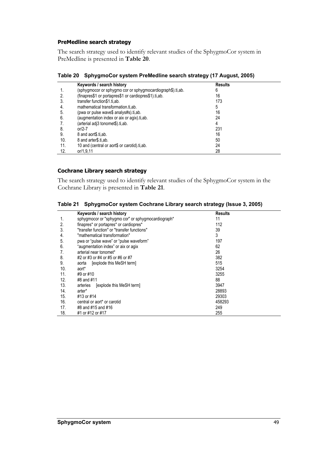#### **PreMedline search strategy**

The search strategy used to identify relevant studies of the SphygmoCor system in PreMedline is presented in **Table 20**.

**Table 20 SphygmoCor system PreMedline search strategy (17 August, 2005)** 

|     | Keywords / search history                                  | <b>Results</b> |  |
|-----|------------------------------------------------------------|----------------|--|
|     | (sphygmocor or sphygmo cor or sphygmocardiograph\$).ti,ab. | h              |  |
| 2.  | (finapres\$1 or portapres\$1 or cardiopres\$1).ti,ab.      | 16             |  |
| 3.  | transfer function\$1.ti,ab.                                | 173            |  |
| 4.  | mathematical transformation.ti.ab.                         | 5              |  |
| 5.  | (pwa or pulse wave\$ analys#s).ti,ab.                      | 16             |  |
| 6.  | (augmentation index or aix or agix).ti.ab.                 | 24             |  |
|     | (arterial adi3 tonomet\$).ti.ab.                           | 4              |  |
| 8.  | or/2-7                                                     | 231            |  |
| 9.  | 8 and aort\$.ti,ab.                                        | 16             |  |
| 10. | 8 and arter\$.ti.ab.                                       | 50             |  |
| 11. | 10 and (central or aort\$ or carotid).ti.ab.               | 24             |  |
| 12. | or/1,9,11                                                  | 28             |  |

#### **Cochrane Library search strategy**

The search strategy used to identify relevant studies of the SphygmoCor system in the Cochrane Library is presented in **Table 21**.

|  | Table 21 SphygmoCor system Cochrane Library search strategy (Issue 3, 2005) |  |  |  |
|--|-----------------------------------------------------------------------------|--|--|--|
|--|-----------------------------------------------------------------------------|--|--|--|

|     | Keywords / search history                          | <b>Results</b> |  |
|-----|----------------------------------------------------|----------------|--|
| 1.  | sphygmocor or "sphygmo cor" or sphygmocardiograph* | 11             |  |
| 2.  | finapres* or portapres* or cardiopres*             | 112            |  |
| 3.  | "transfer function" or "transfer functions"        | 39             |  |
| 4.  | "mathematical transformation"                      | 3              |  |
| 5.  | pwa or "pulse wave" or "pulse waveform"            | 197            |  |
| 6.  | "augmentation index" or aix or agix                | 62             |  |
| 7.  | arterial near tonomet*                             | 26             |  |
| 8.  | #2 or #3 or #4 or #5 or #6 or #7                   | 382            |  |
| 9.  | [explode this MeSH term]<br>aorta                  | 515            |  |
| 10. | aort*                                              | 3254           |  |
| 11. | #9 or #10                                          | 3255           |  |
| 12. | #8 and #11                                         | 88             |  |
| 13. | [explode this MeSH term]<br>arteries               | 3947           |  |
| 14. | arter*                                             | 28893          |  |
| 15. | #13 or #14                                         | 29303          |  |
| 16. | central or aort* or carotid                        | 458293         |  |
| 17. | #8 and #15 and #16                                 | 249            |  |
| 18. | #1 or #12 or #17                                   | 255            |  |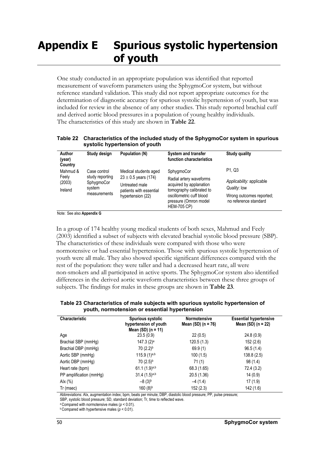## **Appendix E Spurious systolic hypertension of youth**

One study conducted in an appropriate population was identified that reported measurement of waveform parameters using the SphygmoCor system, but without reference standard validation. This study did not report appropriate outcomes for the determination of diagnostic accuracy for spurious systolic hypertension of youth, but was included for review in the absence of any other studies. This study reported brachial cuff and derived aortic blood pressures in a population of young healthy individuals. The characteristics of this study are shown in **Table 22**.

**Table 22 Characteristics of the included study of the SphygmoCor system in spurious systolic hypertension of youth** 

| Author<br>(year)<br>Country            | Study design                                                            | Population (N)                                                                                                      | System and transfer<br>function characteristics                                                                                                                         | <b>Study quality</b>                                                                                                             |
|----------------------------------------|-------------------------------------------------------------------------|---------------------------------------------------------------------------------------------------------------------|-------------------------------------------------------------------------------------------------------------------------------------------------------------------------|----------------------------------------------------------------------------------------------------------------------------------|
| Mahmud &<br>Feely<br>(2003)<br>Ireland | Case control<br>study reporting<br>SphygmoCor<br>system<br>measurements | Medical students aged<br>$23 \pm 0.5$ years (174)<br>Untreated male<br>patients with essential<br>hypertension (22) | SphygmoCor<br>Radial artery waveforms<br>acquired by applanation<br>tomography calibrated to<br>oscillometric cuff blood<br>pressure (Omron model<br><b>HEM-705 CP)</b> | P <sub>1</sub> .Q <sub>3</sub><br>Applicability: applicable<br>Quality: low<br>Wrong outcomes reported;<br>no reference standard |

Note: See also **Appendix G**

In a group of 174 healthy young medical students of both sexes, Mahmud and Feely (2003) identified a subset of subjects with elevated brachial systolic blood pressure (SBP). The characteristics of these individuals were compared with those who were normotensive or had essential hypertension. Those with spurious systolic hypertension of youth were all male. They also showed specific significant differences compared with the rest of the population: they were taller and had a decreased heart rate, all were non-smokers and all participated in active sports. The SphygmoCor system also identified differences in the derived aortic waveform characteristics between these three groups of subjects. The findings for males in these groups are shown in **Table 23**.

**Table 23 Characteristics of male subjects with spurious systolic hypertension of youth, normotension or essential hypertension** 

| <b>Characteristic</b>   | <b>Spurious systolic</b><br>hypertension of youth<br>Mean $(SD)$ (n = 11) | <b>Normotensive</b><br>Mean $(SD)$ (n = 76) | <b>Essential hypertensive</b><br>Mean $(SD)$ (n = 22) |
|-------------------------|---------------------------------------------------------------------------|---------------------------------------------|-------------------------------------------------------|
| Age                     | 23.5(0.9)                                                                 | 22(0.5)                                     | 24.8(0.9)                                             |
| Brachial SBP (mmHg)     | $147.3(2)$ <sup>a</sup>                                                   | 120.5(1.3)                                  | 152(2.6)                                              |
| Brachial DBP (mmHg)     | $70(2.2)^{b}$                                                             | 69.9(1)                                     | 96.5(1.4)                                             |
| Aortic SBP (mmHg)       | 115.9 $(1)^{a,b}$                                                         | 100(1.5)                                    | 138.8(2.5)                                            |
| Aortic DBP (mmHg)       | 70 (2.5) <sup>b</sup>                                                     | 71(1)                                       | 98 (1.4)                                              |
| Heart rate (bpm)        | $61.1(1.9)^{a,b}$                                                         | 68.3 (1.65)                                 | 72.4 (3.2)                                            |
| PP amplification (mmHq) | $31.4(1.5)^{a,b}$                                                         | 20.5 (1.36)                                 | 14(0.9)                                               |
| Alx (%)                 | $-8(3)$ <sup>b</sup>                                                      | $-4(1.4)$                                   | 17(1.9)                                               |
| Tr (msec)               | 160(8) <sup>b</sup>                                                       | 152 (2.3)                                   | 142(1.6)                                              |

Abbreviations: AIx, augmentation index; bpm, beats per minute; DBP, diastolic blood pressure; PP, pulse pressure;

SBP, systolic blood pressure; SD, standard deviation; Tr, time to reflected wave.

<sup>a</sup> Compared with normotensive males ( $p < 0.01$ ).<br><sup>b</sup> Compared with hypertensive males ( $p < 0.01$ ).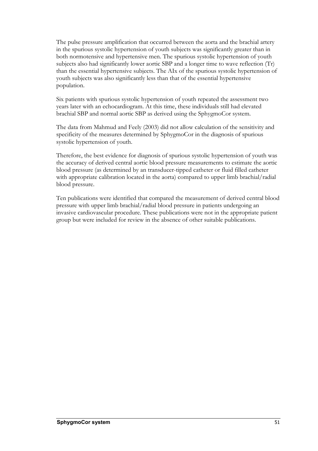The pulse pressure amplification that occurred between the aorta and the brachial artery in the spurious systolic hypertension of youth subjects was significantly greater than in both normotensive and hypertensive men. The spurious systolic hypertension of youth subjects also had significantly lower aortic SBP and a longer time to wave reflection (Tr) than the essential hypertensive subjects. The AIx of the spurious systolic hypertension of youth subjects was also significantly less than that of the essential hypertensive population.

Six patients with spurious systolic hypertension of youth repeated the assessment two years later with an echocardiogram. At this time, these individuals still had elevated brachial SBP and normal aortic SBP as derived using the SphygmoCor system.

The data from Mahmud and Feely (2003) did not allow calculation of the sensitivity and specificity of the measures determined by SphygmoCor in the diagnosis of spurious systolic hypertension of youth.

Therefore, the best evidence for diagnosis of spurious systolic hypertension of youth was the accuracy of derived central aortic blood pressure measurements to estimate the aortic blood pressure (as determined by an transducer-tipped catheter or fluid filled catheter with appropriate calibration located in the aorta) compared to upper limb brachial/radial blood pressure.

Ten publications were identified that compared the measurement of derived central blood pressure with upper limb brachial/radial blood pressure in patients undergoing an invasive cardiovascular procedure. These publications were not in the appropriate patient group but were included for review in the absence of other suitable publications.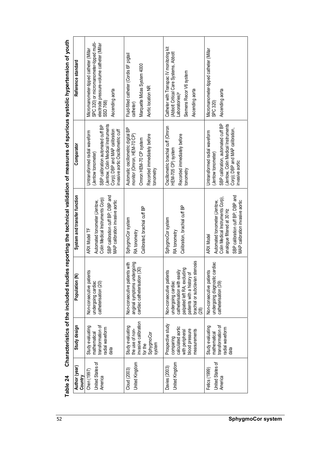| Marquette Midas System 4000<br>Siemens Recor V6 system<br>Aortic location NR<br>Ascending aorta<br>Ascending aorta<br>Ascending aorta<br>-aboratories) <sup>a</sup><br>SSD 768)<br>SPC 320)<br>catheter)<br>SBP calibration, automated cuff BP<br>Jentow, Colin Medical Instruments<br>Jentow, Colin Medical Instruments<br>SBP calibration automated cuff BP<br>Oscillometric brachial cuff (Omron<br>Automatic oscillometric digital BP<br>Corp); DBP and MAP calibration,<br>Corp); DBP and MAP calibration<br>nvasive aortic Oscillometric cuff<br>Untransformed radial waveform<br>Untransformed radial waveform<br>monitor (Omron, HEM-70 CP)<br>Recorded immediately before<br>Recorded immediately before<br>Omron HEM-70 CP system<br>HEM-705 CP) system<br>(Jentow tonometer)<br>(Jentow tonometer)<br>nvasive aortic<br>tonometry<br>tonometry<br>SBP calibration cuff BP; DBP and<br>SBP calibration cuff BP; DBP and<br>Colin Medical Instruments Corp)<br>Colin Medical Instruments Corp)<br>MAP calibration invasive aortic<br>MAP calibration invasive aortic<br>Automated tonometer (Jentow,<br>Automated tonometer (Jentow,<br>Calibration, brachial cuff BP<br>Calibrated, brachial cuff BP<br>analogue filtered at 30 Hz<br>SphygmoCor system<br>SphygmoCor system<br>ARX Model TF<br>RA tonometry<br>RA tonometry<br><b>ARX Model</b><br>brachial or subclavian stenosis<br>anginal symptoms undergoing<br>c cardiac<br>Non-consecutive patients with<br>cardiac catheterisation (30)<br>palpated left RA; excluding<br>catheterisation with easily<br>Non-consecutive patients<br>ents<br>ents<br>patients with a history of<br>undergoing diagnosti<br>Non-consecutive pati<br>Non-consecutive pati<br>undergoing cardiac<br>undergoing cardiac<br>catheterisation (20)<br>catheterisation (39)<br>(28) |                  | Study design                                                                     | Ιâ<br>Population | System and transfer function | Comparator | Reference standard                                                                                                               |
|--------------------------------------------------------------------------------------------------------------------------------------------------------------------------------------------------------------------------------------------------------------------------------------------------------------------------------------------------------------------------------------------------------------------------------------------------------------------------------------------------------------------------------------------------------------------------------------------------------------------------------------------------------------------------------------------------------------------------------------------------------------------------------------------------------------------------------------------------------------------------------------------------------------------------------------------------------------------------------------------------------------------------------------------------------------------------------------------------------------------------------------------------------------------------------------------------------------------------------------------------------------------------------------------------------------------------------------------------------------------------------------------------------------------------------------------------------------------------------------------------------------------------------------------------------------------------------------------------------------------------------------------------------------------------------------------------------------------------------------------------------------------------------------------------------------------------------|------------------|----------------------------------------------------------------------------------|------------------|------------------------------|------------|----------------------------------------------------------------------------------------------------------------------------------|
| nvasive calibration<br>Prospective study<br>Study evaluating<br>transformation of<br>Study evaluating<br>calculated aortic<br>radial waveform<br>the use of non-<br>plood pressure<br>measurements<br>with peripheral<br>mathematical<br>SphygmoCor<br>comparing<br>system<br>for the<br>data                                                                                                                                                                                                                                                                                                                                                                                                                                                                                                                                                                                                                                                                                                                                                                                                                                                                                                                                                                                                                                                                                                                                                                                                                                                                                                                                                                                                                                                                                                                                  | United States of | transformation of<br>Study evaluating<br>radial waveform<br>mathematical<br>data |                  |                              |            | SPC 320) or micromanometer-tipped multi-<br>electrode pressure-volume catheter (Millar<br>Micromanometer-tipped catheter (Millar |
|                                                                                                                                                                                                                                                                                                                                                                                                                                                                                                                                                                                                                                                                                                                                                                                                                                                                                                                                                                                                                                                                                                                                                                                                                                                                                                                                                                                                                                                                                                                                                                                                                                                                                                                                                                                                                                | United Kingdom   |                                                                                  |                  |                              |            | Fluid-filled catheter (Cordis 6F pigtail                                                                                         |
| Micromanometer-tipped catheter (Millar                                                                                                                                                                                                                                                                                                                                                                                                                                                                                                                                                                                                                                                                                                                                                                                                                                                                                                                                                                                                                                                                                                                                                                                                                                                                                                                                                                                                                                                                                                                                                                                                                                                                                                                                                                                         | United Kingdom   |                                                                                  |                  |                              |            | Catheter with Transpac IV monitoring kit<br>(Abbott Critical Care Systems, Abbott                                                |
|                                                                                                                                                                                                                                                                                                                                                                                                                                                                                                                                                                                                                                                                                                                                                                                                                                                                                                                                                                                                                                                                                                                                                                                                                                                                                                                                                                                                                                                                                                                                                                                                                                                                                                                                                                                                                                | United States of |                                                                                  |                  |                              |            |                                                                                                                                  |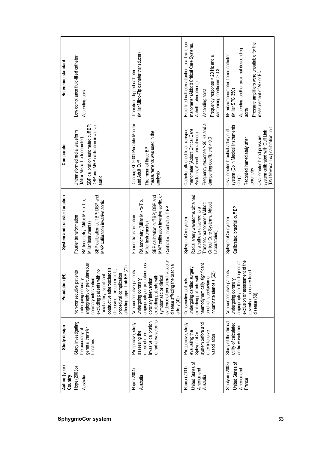| Reference standard           | Low compliance fluid-filled catheter<br>Ascending aorta                                                                                                                                                                                                                 | (Millar Mikro-Tip catheter transducer)<br>Transducer-tipped catheter                                                                                                                                                                                 | Fluid-filled catheter attached to a Transpac<br>manometer (Abbott Critical Care Systems,<br>Frequency response > 20 Hz and a<br>dampening coefficient > 0.3<br>Abbott Laboratories)<br>Ascending aorta | Pressure amplifiers were unsuitable for the<br>Ascending and/ or proximal descending<br>6F micromanometer-tipped catheter<br>measurement of AIx or ED<br>(Millar SPC 350)<br>aorta                                                    |
|------------------------------|-------------------------------------------------------------------------------------------------------------------------------------------------------------------------------------------------------------------------------------------------------------------------|------------------------------------------------------------------------------------------------------------------------------------------------------------------------------------------------------------------------------------------------------|--------------------------------------------------------------------------------------------------------------------------------------------------------------------------------------------------------|---------------------------------------------------------------------------------------------------------------------------------------------------------------------------------------------------------------------------------------|
| Comparator                   | SBP calibration automated cuff BP;<br>DBP and MAP calibration invasive<br>Untransformed radial waveform<br>(Millar Mikro-Tip tonometer)<br>aortic                                                                                                                       | Dinamap XL 9301 Portable Monitor<br>measurements was used in the<br>The mean of three BP<br>and Adult Cuff<br>analysis                                                                                                                               | Frequency response > 20 Hz and a<br>Catheter attached to a Transpac<br>manometer (Abbott Critical Care<br>Systems, Abbott Laboratories)<br>dampening coefficient > 0.3                                 | system (Colin Medical Instruments<br>(DNI Nevada Inc.) calibration unit<br>Oscillometric brachial artery cuff<br>system calibrated with Cuff Link<br>Oscillometric blood pressure<br>Recorded immediately after<br>tonometry<br>Corp) |
| System and transfer function | SBP calibration cuff BP; DBP and<br>MAP calibration invasive aortic<br>RA tonometry (Millar Mikro-Tip,<br>Millar Instruments)<br>Fourier transformation                                                                                                                 | MAP calibration invasive aortic, or<br>SBP calibration cuff BP; DBP and<br>RA tonometry (Millar Mikro-Tip,<br>Calibrated, brachial cuff BP<br>Fourier transformation<br>Millar Instruments)                                                          | Radial artery waveforms obtained<br>Transpac manometer (Abbott<br>Critical Care Systems, Abbott<br>by a catheter attached to a<br>SphygmoCor system<br>aboratories)                                    | Calibrated, brachial cuff BP<br>SphygmoCor system                                                                                                                                                                                     |
| Ē<br>Population              | angiography or percutaneous<br>BP (71)<br>lerosis<br>disease of the upper limb;<br>Non-consecutive patients<br>procedural complication<br>radial artery; significant<br>undergoing coronary<br>coronary intervention<br>obstructive atheroscl<br>affecting upper limb I | evidence of peripheral vascular<br>angiography or percutaneous<br>disease affecting the brachial<br>Non-consecutive patients<br>coronary intervention;<br>excluding patients with<br>symptomatic or clinical<br>undergoing coronary<br>artery $(42)$ | haemodynamically significant<br>undergoing cardiac surgery;<br>excluding patients with<br>(62)<br>Consecutive patients<br>brachial, subclavian<br>innominate stenosis                                  | nent of the<br>angiography for the diagnosis/<br>heart<br>Non-consecutive patients<br>undergoing coronary<br>exclusion or assessn<br>severity of coronary<br>disease (50)                                                             |
| Study design                 | Study investigating<br>general transfer<br>the accuracy of<br>functions                                                                                                                                                                                                 | of radial waveforms<br>invasive calibration<br>Prospective, study<br>assessing the<br>effect of non-                                                                                                                                                 | Prospective, study<br>system before and<br>evaluating the<br>after intensive<br>SphygmoCor<br>rasodilation                                                                                             | Study of the clinical<br>utility of calculated<br>aortic waveforms                                                                                                                                                                    |
| Author (year)<br>Country     | Hope (2003b)<br>Australia                                                                                                                                                                                                                                               | Hope (2004)<br>Australia                                                                                                                                                                                                                             | United States of<br>Pauca (2001)<br>America and<br>Australia                                                                                                                                           | United States of<br>Smulyan (2003)<br>America and<br>France                                                                                                                                                                           |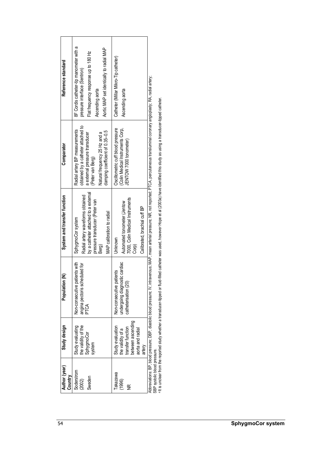| Reference standard           | 8F Cordis catheter-tip manometer with a<br>Aortic MAP set identically to radial MAP<br>Flat frequency response up to 180 Hz<br>pressure interface (Sentron)<br>Ascending aorta                | Catheter (Millar Mikro-Tip catheter)<br>Ascending aorta                                                            |
|------------------------------|-----------------------------------------------------------------------------------------------------------------------------------------------------------------------------------------------|--------------------------------------------------------------------------------------------------------------------|
| Comparator                   | obtained by a catheter attached to<br>Radial artery BP measurements<br>damping coefficient of 0.35-0.5<br>Natural frequency 25 Hz and a<br>a external pressure transducer<br>(Peter van Berg) | (Colin Medical Instruments Corp,<br>Oscillometric cuff blood pressure<br>JENTOW 7000 tonometer)                    |
| System and transfer function | by a catheter attached to a external<br>Radial artery waveforms obtained<br>pressure transducer (Peter van<br>MAP calibration to radial<br>SphygmoCor system<br>Berg)                         | 7000, Colin Medical Instruments<br>Automated tonometer (Jentow<br>Calibrated, brachial cuff BP<br>Unknown<br>Corp) |
| z<br>Population              | ents with<br>angina pectoris scheduled for<br>PTCA<br>Non-consecutive pati                                                                                                                    | c cardiac<br>ents<br>Non-consecutive pati<br>undergoing diagnosti<br>catheterisation (20)                          |
| Study design                 | the validity of the<br>Study evaluating<br>SphygmoCor<br>system                                                                                                                               | between ascending<br>Study evaluation<br>transfer function<br>aorta and radial<br>the validity of a<br>artery      |
| Author (year)<br>Country     | Soderstrom<br>Sweden<br>(2002)                                                                                                                                                                | <b>Takazawa</b><br>(1996)<br>$\widetilde{\Xi}$                                                                     |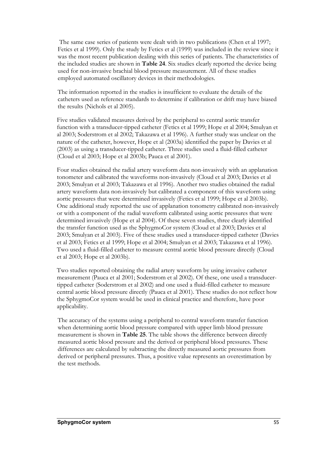The same case series of patients were dealt with in two publications (Chen et al 1997; Fetics et al 1999). Only the study by Fetics et al (1999) was included in the review since it was the most recent publication dealing with this series of patients. The characteristics of the included studies are shown in **Table 24**. Six studies clearly reported the device being used for non-invasive brachial blood pressure measurement. All of these studies employed automated oscillatory devices in their methodologies.

The information reported in the studies is insufficient to evaluate the details of the catheters used as reference standards to determine if calibration or drift may have biased the results (Nichols et al 2005).

Five studies validated measures derived by the peripheral to central aortic transfer function with a transducer-tipped catheter (Fetics et al 1999; Hope et al 2004; Smulyan et al 2003; Soderstrom et al 2002; Takazawa et al 1996). A further study was unclear on the nature of the catheter, however, Hope et al (2003a) identified the paper by Davies et al (2003) as using a transducer-tipped catheter. Three studies used a fluid-filled catheter (Cloud et al 2003; Hope et al 2003b; Pauca et al 2001).

Four studies obtained the radial artery waveform data non-invasively with an applanation tonometer and calibrated the waveforms non-invasively (Cloud et al 2003; Davies et al 2003; Smulyan et al 2003; Takazawa et al 1996). Another two studies obtained the radial artery waveform data non-invasively but calibrated a component of this waveform using aortic pressures that were determined invasively (Fetics et al 1999; Hope et al 2003b). One additional study reported the use of applanation tonometry calibrated non-invasively or with a component of the radial waveform calibrated using aortic pressures that were determined invasively (Hope et al 2004). Of these seven studies, three clearly identified the transfer function used as the SphygmoCor system (Cloud et al 2003; Davies et al 2003; Smulyan et al 2003). Five of these studies used a transducer-tipped catheter (Davies et al 2003; Fetics et al 1999; Hope et al 2004; Smulyan et al 2003; Takazawa et al 1996). Two used a fluid-filled catheter to measure central aortic blood pressure directly (Cloud et al 2003; Hope et al 2003b).

Two studies reported obtaining the radial artery waveform by using invasive catheter measurement (Pauca et al 2001; Soderstrom et al 2002). Of these, one used a transducertipped catheter (Soderstrom et al 2002) and one used a fluid-filled catheter to measure central aortic blood pressure directly (Pauca et al 2001). These studies do not reflect how the SphygmoCor system would be used in clinical practice and therefore, have poor applicability.

The accuracy of the systems using a peripheral to central waveform transfer function when determining aortic blood pressure compared with upper limb blood pressure measurement is shown in **Table 25**. The table shows the difference between directly measured aortic blood pressure and the derived or peripheral blood pressures. These differences are calculated by subtracting the directly measured aortic pressures from derived or peripheral pressures. Thus, a positive value represents an overestimation by the test methods.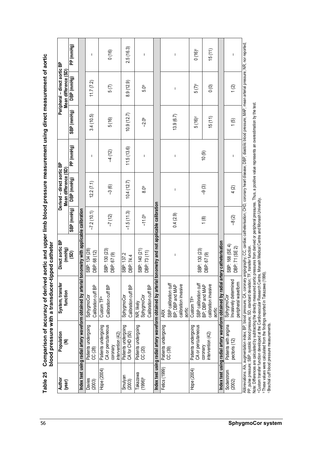| angiography; CC, cardiac catheterisation; CHD, coronary heart disease; DBP, diastolic blood pressure; MAP, mean arterial pressure; NR, nor reported;<br>PP (mmHg)<br>2.5(16.3)<br>15(11)<br>$0(16)^c$<br>0(16)<br>$\mathbf{I}$<br>$\mathbf{I}$<br>T<br>T<br>DBP (mmHg)<br>11.7(7.2)<br>8.9(12.9)<br>$5(7)^c$<br>5(7)<br>$\overline{0}$<br>1(2)<br>5.0 <sub>b</sub><br>$\mathbf{I}$<br>SBP (mmHg)<br>10.9(12.7)<br>13.9(6.7)<br>3.4(10.5)<br>15(11)<br>$5(16)^c$<br>5(16)<br>$-2.0^{\circ}$<br>(5)<br>PP (mmHg)<br>11.5(13.6)<br>$-4(12)$<br>10(9)<br>$\mathsf I$<br>$\overline{1}$<br>т<br>DBP (mmHg)<br>10.4(12.7)<br>12.2(7.1)<br>$-3(6)$<br>$-9(3)$<br>4(2)<br>8.0 <sub>b</sub><br>$\mathsf I$<br>tonometry and not applicable calibration<br>SBP (mmHg)<br>onometry with applicable calibration<br>$-7.2(10.1)$<br>$-1.5(11.3)$<br>0.4(2.9)<br>$-7(12)$<br>$-11.0b$<br>$-8(2)$<br>1(8)<br>Index test using radial artery waveform obtained by radial artery catheterisation<br>SBP: 168 (SE 4)<br>DBP: 71 (SE 2)<br>SBP: 140 (21)<br>SBP: 130 (23)<br>SBP: 130 (23)<br>SBP: 134 (28)<br>DBP: 73 (11)<br>DBP: 68 (12)<br>(30)<br>DBP: 67 (9)<br>DBP: 67 (9)<br>SBP: 137.2<br>$\mathbf{I}$<br>DBP: 74.4<br>Index test using radial artery waveform obtained by arterial<br>Index test using radial artery waveform obtained by arterial<br>Invasively determined<br>peripheral waveform<br>SBP calibration cuff<br>SBP calibration cuff<br>calibration invasive<br>calibration invasive<br>Calibration cuff BP<br>Calibration cuff BP<br>Calibration cuff BP<br>BP; DBP and MAP<br>BP; DBP and MAP<br>Calibration cuff BP<br>SphygmoCor<br>SphygmoCor<br>SphygmoCor<br>SphygmoCor<br>Custom TF <sup>a</sup><br>Custom TF <sup>a</sup><br>NR, likely<br>aortic<br>aortic<br><b>ARX</b><br>Patients with angina<br>CA or percutaneous<br>Patients undergoing<br>Patients undergoing<br>Patients undergoing<br>CA or percutaneous<br>Patients undergoing<br>Patients undergoing<br>Patients undergoing<br>CA for CHD (50)<br>intervention (42)<br>ntervention (42)<br>pectoris (12)<br>coronary<br>coronary<br>CC (28)<br>CC (20)<br>CC (39)<br>Fetics (1999)<br>Hope (2004)<br>Hope (2004)<br>Soderstrom<br>Takazawa<br>Smulyan<br>$(1996)^b$<br>Davies<br>(2003)<br>(2003)<br>(2002) | Author<br>(year) | Population<br>⋷ | System, transfer<br>function | Direct aortic BP<br>(mmHg) | Derived - direct aortic BP<br>Mean difference (SD) |  | Peripheral - direct aortic BP<br>Mean difference (SD) |  |
|---------------------------------------------------------------------------------------------------------------------------------------------------------------------------------------------------------------------------------------------------------------------------------------------------------------------------------------------------------------------------------------------------------------------------------------------------------------------------------------------------------------------------------------------------------------------------------------------------------------------------------------------------------------------------------------------------------------------------------------------------------------------------------------------------------------------------------------------------------------------------------------------------------------------------------------------------------------------------------------------------------------------------------------------------------------------------------------------------------------------------------------------------------------------------------------------------------------------------------------------------------------------------------------------------------------------------------------------------------------------------------------------------------------------------------------------------------------------------------------------------------------------------------------------------------------------------------------------------------------------------------------------------------------------------------------------------------------------------------------------------------------------------------------------------------------------------------------------------------------------------------------------------------------------------------------------------------------------------------------------------------------------------------------------------------------------------------------------------------------------------------------------------------------------------------------------------------------------------------------------------------------------------------------|------------------|-----------------|------------------------------|----------------------------|----------------------------------------------------|--|-------------------------------------------------------|--|
|                                                                                                                                                                                                                                                                                                                                                                                                                                                                                                                                                                                                                                                                                                                                                                                                                                                                                                                                                                                                                                                                                                                                                                                                                                                                                                                                                                                                                                                                                                                                                                                                                                                                                                                                                                                                                                                                                                                                                                                                                                                                                                                                                                                                                                                                                       |                  |                 |                              |                            |                                                    |  |                                                       |  |
|                                                                                                                                                                                                                                                                                                                                                                                                                                                                                                                                                                                                                                                                                                                                                                                                                                                                                                                                                                                                                                                                                                                                                                                                                                                                                                                                                                                                                                                                                                                                                                                                                                                                                                                                                                                                                                                                                                                                                                                                                                                                                                                                                                                                                                                                                       |                  |                 |                              |                            |                                                    |  |                                                       |  |
|                                                                                                                                                                                                                                                                                                                                                                                                                                                                                                                                                                                                                                                                                                                                                                                                                                                                                                                                                                                                                                                                                                                                                                                                                                                                                                                                                                                                                                                                                                                                                                                                                                                                                                                                                                                                                                                                                                                                                                                                                                                                                                                                                                                                                                                                                       |                  |                 |                              |                            |                                                    |  |                                                       |  |
|                                                                                                                                                                                                                                                                                                                                                                                                                                                                                                                                                                                                                                                                                                                                                                                                                                                                                                                                                                                                                                                                                                                                                                                                                                                                                                                                                                                                                                                                                                                                                                                                                                                                                                                                                                                                                                                                                                                                                                                                                                                                                                                                                                                                                                                                                       |                  |                 |                              |                            |                                                    |  |                                                       |  |
|                                                                                                                                                                                                                                                                                                                                                                                                                                                                                                                                                                                                                                                                                                                                                                                                                                                                                                                                                                                                                                                                                                                                                                                                                                                                                                                                                                                                                                                                                                                                                                                                                                                                                                                                                                                                                                                                                                                                                                                                                                                                                                                                                                                                                                                                                       |                  |                 |                              |                            |                                                    |  |                                                       |  |
|                                                                                                                                                                                                                                                                                                                                                                                                                                                                                                                                                                                                                                                                                                                                                                                                                                                                                                                                                                                                                                                                                                                                                                                                                                                                                                                                                                                                                                                                                                                                                                                                                                                                                                                                                                                                                                                                                                                                                                                                                                                                                                                                                                                                                                                                                       |                  |                 |                              |                            |                                                    |  |                                                       |  |
|                                                                                                                                                                                                                                                                                                                                                                                                                                                                                                                                                                                                                                                                                                                                                                                                                                                                                                                                                                                                                                                                                                                                                                                                                                                                                                                                                                                                                                                                                                                                                                                                                                                                                                                                                                                                                                                                                                                                                                                                                                                                                                                                                                                                                                                                                       |                  |                 |                              |                            |                                                    |  |                                                       |  |
|                                                                                                                                                                                                                                                                                                                                                                                                                                                                                                                                                                                                                                                                                                                                                                                                                                                                                                                                                                                                                                                                                                                                                                                                                                                                                                                                                                                                                                                                                                                                                                                                                                                                                                                                                                                                                                                                                                                                                                                                                                                                                                                                                                                                                                                                                       |                  |                 |                              |                            |                                                    |  |                                                       |  |
|                                                                                                                                                                                                                                                                                                                                                                                                                                                                                                                                                                                                                                                                                                                                                                                                                                                                                                                                                                                                                                                                                                                                                                                                                                                                                                                                                                                                                                                                                                                                                                                                                                                                                                                                                                                                                                                                                                                                                                                                                                                                                                                                                                                                                                                                                       |                  |                 |                              |                            |                                                    |  |                                                       |  |
|                                                                                                                                                                                                                                                                                                                                                                                                                                                                                                                                                                                                                                                                                                                                                                                                                                                                                                                                                                                                                                                                                                                                                                                                                                                                                                                                                                                                                                                                                                                                                                                                                                                                                                                                                                                                                                                                                                                                                                                                                                                                                                                                                                                                                                                                                       |                  |                 |                              |                            |                                                    |  |                                                       |  |
|                                                                                                                                                                                                                                                                                                                                                                                                                                                                                                                                                                                                                                                                                                                                                                                                                                                                                                                                                                                                                                                                                                                                                                                                                                                                                                                                                                                                                                                                                                                                                                                                                                                                                                                                                                                                                                                                                                                                                                                                                                                                                                                                                                                                                                                                                       |                  |                 |                              |                            |                                                    |  |                                                       |  |
|                                                                                                                                                                                                                                                                                                                                                                                                                                                                                                                                                                                                                                                                                                                                                                                                                                                                                                                                                                                                                                                                                                                                                                                                                                                                                                                                                                                                                                                                                                                                                                                                                                                                                                                                                                                                                                                                                                                                                                                                                                                                                                                                                                                                                                                                                       |                  |                 |                              |                            |                                                    |  |                                                       |  |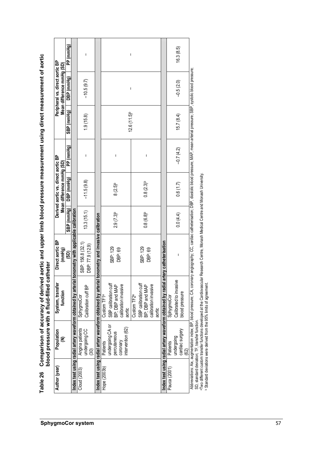|              | Population                                                                    | System, transfer                                                                                                                                                                                                                                                                                                                                                                                                                           | Direct aortic BP                      |                         | Derived aortic vs. direct aortic BP     |             |                           |                                         | Peripheral vs. direct aortic BP |
|--------------|-------------------------------------------------------------------------------|--------------------------------------------------------------------------------------------------------------------------------------------------------------------------------------------------------------------------------------------------------------------------------------------------------------------------------------------------------------------------------------------------------------------------------------------|---------------------------------------|-------------------------|-----------------------------------------|-------------|---------------------------|-----------------------------------------|---------------------------------|
|              | ⋷                                                                             | function                                                                                                                                                                                                                                                                                                                                                                                                                                   | (mmHg)<br>(SD)                        | SBP (mmHg)              | Mean difference mmHg (SD)<br>DBP (mmHg) | PP (mmHg)   | SBP (mmHg)                | Mean difference mmHg (SD)<br>DBP (mmHg) |                                 |
|              |                                                                               | Index test using radial artery waveform obtained by arterial                                                                                                                                                                                                                                                                                                                                                                               | tonometry with applicable calibration |                         |                                         |             |                           |                                         |                                 |
|              | Angina patients<br>undergoing CC<br>(30)                                      | Calibration cuff BP<br>SphygmoCor                                                                                                                                                                                                                                                                                                                                                                                                          | SBP: 156.8 (32.1)<br>DBP: 77.9 (12.9) | 13.3(15.1)              | $-11.5(9.8)$                            |             | 1.9(15.8)                 | $-10.5(9.7)$                            |                                 |
|              |                                                                               | Index test using radial artery waveform obtained by arterial                                                                                                                                                                                                                                                                                                                                                                               | tonometry and invasive calibration    |                         |                                         |             |                           |                                         |                                 |
|              | undergoing CA or<br>intervention (62)<br>percutaneous<br>coronary<br>Patients | SBP calibration cuff<br>calibration invasive<br>BP; DBP and MAP<br>Custom TF1ª<br>aortic                                                                                                                                                                                                                                                                                                                                                   | SBP: 129<br>DBP: 69                   | $2.9(7.3)$ <sup>b</sup> | $8(2.5)^{b}$                            | I           |                           |                                         |                                 |
|              |                                                                               | SBP calibration cuff<br>calibration invasive<br>BP; DBP and MAP<br>Custom <sub>TF2<sup>ª</sup></sub><br>aortic                                                                                                                                                                                                                                                                                                                             | SBP: 129<br>DBP: 69                   | $0.8(6.8)$ <sup>b</sup> | $0.8(2.3)$ <sup>b</sup>                 | I           | $12.6(11.5)$ <sup>b</sup> | I                                       |                                 |
|              |                                                                               | Index test using radial artery waveform obtained by radial                                                                                                                                                                                                                                                                                                                                                                                 | <b>Intery catheterisation</b>         |                         |                                         |             |                           |                                         |                                 |
| Pauca (2001) | cardiac surgery<br>undergoing<br>Patients<br>(62)                             | Calibrated to invasive<br>blood pressure<br>SphygmoCor                                                                                                                                                                                                                                                                                                                                                                                     | J.                                    | 0.0(4.4)                | 0.6(1.7)                                | $-0.7(4.2)$ | 15.7(8.4)                 | $-0.5(2.0)$                             |                                 |
|              | SD, standard deviation; TF, transfer function.                                | Abbreviations: Aix, augmentation index; BP, blood pressure; CA, coronary angiography; CC, cardiac catheterisation; DBP, diastolic blood pressure; MAP, mean arterial pressure; SBP, systolic blood pressure;<br>a Two different custom transfer functions developed at the Cardiovascular Research Centre, Monash Medical Centre and Monash University.<br><sup>b</sup> Standard deviations were derived from the 95% limits of agreement. |                                       |                         |                                         |             |                           |                                         |                                 |
|              |                                                                               |                                                                                                                                                                                                                                                                                                                                                                                                                                            |                                       |                         |                                         |             |                           |                                         |                                 |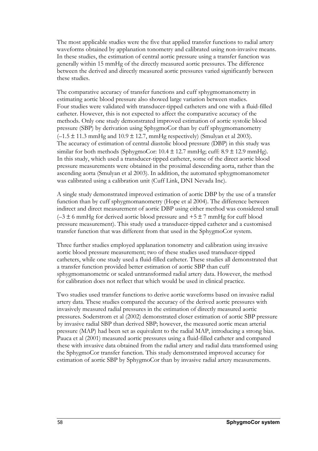The most applicable studies were the five that applied transfer functions to radial artery waveforms obtained by applanation tonometry and calibrated using non-invasive means. In these studies, the estimation of central aortic pressure using a transfer function was generally within 15 mmHg of the directly measured aortic pressures. The difference between the derived and directly measured aortic pressures varied significantly between these studies.

The comparative accuracy of transfer functions and cuff sphygmomanometry in estimating aortic blood pressure also showed large variation between studies. Four studies were validated with transducer-tipped catheters and one with a fluid-filled catheter. However, this is not expected to affect the comparative accuracy of the methods. Only one study demonstrated improved estimation of aortic systolic blood pressure (SBP) by derivation using SphygmoCor than by cuff sphygmomanometry  $(-1.5 \pm 11.3 \text{ mmHg}$  and  $10.9 \pm 12.7$ , mmHg respectively) (Smulyan et al 2003). The accuracy of estimation of central diastolic blood pressure (DBP) in this study was similar for both methods (SphygmoCor:  $10.4 \pm 12.7$  mmHg; cuff:  $8.9 \pm 12.9$  mmHg). In this study, which used a transducer-tipped catheter, some of the direct aortic blood pressure measurements were obtained in the proximal descending aorta, rather than the ascending aorta (Smulyan et al 2003). In addition, the automated sphygmomanometer was calibrated using a calibration unit (Cuff Link, DNI Nevada Inc).

A single study demonstrated improved estimation of aortic DBP by the use of a transfer function than by cuff sphygmomanometry (Hope et al 2004). The difference between indirect and direct measurement of aortic DBP using either method was considered small  $(-3 \pm 6 \text{ mmHg}$  for derived aortic blood pressure and  $+5 \pm 7 \text{ mmHg}$  for cuff blood pressure measurement). This study used a transducer-tipped catheter and a customised transfer function that was different from that used in the SphygmoCor system.

Three further studies employed applanation tonometry and calibration using invasive aortic blood pressure measurement; two of these studies used transducer-tipped catheters, while one study used a fluid-filled catheter. These studies all demonstrated that a transfer function provided better estimation of aortic SBP than cuff sphygmomanometric or scaled untransformed radial artery data. However, the method for calibration does not reflect that which would be used in clinical practice.

Two studies used transfer functions to derive aortic waveforms based on invasive radial artery data. These studies compared the accuracy of the derived aortic pressures with invasively measured radial pressures in the estimation of directly measured aortic pressures. Soderstrom et al (2002) demonstrated closer estimation of aortic SBP pressure by invasive radial SBP than derived SBP; however, the measured aortic mean arterial pressure (MAP) had been set as equivalent to the radial MAP, introducing a strong bias. Pauca et al (2001) measured aortic pressures using a fluid-filled catheter and compared these with invasive data obtained from the radial artery and radial data transformed using the SphygmoCor transfer function. This study demonstrated improved accuracy for estimation of aortic SBP by SphygmoCor than by invasive radial artery measurements.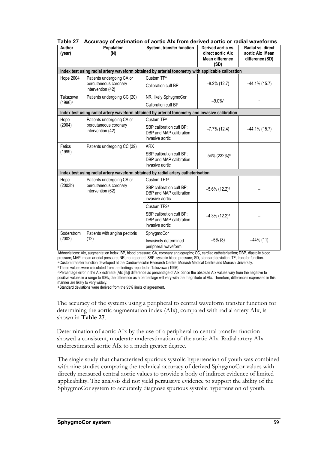| Author<br>(year) | Population<br>(N)                                                                                  | System, transfer function                                              | Derived aortic vs.<br>direct aortic Alx<br><b>Mean difference</b><br>(SD) | Radial vs. direct<br>aortic Alx Mean<br>difference (SD) |
|------------------|----------------------------------------------------------------------------------------------------|------------------------------------------------------------------------|---------------------------------------------------------------------------|---------------------------------------------------------|
|                  | Index test using radial artery waveform obtained by arterial tonometry with applicable calibration |                                                                        |                                                                           |                                                         |
| <b>Hope 2004</b> | Patients undergoing CA or                                                                          | Custom TF <sup>a</sup>                                                 |                                                                           |                                                         |
|                  | percutaneous coronary<br>intervention (42)                                                         | Calibration cuff BP                                                    | $-8.2\%$ (12.7)                                                           | $-44.1\%$ (15.7)                                        |
| Takazawa         | Patients undergoing CC (20)                                                                        | NR, likely SphygmoCor                                                  | $-9.0%$                                                                   |                                                         |
| $(1996)^{b}$     |                                                                                                    | Calibration cuff BP                                                    |                                                                           |                                                         |
|                  | Index test using radial artery waveform obtained by arterial tonometry and invasive calibration    |                                                                        |                                                                           |                                                         |
| Hope             | Patients undergoing CA or                                                                          | Custom TF <sup>a</sup>                                                 |                                                                           |                                                         |
| (2004)           | percutaneous coronary<br>intervention (42)                                                         | SBP calibration cuff BP:<br>DBP and MAP calibration<br>invasive aortic | $-7.7\%$ (12.4)                                                           | $-44.1\%$ (15.7)                                        |
| Fetics           | Patients undergoing CC (39)                                                                        | <b>ARX</b>                                                             |                                                                           |                                                         |
| (1999)           |                                                                                                    | SBP calibration cuff BP;<br>DBP and MAP calibration<br>invasive aortic | -54% (232%) <sup>c</sup>                                                  |                                                         |
|                  | Index test using radial artery waveform obtained by radial artery catheterisation                  |                                                                        |                                                                           |                                                         |
| Hope             | Patients undergoing CA or                                                                          | Custom TF1 <sup>a</sup>                                                |                                                                           |                                                         |
| (2003b)          | percutaneous coronary<br>intervention (62)                                                         | SBP calibration cuff BP;<br>DBP and MAP calibration<br>invasive aortic | $-5.6\%$ (12.2) <sup>d</sup>                                              |                                                         |
|                  |                                                                                                    | Custom TF2 <sup>a</sup>                                                |                                                                           |                                                         |
|                  |                                                                                                    | SBP calibration cuff BP:<br>DBP and MAP calibration<br>invasive aortic | $-4.3\%$ (12.2) <sup>d</sup>                                              |                                                         |
| Soderstrom       | Patients with angina pectoris                                                                      | SphygmoCor                                                             |                                                                           |                                                         |
| (2002)           | (12)                                                                                               | Invasively determined<br>peripheral waveform                           | $-5\%$ (8)                                                                | $-44\%$ (11)                                            |

**Table 27 Accuracy of estimation of aortic AIx from derived aortic or radial waveforms** 

Abbreviations: AIx, augmentation index; BP, blood pressure; CA, coronary angiography; CC, cardiac catheterisation; DBP, diastolic blood pressure; MAP, mean arterial pressure; NR, not reported; SBP, systolic blood pressure; SD, standard deviation; TF, transfer function.<br>
<sup>a</sup> Custom transfer function developed at the Cardiovascular Research Centre, Monash Me

positive values in a range to 60%, the difference as a percentage will vary with the magnitude of AIx. Therefore, differences expressed in this manner are likely to vary widely.

d Standard deviations were derived from the 95% limits of agreement.

The accuracy of the systems using a peripheral to central waveform transfer function for determining the aortic augmentation index (AIx), compared with radial artery AIx, is shown in **Table 27**.

Determination of aortic AIx by the use of a peripheral to central transfer function showed a consistent, moderate underestimation of the aortic AIx. Radial artery AIx underestimated aortic AIx to a much greater degree.

The single study that characterised spurious systolic hypertension of youth was combined with nine studies comparing the technical accuracy of derived SphygmoCor values with directly measured central aortic values to provide a body of indirect evidence of limited applicability. The analysis did not yield persuasive evidence to support the ability of the SphygmoCor system to accurately diagnose spurious systolic hypertension of youth.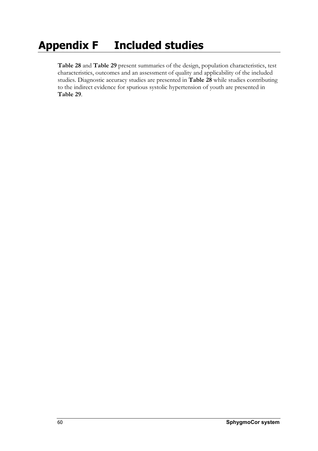# **Appendix F Included studies**

**Table 28** and **Table 29** present summaries of the design, population characteristics, test characteristics, outcomes and an assessment of quality and applicability of the included studies. Diagnostic accuracy studies are presented in **Table 28** while studies contributing to the indirect evidence for spurious systolic hypertension of youth are presented in **Table 29**.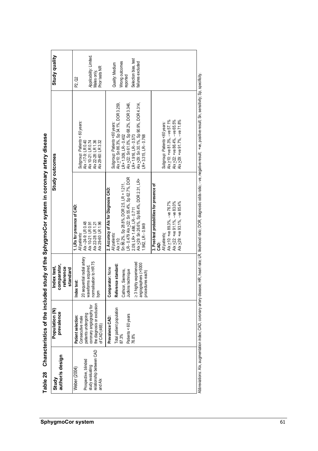| ֠      |
|--------|
|        |
|        |
|        |
|        |
|        |
|        |
|        |
|        |
|        |
|        |
|        |
|        |
|        |
|        |
|        |
|        |
|        |
|        |
|        |
|        |
|        |
|        |
|        |
|        |
|        |
|        |
|        |
| į<br>ı |
|        |
|        |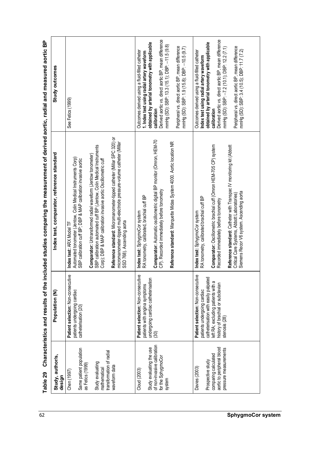| Study, author/s,<br>design                                                                              | Population (N)                                                                                                                                                                                        | Index test, comparator, reference standard                                                                                                                                                                                                                                        | Study outcomes                                                                                                                                                                                                                                                         |
|---------------------------------------------------------------------------------------------------------|-------------------------------------------------------------------------------------------------------------------------------------------------------------------------------------------------------|-----------------------------------------------------------------------------------------------------------------------------------------------------------------------------------------------------------------------------------------------------------------------------------|------------------------------------------------------------------------------------------------------------------------------------------------------------------------------------------------------------------------------------------------------------------------|
| Same patient population<br>as Fetics (1999)<br>Chen (1997)                                              | Patient selection: Non-consecutive<br>patients undergoing cardiac<br>catheterisation (20)                                                                                                             | Automated tonometer (Jentow, Colin Medical Instruments Corp)<br>SBP calibration cuff BP; DBP & MAP calibration invasive aortic<br>Index test: ARX Model TF                                                                                                                        | See Fetics (1999)                                                                                                                                                                                                                                                      |
| Study evaluating<br>mathematical                                                                        |                                                                                                                                                                                                       | SBP calibration automated cuff BP (Jentow, Colin Medical Instruments<br>Comparator: Untransformed radial waveform (Jentow tonometer)<br>Corp); DBP & MAP calibration invasive aortic Oscillometric cuff                                                                           |                                                                                                                                                                                                                                                                        |
| transformation of radial<br>waveform data                                                               |                                                                                                                                                                                                       | Reference standard: Micromanometer-tipped catheter (Millar SPC 320) or<br>micromanometer-tipped multi-electrode pressure-volume catheter (Millar<br>SSD 768). Ascending aorta                                                                                                     |                                                                                                                                                                                                                                                                        |
| of non-invasive calibration<br>Study evaluating the use<br>for the SphygmoCor<br>Cloud (2003)<br>system | Patient selection: Non-consecutive<br>undergoing cardiac catheterisation<br>patients with angina symptoms<br>(30)                                                                                     | Comparator: Automatic oscillometric digital BP monitor (Omron, HEM-70<br>Reference standard: Marquette Midas System 4000. Aortic location NR<br>CP). Recorded immediately before tonometry<br>I <b>ndex test:</b> SphygmoCor system<br>RA tonometry, calibrated, brachial cuff BP | Derived aortic vs. direct aortic BP, mean difference<br>obtained by arterial tonometry with applicable<br>mmHg (SD): SBP: 13.3 (15.1); DBP: -11.5 (9.8)<br>Outcomes derived using a fluid-filled catheter<br>1. Index test using radial artery waveform<br>calibration |
|                                                                                                         |                                                                                                                                                                                                       |                                                                                                                                                                                                                                                                                   | Peripheral vs. direct aortic BP, mean difference<br>mmHg (SD): SBP: 1.9 (15.8); DBP: -10.5 (9.7)                                                                                                                                                                       |
| aortic to peripheral blood<br>comparing calculated<br>Prospective study<br>Davies (2003)                | Patient selection: Non-consecutive<br>catheterisation with easily palpated<br>left RA; excluding patients with a<br>history of brachial or subclavian<br>patients undergoing cardiac<br>stenosis (28) | Comparator: Oscillometric brachial cuff (Omron HEM-705 CP) system<br>Index test: SphygmoCor system<br>RA tonometry, calibrated brachial cuff BP<br>Recorded immediately before tonometry                                                                                          | Derived aortic vs. direct aortic BP, mean difference<br>obtained by arterial tonometry with applicable<br>Outcomes derived using a fluid-filled catheter<br>Index test using radial artery waveform<br>calibration                                                     |
| pressure measurements                                                                                   |                                                                                                                                                                                                       | Reference standard: Catheter with Transpac IV monitoring kit (Abbott<br>Siemens Recor V6 system. Ascending aorta<br>Critical Care Systems, Abbott Laboratories)                                                                                                                   | Peripheral vs. direct aortic BP, mean difference<br>mmHg (SD): SBP: 3.4 (10.5); DBP: 11.7 (7.2)<br>mmHg (SD): SBP: -7.2 (10.1); DBP: 12.2 (7.1)                                                                                                                        |
|                                                                                                         |                                                                                                                                                                                                       |                                                                                                                                                                                                                                                                                   |                                                                                                                                                                                                                                                                        |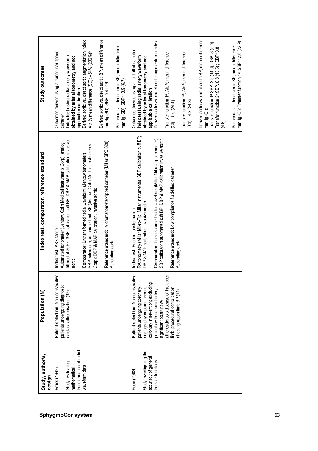| Study outcomes                             | Derived aortic vs. direct aortic BP, mean difference<br>Derived aortic vs. direct aortic augmentation index:<br>Peripheral vs. direct aortic BP, mean difference<br>mmHg (SD): SBP: 13.9 (6.7)<br>Outcomes derived using a transducer-tipped<br>Alx % mean difference (SD): --54% (232%) <sup>b</sup><br>Index test using radial artery waveform<br>obtained by arterial tonometry and not<br>mmHg (SD): SBP: 0.4 (2.9)<br>applicable calibration<br>catheter             | Derived aortic vs. direct aortic BP, mean difference<br>Derived aortic vs. direct aortic augmentation index<br>mmHg (CI): Transfer function 1ª: SBP: 12.6 (22.9)<br>Transfer function 1ª SBP: 2.9 (14.6); DBP: 8 (5.0)<br>Transfer function 2ª SBP: 0.8 (13.5) ; DBP: 0.8<br>Peripheral vs. direct aortic BP, mean difference<br>Outcomes derived using a fluid-filled catheter<br>Transfer function 1ª; Alx % mean difference<br>Transfer function 2 <sup>e</sup> ; Alx % mean difference<br>Index test using radial artery waveform<br>obtained by arterial tonometry and not<br>applicable calibration<br>$(C1): -4.3(24.3)$<br>$(C1): -5.6(24.4)$<br>mmHg(CI):<br>(4.6) |
|--------------------------------------------|---------------------------------------------------------------------------------------------------------------------------------------------------------------------------------------------------------------------------------------------------------------------------------------------------------------------------------------------------------------------------------------------------------------------------------------------------------------------------|-----------------------------------------------------------------------------------------------------------------------------------------------------------------------------------------------------------------------------------------------------------------------------------------------------------------------------------------------------------------------------------------------------------------------------------------------------------------------------------------------------------------------------------------------------------------------------------------------------------------------------------------------------------------------------|
| Index test, comparator, reference standard | Reference standard: Micromanometer-tipped catheter (Millar SPC 320).<br>filtered at 30Hz. SBP calibration cuff BP; DBP & MAP calibration invasive<br>Automated tonometer (Jentow, Colin Medical Instruments Corp), analog<br>SBP calibration, automated cuff BP (Jentow, Colin Medical Instruments<br>Comparator: Untransformed radial waveform (Jentow tonometer)<br>Corp); DBP & MAP calibration, invasive aortic<br>Index test: ARX Model<br>Ascending aorta<br>aortic | RA tonometry (Millar Mikro-Tip, Millar Instruments). SBP calibration cuff BP;<br>Comparator: Untransformed radial waveform (Millar Mikro-Tip tonometer)<br>SBP calibration automated cuff BP; DBP & MAP calibration invasive aortic<br>Reference standard: Low compliance fluid-filled catheter<br>DBP & MAP calibration invasive aortic<br>Index test: Fourier transformation<br>Ascending aorta                                                                                                                                                                                                                                                                           |
| Population (N)                             | ይ<br>Patient selection: Non-consecutiv<br>patients undergoing diagnostic<br>cardiac catheterisation (39)                                                                                                                                                                                                                                                                                                                                                                  | ይ<br>atherosclerosis disease of the upper<br>Patient selection: Non-consecuti<br>coronary intervention; excluding<br>limb; procedural complication<br>angiography or percutaneous<br>patients undergoing coronary<br>patients with no radial artery;<br>affecting upper limb BP (71)<br>significant obstructive                                                                                                                                                                                                                                                                                                                                                             |
| Study, author/s,<br>design                 | transformation of radial<br>Study evaluating<br>waveform data<br>mathematical<br>Fetics (1999)                                                                                                                                                                                                                                                                                                                                                                            | Study investigating the<br>accuracy of general<br>transfer functions<br>Hope (2003b)                                                                                                                                                                                                                                                                                                                                                                                                                                                                                                                                                                                        |
|                                            | <b>SphygmoCor system</b>                                                                                                                                                                                                                                                                                                                                                                                                                                                  | 63                                                                                                                                                                                                                                                                                                                                                                                                                                                                                                                                                                                                                                                                          |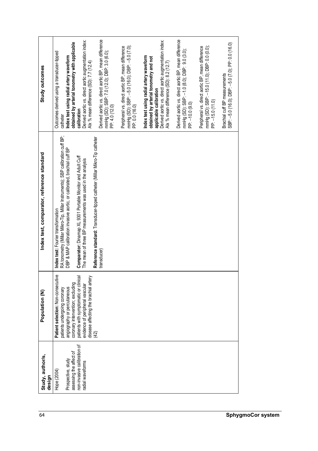| Study outcomes                             | Derived aortic vs. direct aortic augmentation index:<br>obtained by arterial tonometry with applicable<br>Outcomes derived using a transducer-tipped<br>Index test using radial artery waveform<br>Alx % mean difference (SD): 7.7 (12.4)<br>calibration<br>catheter                                                       | Derived aortic vs. direct aortic BP, mean difference<br>mmHg (SD): SBP: 7.0 (12.0); DBP: 3.0 (6.0);<br>PP: 4.0 (12.0) | mmHg (SD): SBP: -5.0 (16.0); DBP: -5.0 (7.0);<br>Peripheral vs. direct aortic BP, mean difference<br>PP: 0.0 (16.0) | Derived aortic vs. direct aortic augmentation index:<br>Index test using radial artery waveform<br>obtained by arterial tonometry and not<br>Alx % mean difference (SD): 8.2 (12.7)<br>applicable calibration | Derived aortic vs. direct aortic BP, mean difference<br>mmHg (SD): SBP: -1.0 (8.0); DBP: 9.0 (3.0);<br>PP: -10.0 (9.0) | mmHg (SD): SBP: -15.0 (11.0); DBP: 0.0 (0.0);<br>Peripheral vs. direct aortic BP, mean difference<br>PP: -15.0 (11.0) | SBP: -5.0 (16.0); DBP: -5.0 (7.0); PP: 0.0 (16.0)<br>Brachial cuff BP measurements |                          |
|--------------------------------------------|----------------------------------------------------------------------------------------------------------------------------------------------------------------------------------------------------------------------------------------------------------------------------------------------------------------------------|-----------------------------------------------------------------------------------------------------------------------|---------------------------------------------------------------------------------------------------------------------|---------------------------------------------------------------------------------------------------------------------------------------------------------------------------------------------------------------|------------------------------------------------------------------------------------------------------------------------|-----------------------------------------------------------------------------------------------------------------------|------------------------------------------------------------------------------------|--------------------------|
| Index test, comparator, reference standard | RA tonometry (Millar Mikro-Tip, Millar Instruments); SBP calibration cuff BP;<br>DBP & MAP calibration invasive aortic, or calibrated, brachial cuff BP<br>Comparator: Dinamap XL 9301 Portable Monitor and Adult Cuff<br>The mean of three BP measurements was used in the analysis<br>Index test: Fourier transformation | Reference standard: Transducer-tipped catheter (Millar Mikro-Tip catheter<br>transducer)                              |                                                                                                                     |                                                                                                                                                                                                               |                                                                                                                        |                                                                                                                       |                                                                                    |                          |
| Population (N)                             | ِّع<br>patients with symptomatic or clinical<br>disease affecting the brachial artery<br>Patient selection: Non-consecuti<br>coronary intervention; excluding<br>evidence of peripheral vascular<br>angiography or percutaneous<br>patients undergoing coronary                                                            | (42)                                                                                                                  |                                                                                                                     |                                                                                                                                                                                                               |                                                                                                                        |                                                                                                                       |                                                                                    |                          |
| Study, author/s,<br>design                 | non-invasive calibration of<br>assessing the affect of<br>Prospective, study<br>radial waveforms<br>Hope (2004)                                                                                                                                                                                                            |                                                                                                                       |                                                                                                                     |                                                                                                                                                                                                               |                                                                                                                        |                                                                                                                       |                                                                                    |                          |
| 64                                         |                                                                                                                                                                                                                                                                                                                            |                                                                                                                       |                                                                                                                     |                                                                                                                                                                                                               |                                                                                                                        |                                                                                                                       |                                                                                    | <b>SphygmoCor system</b> |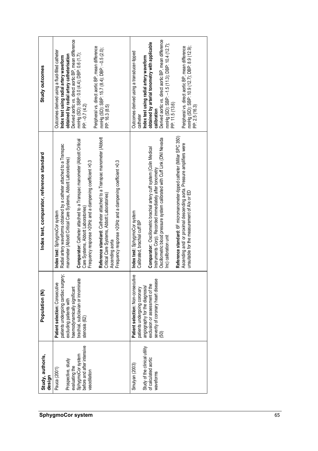| Derived aortic vs. direct aortic BP, mean difference<br>mmHg (SD): SBP: 0.0 (4.4); DBP: 0.6 (1.7);<br>Peripheral vs. direct aortic BP, mean difference<br>mmHg (SD): SBP: 15.7 (8.4); DBP: -0.5 (2.0);<br>PP: 16.3 (8.5)<br>Outcomes derived using a fluid-filled catheter<br>obtained by radial artery catheterisation<br>Index test using radial artery waveform<br>Study outcomes<br>PP: -0.7 (4.2)                                                                                                                                                                                                     | Derived aortic vs. direct aortic BP, mean difference<br>obtained by arterial tonometry with applicable<br>mmHg (SD): SBP: -1.5 (11.3); DBP: 10.4 (12.7);<br>PP: 11.5 (13.6)<br>Peripheral vs. direct aortic BP, mean difference<br>mmHg (SD): SBP: 10.9 (12.7); DBP: 8.9 (12.9);<br>Outcomes derived using a transducer-tipped<br>Index test using radial artery waveform<br>PP: 2.5 (16.3)<br>calibration<br>catheter                                                                                   |    |
|------------------------------------------------------------------------------------------------------------------------------------------------------------------------------------------------------------------------------------------------------------------------------------------------------------------------------------------------------------------------------------------------------------------------------------------------------------------------------------------------------------------------------------------------------------------------------------------------------------|----------------------------------------------------------------------------------------------------------------------------------------------------------------------------------------------------------------------------------------------------------------------------------------------------------------------------------------------------------------------------------------------------------------------------------------------------------------------------------------------------------|----|
| Reference standard: Catheter attached to a Transpac manometer (Abbott<br>Comparator: Catheter attached to a Transpac manometer (Abbott Critical<br>Radial artery waveforms obtained by a catheter attached to a Transpac<br>Index test, comparator, reference standard<br>manometer (Abbott Critical Care Systems, Abbott Laboratories)<br>Frequency response >20Hz and a dampening coefficient >0.3<br>Frequency response >20Hz and a dampening coefficient >0.3<br>Critical Care Systems, Abbott Laboratories)<br>Care Systems, Abbott Laboratories)<br>Index test: SphygmoCor system<br>Ascending aorta | Reference standard: 6F micromanometer-tipped catheter (Millar SPC 350)<br>Oscillometric blood pressure system calibrated with Cuff Link (DNI Nevada<br>Ascending and/ or proximal descending aorta. Pressure amplifiers were<br>Comparator: Oscillometric brachial artery cuff system (Colin Medical<br>Instruments Corp). Recorded immediately after tonometry<br>unsuitable for the measurement of AIx or ED<br>Index test: SphygmoCor system<br>Calibrated, brachial cuff BP<br>Inc) calibration unit |    |
| patients undergoing cardiac surgery;<br>brachial, subclavian or innominate<br>Patient selection: Consecutive<br>haemodynamically significant<br>Population (N)<br>excluding patients with<br>stenosis (62)                                                                                                                                                                                                                                                                                                                                                                                                 | e.<br>severity of coronary heart disease<br>Patient selection: Non-consecuti<br>exclusion or assessment of the<br>angiography for the diagnosis/<br>patients undergoing coronary<br><b>(50)</b>                                                                                                                                                                                                                                                                                                          |    |
| before and after intensive<br>SphygmoCor system<br>Study, author/s,<br>Prospective, study<br>evaluating the<br>Pauca (2001)<br>vasodilation<br>design                                                                                                                                                                                                                                                                                                                                                                                                                                                      | Study of the clinical utility<br>of calculated aortic<br>Smulyan (2003)<br>waveforms                                                                                                                                                                                                                                                                                                                                                                                                                     |    |
| SphygmoCor system                                                                                                                                                                                                                                                                                                                                                                                                                                                                                                                                                                                          |                                                                                                                                                                                                                                                                                                                                                                                                                                                                                                          | 65 |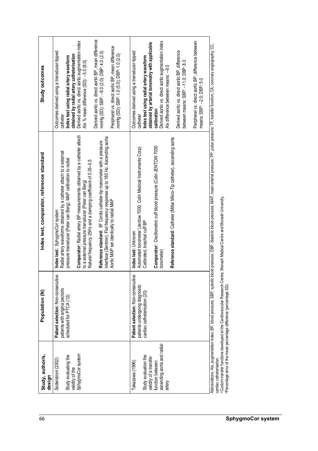| Study outcomes                             | Derived aortic vs. direct aortic BP, mean difference<br>Derived aortic vs. direct aortic augmentation index<br>Peripheral vs. direct aortic BP, mean difference<br>Outcomes derived using a transducer-tipped<br>mmHg (SD): SBP: -8.0 (2.0); DBP: 4.0 (2.0)<br>obtained by radial artery catheterisation<br>mmHg (SD): SBP: 1.0 (5.0); DBP: 1.0 (2.0)<br>Index test using radial artery waveform<br>Alx % mean difference (SD): -5.0 (8.0)<br>catheter                                                                                                                     | Peripheral vs. direct aortic BP, difference between<br>Derived aortic vs. direct aortic augmentation index<br>obtained by arterial tonometry with applicable<br>Derived aortic vs. direct aortic BP, difference<br>Outcomes derived using a transducer-tipped<br>Index test using radial artery waveform<br>between means: SBP: -11.0; DBP: 8.0<br>Alx difference between means: -9.0<br>means: SBP: -2.0; DBP: 5.0<br>calibration<br>catheter |                                                                                                                                                                                                                                                                                   |
|--------------------------------------------|----------------------------------------------------------------------------------------------------------------------------------------------------------------------------------------------------------------------------------------------------------------------------------------------------------------------------------------------------------------------------------------------------------------------------------------------------------------------------------------------------------------------------------------------------------------------------|------------------------------------------------------------------------------------------------------------------------------------------------------------------------------------------------------------------------------------------------------------------------------------------------------------------------------------------------------------------------------------------------------------------------------------------------|-----------------------------------------------------------------------------------------------------------------------------------------------------------------------------------------------------------------------------------------------------------------------------------|
| Index test, comparator, reference standard | Comparator: Radial artery BP measurements obtained by a catheter attach<br>interface (Sentron). Flat frequency response up to 180 Hz. Ascending aorta<br>Reference standard: 8F Cordis catheter-tip manometer with a pressure<br>Radial artery waveforms obtained by a catheter attach to a external<br>pressure transducer (Peter van Berg); MAP calibration to radial<br>Natural frequency 25Hz and a damping coefficient of 0.35-0.5<br>to a external pressure transducer (Peter van Berg)<br>Aortic MAP set identically to radial MAP<br>Index test: SphygmoCor system | Reference standard: Catheter (Millar Mikro-Tip catheter), ascending aorta<br>Comparator: Oscillometric cuff blood pressure (Colin JENTOW 7000<br>Automated tonometer (Jentow 7000, Colin Medical Instruments Corp)<br>Calibrated, brachial cuff BP<br>Index test: Unknown<br>tonometer)                                                                                                                                                        | blood pressure; DBP, diastolic blood pressure; MAP, mean arterial pressure; PP, pulse pressure; TF, transfer function; CA, coronary angiography; CC,<br>a Custom transfer functions developed at the Cardiovascular Research Centre, Monash Medical Centre and Monash University. |
| Population (N)                             | Φ<br>Patient selection: Non-consecutiv<br>patients with angina pectoris<br>scheduled for PTCA (12)                                                                                                                                                                                                                                                                                                                                                                                                                                                                         | Φ<br>Patient selection: Non-consecutiv<br>patients undergoing diagnostic<br>cardiac catheterisation (20)                                                                                                                                                                                                                                                                                                                                       | Abbreviations: Alx, augmentation index; BP, blood pressure; SBP, systolic<br>Percentage error of the mean percentage difference (percentage SD)                                                                                                                                   |
| Study, author/s,<br>design                 | SphygmoCor system<br>Study evaluating the<br>Soderstrom (2002)<br>validity of the                                                                                                                                                                                                                                                                                                                                                                                                                                                                                          | ascending aorta and radial<br>Study evaluation the<br>validity of a transfer<br>function between<br>Takazawa (1996)<br>artery                                                                                                                                                                                                                                                                                                                  | cardiac catheterisation.                                                                                                                                                                                                                                                          |
| 66                                         |                                                                                                                                                                                                                                                                                                                                                                                                                                                                                                                                                                            |                                                                                                                                                                                                                                                                                                                                                                                                                                                | <b>SphygmoCor system</b>                                                                                                                                                                                                                                                          |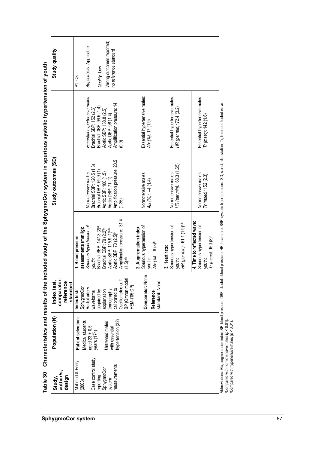| Study quality                                       | Wrong outcomes reported;<br>Applicability: Applicable<br>no reference standard<br>Quality: Low<br>P1, Q3                                                                                                                                                                                  |                                                                                     |                                                                                     |                                                                                             |                                                                                                                        |
|-----------------------------------------------------|-------------------------------------------------------------------------------------------------------------------------------------------------------------------------------------------------------------------------------------------------------------------------------------------|-------------------------------------------------------------------------------------|-------------------------------------------------------------------------------------|---------------------------------------------------------------------------------------------|------------------------------------------------------------------------------------------------------------------------|
|                                                     | Essential hypertensive males:<br>Amplification pressure: 14<br>Brachial DBP: 96.5 (1.4)<br>Brachial SBP: 152 (2.6)<br>Aortic SBP: 138.8 (2.5)<br>Aortic DBP: 98 (1.4)<br>(0.9)                                                                                                            | Essential hypertensive males:<br>Alx (%): 17 (1.9)                                  | Essential hypertensive males:<br>HR (per min): 72.4 (3.2)                           | Essential hypertensive males:<br>Tr (msec): 142 (1.6)                                       |                                                                                                                        |
| Study outcomes (SD                                  | Amplification pressure: 20.5<br>Brachial SBP: 120.5 (1.3)<br>Brachial DBP: 69.9 (1)<br>Normotensive males:<br>Aortic SBP: 100 (1.5)<br>Aortic DBP: 71 (1)<br>(1.36)                                                                                                                       | Normotensive males:<br>Alx (%): $-4$ (1.4)                                          | HR (per min): 68.3 (1.65)<br>Normotensive males:                                    | Normotensive males:<br>Tr (msec): 152 (2.3)                                                 |                                                                                                                        |
|                                                     | Amplification pressure: 31.4<br>Spurious hypertension of<br>Brachial SBP: 147.3 (2) <sup>a</sup><br>assessments (mmHg):<br>Brachial DBP: 70 (2.2) <sup>6</sup><br>Aortic SBP: 115.9 (1) <sup>a,b</sup><br>Aortic DBP: 70 (2.5) <sup>b</sup><br>1. Blood pressure<br>$(1.5)$ a,b<br>youth: | Spurious hypertension of<br>2. Augmentation index:<br>$AX (96) : -8 (3)b$<br>youth: | HR (per min): 61.1 (1.9)a.b<br>Spurious hypertension of<br>3. Heart rate:<br>youth: | 4. Time to reflected wave:<br>Spurious hypertension of<br>$Tr$ (msec): $160(8)^b$<br>youth: | c blood pressure; HR, heart rate; SBP, systolic blood pressure; SD, standard deviation; Tr, time to reflected wave.    |
| comparator,<br>Index test,<br>reference<br>standard | BP (Omron model<br>Oscillometric cuff<br><b>HEM-705 CP)</b><br>SphygmoCo<br>Radial artery<br>calibrated to<br>tomography<br>acquired by<br>applanation<br>Index test:<br>waveforms                                                                                                        | $\mathbf{\underline{\Phi}}$<br>Comparator: Non<br>standard: None<br>Reference       |                                                                                     |                                                                                             |                                                                                                                        |
| Population (N)                                      | Patient selection:<br>hypertension (22)<br>Medical students<br>Untreated males<br>aged $23 \pm 0.5$<br>years (174)<br>with essential                                                                                                                                                      |                                                                                     |                                                                                     |                                                                                             | Abbreviations: Alx, augmentation index; BP, blood pressure; DBP, diastoli                                              |
| author/s<br>design<br>Study,                        | Case control study<br>Mahmud & Feely<br>measurements<br>SphygmoCor<br>reporting<br>system<br>(2003)                                                                                                                                                                                       |                                                                                     |                                                                                     |                                                                                             | $\alpha$ Compared with normotensive males ( $p < 0.01$ ).<br><sup>b</sup> Compared with hypertensive males (p < 0.01). |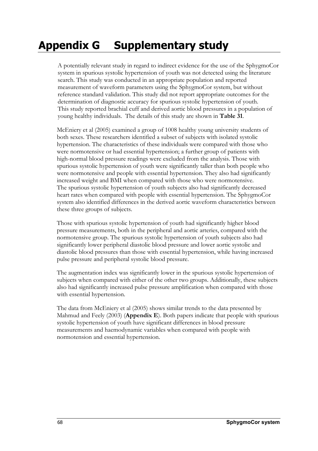## **Appendix G Supplementary study**

A potentially relevant study in regard to indirect evidence for the use of the SphygmoCor system in spurious systolic hypertension of youth was not detected using the literature search. This study was conducted in an appropriate population and reported measurement of waveform parameters using the SphygmoCor system, but without reference standard validation. This study did not report appropriate outcomes for the determination of diagnostic accuracy for spurious systolic hypertension of youth. This study reported brachial cuff and derived aortic blood pressures in a population of young healthy individuals. The details of this study are shown in **Table 31**.

McEniery et al (2005) examined a group of 1008 healthy young university students of both sexes. These researchers identified a subset of subjects with isolated systolic hypertension. The characteristics of these individuals were compared with those who were normotensive or had essential hypertension; a further group of patients with high-normal blood pressure readings were excluded from the analysis. Those with spurious systolic hypertension of youth were significantly taller than both people who were normotensive and people with essential hypertension. They also had significantly increased weight and BMI when compared with those who were normotensive. The spurious systolic hypertension of youth subjects also had significantly decreased heart rates when compared with people with essential hypertension. The SphygmoCor system also identified differences in the derived aortic waveform characteristics between these three groups of subjects.

Those with spurious systolic hypertension of youth had significantly higher blood pressure measurements, both in the peripheral and aortic arteries, compared with the normotensive group. The spurious systolic hypertension of youth subjects also had significantly lower peripheral diastolic blood pressure and lower aortic systolic and diastolic blood pressures than those with essential hypertension, while having increased pulse pressure and peripheral systolic blood pressure.

The augmentation index was significantly lower in the spurious systolic hypertension of subjects when compared with either of the other two groups. Additionally, these subjects also had significantly increased pulse pressure amplification when compared with those with essential hypertension.

The data from McEniery et al (2005) shows similar trends to the data presented by Mahmud and Feely (2003) (**Appendix E**). Both papers indicate that people with spurious systolic hypertension of youth have significant differences in blood pressure measurements and haemodynamic variables when compared with people with normotension and essential hypertension.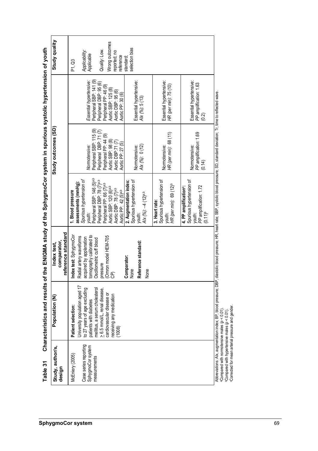| selection bias<br>Quality: Low.<br>Applicability:<br>reported; no<br>Applicable<br>reference<br>standard;<br>P1, Q3<br>Peripheral SBP: 141 (9)<br>Essential hypertensive:<br>Essential hypertensive:<br>PP amplification: 1.63<br>Essential hypertensive:<br>Essential hypertensive.<br>Peripheral DBP: 95 (6)<br>HR (per min): 75 (10)<br>Peripheral PP: 46 (9)<br>Aortic SBP: 125 (8)<br>Aortic DBP: 95 (6)<br>Aortic PP: 30 (6)<br>$A/x$ (%): $5(13)$<br>(0.2)<br>Peripheral SBP: 115 (9)<br>Peripheral DBP: 71(7)<br>HR (per min): 68 (11)<br>PP amplification: 1.69<br>Peripheral PP: 44 (9)<br>Aortic SBP: 98 (8)<br>Aortic DBP:71 (7)<br>Aortic PP: 27 (5)<br>AIx (%): 0 (12)<br>Normotensive:<br>Normotensive:<br>Normotensive:<br>Normotensive:<br>(0.14)<br>Peripheral SBP: 146 (5)a.b<br>Peripheral DBP: 78 (7)a.b<br>Spurious hypertension of<br>Spurious hypertension of<br>Spurious hypertension of<br>Spurious hypertension of<br>2. Augmentation index:<br>assessments (mmHg):<br>Peripheral PP: 66 (7)a,b<br>HR (per min): 69 (12) <sup>b</sup><br>PP amplification: 1.72<br>4. PP amplification <sup>c</sup> :<br>Aortic SBP: 120 (6) <sup>a,b</sup><br>Aortic DBP: 78 (7) <sup>a,b</sup><br>Aortic PP: 42 (5) <sup>a,b</sup><br>1. Blood pressure<br>$A/x$ (%): $-4$ (12)a,b<br>3. Heart rate:<br>$(0.11)^{b}$<br>youth:<br>youth:<br>youth:<br>youth:<br>reference standard<br>Index test: SphygmoCor<br>tomography calibrated to<br>pressure<br>(Omron model HEM-705<br>CP)<br>Radial artery waveforms<br>acquired by applanation<br>Oscillometric cuff blood<br>Reference standard:<br>comparator,<br>Comparator:<br>None<br>None<br>University population aged 17<br>to 27 years of age excluding<br>mellitus, a serum cholesterol<br>$\geq 6.5$ mmol/L, renal disease,<br>cardiovascular disease or<br>receiving any medication<br>patients with diabetes<br>Patient selection:<br>(1008)<br>Case series reporting<br>SphygmoCor system<br>Study, author/s,<br>McEniery (2005)<br>measurements<br>design | Abbreviations: Alx, augmentation index; BP, blood pressure; DBP, diastolic blood pressure; HR, heart rate; SBP, systolic blood pressure; SD, standard deviation; Tr, time to reflected wave.<br><sup>a</sup> Compared with normotensive males ( $p < 0.01$ )<br>$b$ Compared with hypertensive males ( $p < 0.01$ ) |                |             |                    |                |
|----------------------------------------------------------------------------------------------------------------------------------------------------------------------------------------------------------------------------------------------------------------------------------------------------------------------------------------------------------------------------------------------------------------------------------------------------------------------------------------------------------------------------------------------------------------------------------------------------------------------------------------------------------------------------------------------------------------------------------------------------------------------------------------------------------------------------------------------------------------------------------------------------------------------------------------------------------------------------------------------------------------------------------------------------------------------------------------------------------------------------------------------------------------------------------------------------------------------------------------------------------------------------------------------------------------------------------------------------------------------------------------------------------------------------------------------------------------------------------------------------------------------------------------------------------------------------------------------------------------------------------------------------------------------------------------------------------------------------------------------------------------------------------------------------------------------------------------------------------------------------------------------------------------------------------------------------------------------------------------------------------------------------------|---------------------------------------------------------------------------------------------------------------------------------------------------------------------------------------------------------------------------------------------------------------------------------------------------------------------|----------------|-------------|--------------------|----------------|
|                                                                                                                                                                                                                                                                                                                                                                                                                                                                                                                                                                                                                                                                                                                                                                                                                                                                                                                                                                                                                                                                                                                                                                                                                                                                                                                                                                                                                                                                                                                                                                                                                                                                                                                                                                                                                                                                                                                                                                                                                                  |                                                                                                                                                                                                                                                                                                                     | Population (N) | Index test, | Study outcomes (SD | Study quality  |
|                                                                                                                                                                                                                                                                                                                                                                                                                                                                                                                                                                                                                                                                                                                                                                                                                                                                                                                                                                                                                                                                                                                                                                                                                                                                                                                                                                                                                                                                                                                                                                                                                                                                                                                                                                                                                                                                                                                                                                                                                                  |                                                                                                                                                                                                                                                                                                                     |                |             |                    |                |
|                                                                                                                                                                                                                                                                                                                                                                                                                                                                                                                                                                                                                                                                                                                                                                                                                                                                                                                                                                                                                                                                                                                                                                                                                                                                                                                                                                                                                                                                                                                                                                                                                                                                                                                                                                                                                                                                                                                                                                                                                                  |                                                                                                                                                                                                                                                                                                                     |                |             |                    |                |
|                                                                                                                                                                                                                                                                                                                                                                                                                                                                                                                                                                                                                                                                                                                                                                                                                                                                                                                                                                                                                                                                                                                                                                                                                                                                                                                                                                                                                                                                                                                                                                                                                                                                                                                                                                                                                                                                                                                                                                                                                                  |                                                                                                                                                                                                                                                                                                                     |                |             |                    |                |
|                                                                                                                                                                                                                                                                                                                                                                                                                                                                                                                                                                                                                                                                                                                                                                                                                                                                                                                                                                                                                                                                                                                                                                                                                                                                                                                                                                                                                                                                                                                                                                                                                                                                                                                                                                                                                                                                                                                                                                                                                                  |                                                                                                                                                                                                                                                                                                                     |                |             |                    | Wrong outcomes |
|                                                                                                                                                                                                                                                                                                                                                                                                                                                                                                                                                                                                                                                                                                                                                                                                                                                                                                                                                                                                                                                                                                                                                                                                                                                                                                                                                                                                                                                                                                                                                                                                                                                                                                                                                                                                                                                                                                                                                                                                                                  |                                                                                                                                                                                                                                                                                                                     |                |             |                    |                |
|                                                                                                                                                                                                                                                                                                                                                                                                                                                                                                                                                                                                                                                                                                                                                                                                                                                                                                                                                                                                                                                                                                                                                                                                                                                                                                                                                                                                                                                                                                                                                                                                                                                                                                                                                                                                                                                                                                                                                                                                                                  |                                                                                                                                                                                                                                                                                                                     |                |             |                    |                |
|                                                                                                                                                                                                                                                                                                                                                                                                                                                                                                                                                                                                                                                                                                                                                                                                                                                                                                                                                                                                                                                                                                                                                                                                                                                                                                                                                                                                                                                                                                                                                                                                                                                                                                                                                                                                                                                                                                                                                                                                                                  |                                                                                                                                                                                                                                                                                                                     |                |             |                    |                |
|                                                                                                                                                                                                                                                                                                                                                                                                                                                                                                                                                                                                                                                                                                                                                                                                                                                                                                                                                                                                                                                                                                                                                                                                                                                                                                                                                                                                                                                                                                                                                                                                                                                                                                                                                                                                                                                                                                                                                                                                                                  |                                                                                                                                                                                                                                                                                                                     |                |             |                    |                |
|                                                                                                                                                                                                                                                                                                                                                                                                                                                                                                                                                                                                                                                                                                                                                                                                                                                                                                                                                                                                                                                                                                                                                                                                                                                                                                                                                                                                                                                                                                                                                                                                                                                                                                                                                                                                                                                                                                                                                                                                                                  |                                                                                                                                                                                                                                                                                                                     |                |             |                    |                |
|                                                                                                                                                                                                                                                                                                                                                                                                                                                                                                                                                                                                                                                                                                                                                                                                                                                                                                                                                                                                                                                                                                                                                                                                                                                                                                                                                                                                                                                                                                                                                                                                                                                                                                                                                                                                                                                                                                                                                                                                                                  |                                                                                                                                                                                                                                                                                                                     |                |             |                    |                |
|                                                                                                                                                                                                                                                                                                                                                                                                                                                                                                                                                                                                                                                                                                                                                                                                                                                                                                                                                                                                                                                                                                                                                                                                                                                                                                                                                                                                                                                                                                                                                                                                                                                                                                                                                                                                                                                                                                                                                                                                                                  |                                                                                                                                                                                                                                                                                                                     |                |             |                    |                |
|                                                                                                                                                                                                                                                                                                                                                                                                                                                                                                                                                                                                                                                                                                                                                                                                                                                                                                                                                                                                                                                                                                                                                                                                                                                                                                                                                                                                                                                                                                                                                                                                                                                                                                                                                                                                                                                                                                                                                                                                                                  |                                                                                                                                                                                                                                                                                                                     |                |             |                    |                |
|                                                                                                                                                                                                                                                                                                                                                                                                                                                                                                                                                                                                                                                                                                                                                                                                                                                                                                                                                                                                                                                                                                                                                                                                                                                                                                                                                                                                                                                                                                                                                                                                                                                                                                                                                                                                                                                                                                                                                                                                                                  |                                                                                                                                                                                                                                                                                                                     |                |             |                    |                |
|                                                                                                                                                                                                                                                                                                                                                                                                                                                                                                                                                                                                                                                                                                                                                                                                                                                                                                                                                                                                                                                                                                                                                                                                                                                                                                                                                                                                                                                                                                                                                                                                                                                                                                                                                                                                                                                                                                                                                                                                                                  |                                                                                                                                                                                                                                                                                                                     |                |             |                    |                |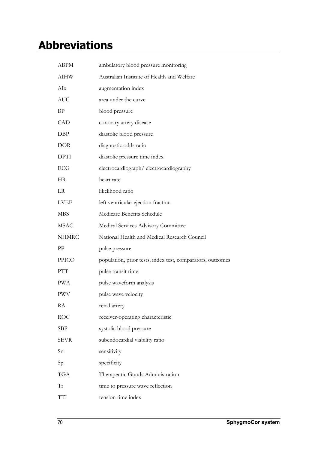## **Abbreviations**

| <b>ABPM</b>  | ambulatory blood pressure monitoring                       |
|--------------|------------------------------------------------------------|
| AIHW         | Australian Institute of Health and Welfare                 |
| AIx          | augmentation index                                         |
| <b>AUC</b>   | area under the curve                                       |
| ΒP           | blood pressure                                             |
| <b>CAD</b>   | coronary artery disease                                    |
| DBP          | diastolic blood pressure                                   |
| <b>DOR</b>   | diagnostic odds ratio                                      |
| <b>DPTI</b>  | diastolic pressure time index                              |
| <b>ECG</b>   | electrocardiograph/electrocardiography                     |
| <b>HR</b>    | heart rate                                                 |
| LR           | likelihood ratio                                           |
| <b>LVEF</b>  | left ventricular ejection fraction                         |
| <b>MBS</b>   | Medicare Benefits Schedule                                 |
| <b>MSAC</b>  | Medical Services Advisory Committee                        |
|              |                                                            |
| <b>NHMRC</b> | National Health and Medical Research Council               |
| PP           | pulse pressure                                             |
| <b>PPICO</b> | population, prior tests, index test, comparators, outcomes |
| PTT          | pulse transit time                                         |
| <b>PWA</b>   | pulse waveform analysis                                    |
| <b>PWV</b>   | pulse wave velocity                                        |
| RA           | renal artery                                               |
| <b>ROC</b>   | receiver-operating characteristic                          |
| <b>SBP</b>   | systolic blood pressure                                    |
| <b>SEVR</b>  | subendocardial viability ratio                             |
| Sn           | sensitivity                                                |
| Sp           | specificity                                                |
| <b>TGA</b>   | Therapeutic Goods Administration                           |
| Tr           | time to pressure wave reflection                           |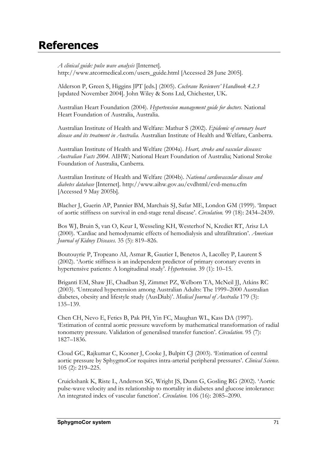## **References**

*A clinical guide: pulse wave analysis* [Internet]. http://www.atcormedical.com/users\_guide.html [Accessed 28 June 2005].

Alderson P, Green S, Higgins JPT [eds.] (2005). *Cochrane Reviewers' Handbook 4.2.3* [updated November 2004]. John Wiley & Sons Ltd, Chichester, UK.

Australian Heart Foundation (2004). *Hypertension management guide for doctors*. National Heart Foundation of Australia, Australia.

Australian Institute of Health and Welfare: Mathur S (2002). *Epidemic of coronary heart disease and its treatment in Australia*. Australian Institute of Health and Welfare, Canberra.

Australian Institute of Health and Welfare (2004a). *Heart, stroke and vascular diseases: Australian Facts 2004*. AIHW; National Heart Foundation of Australia; National Stroke Foundation of Australia, Canberra.

Australian Institute of Health and Welfare (2004b). *National cardiovascular disease and diabetes database* [Internet]. http://www.aihw.gov.au/cvdhtml/cvd-menu.cfm [Accessed 9 May 2005b].

Blacher J, Guerin AP, Pannier BM, Marchais SJ, Safar ME, London GM (1999). 'Impact of aortic stiffness on survival in end-stage renal disease'. *Circulation.* 99 (18): 2434–2439.

Bos WJ, Bruin S, van O, Keur I, Wesseling KH, Westerhof N, Krediet RT, Arisz LA (2000). 'Cardiac and hemodynamic effects of hemodialysis and ultrafiltration'. *American Journal of Kidney Diseases.* 35 (5): 819–826.

Boutouyrie P, Tropeano AI, Asmar R, Gautier I, Benetos A, Lacolley P, Laurent S (2002). 'Aortic stiffness is an independent predictor of primary coronary events in hypertensive patients: A longitudinal study'. *Hypertension.* 39 (1): 10–15.

Briganti EM, Shaw JE, Chadban SJ, Zimmet PZ, Welborn TA, McNeil JJ, Atkins RC (2003). 'Untreated hypertension among Australian Adults: The 1999–2000 Australian diabetes, obesity and lifestyle study (AusDiab)'. *Medical Journal of Australia* 179 (3): 135–139.

Chen CH, Nevo E, Fetics B, Pak PH, Yin FC, Maughan WL, Kass DA (1997). 'Estimation of central aortic pressure waveform by mathematical transformation of radial tonometry pressure. Validation of generalised transfer function'. *Circulation.* 95 (7): 1827–1836.

Cloud GC, Rajkumar C, Kooner J, Cooke J, Bulpitt CJ (2003). 'Estimation of central aortic pressure by SphygmoCor requires intra-arterial peripheral pressures'. *Clinical Science.* 105 (2): 219–225.

Cruickshank K, Riste L, Anderson SG, Wright JS, Dunn G, Gosling RG (2002). 'Aortic pulse-wave velocity and its relationship to mortality in diabetes and glucose intolerance: An integrated index of vascular function'. *Circulation.* 106 (16): 2085–2090.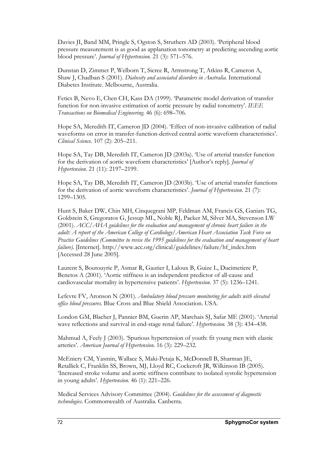Davies JI, Band MM, Pringle S, Ogston S, Struthers AD (2003). 'Peripheral blood pressure measurement is as good as applanation tonometry at predicting ascending aortic blood pressure'. *Journal of Hypertension.* 21 (3): 571–576.

Dunstan D, Zimmet P, Welborn T, Sicree R, Armstrong T, Atkins R, Cameron A, Shaw J, Chadban S (2001). *Diabesity and associated disorders in Australia.* International Diabetes Institute. Melbourne, Australia.

Fetics B, Nevo E, Chen CH, Kass DA (1999). 'Parametric model derivation of transfer function for non-invasive estimation of aortic pressure by radial tonometry'. *IEEE Transactions on Biomedical Engineering.* 46 (6): 698–706.

Hope SA, Meredith IT, Cameron JD (2004). 'Effect of non-invasive calibration of radial waveforms on error in transfer-function-derived central aortic waveform characteristics'. *Clinical Science.* 107 (2): 205–211.

Hope SA, Tay DB, Meredith IT, Cameron JD (2003a). 'Use of arterial transfer function for the derivation of aortic waveform characteristics' [Author's reply]. *Journal of Hypertension.* 21 (11): 2197–2199.

Hope SA, Tay DB, Meredith IT, Cameron JD (2003b). 'Use of arterial transfer functions for the derivation of aortic waveform characteristics'. *Journal of Hypertension.* 21 (7): 1299–1305.

Hunt S, Baker DW, Chin MH, Cinquegrani MP, Feldman AM, Francis GS, Ganiats TG, Goldstein S, Gregoratos G, Jessup ML, Noble RJ, Packer M, Silver MA, Stevenson LW (2001). *ACC/AHA guidelines for the evaluation and management of chronic heart failure in the adult: A report of the American College of Cardiology/American Heart Association Task Force on Practice Guidelines (Committee to revise the 1995 guidelines for the evaluation and management of heart failure).* [Internet]. http://www.acc.org/clinical/guidelines/failure/hf\_index.htm [Accessed 28 June 2005].

Laurent S, Boutouyrie P, Asmar R, Gautier I, Laloux B, Guize L, Ducimetiere P, Benetos A (2001). 'Aortic stiffness is an independent predictor of all-cause and cardiovascular mortality in hypertensive patients'. *Hypertension.* 37 (5): 1236–1241.

Lefevre FV, Aronson N (2001). *Ambulatory blood pressure monitoring for adults with elevated office blood pressures*. Blue Cross and Blue Shield Association. USA.

London GM, Blacher J, Pannier BM, Guerin AP, Marchais SJ, Safar ME (2001). 'Arterial wave reflections and survival in end-stage renal failure'. *Hypertension.* 38 (3): 434–438.

Mahmud A, Feely J (2003). 'Spurious hypertension of youth: fit young men with elastic arteries'. *American Journal of Hypertension.* 16 (3): 229–232.

McEniery CM, Yasmin, Wallace S, Maki-Petaja K, McDonnell B, Sharman JE, Retallick C, Franklin SS, Brown, MJ, Lloyd RC, Cockcroft JR, Wilkinson IB (2005). 'Increased stroke volume and aortic stiffness contribute to isolated systolic hypertension in young adults'. *Hypertension*. 46 (1): 221–226.

Medical Services Advisory Committee (2004). *Guidelines for the assessment of diagnostic technologies*. Commonwealth of Australia. Canberra.